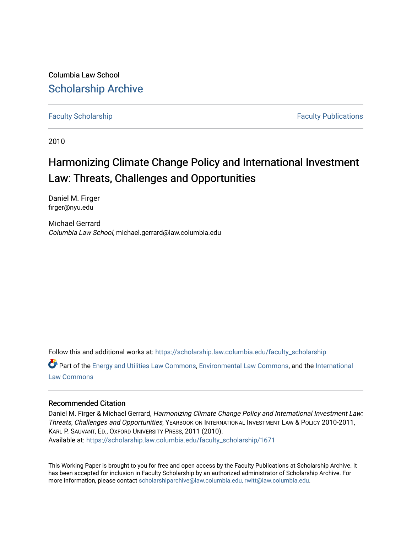Columbia Law School [Scholarship Archive](https://scholarship.law.columbia.edu/) 

[Faculty Scholarship](https://scholarship.law.columbia.edu/faculty_scholarship) **Faculty Scholarship Faculty Publications** 

2010

## Harmonizing Climate Change Policy and International Investment Law: Threats, Challenges and Opportunities

Daniel M. Firger firger@nyu.edu

Michael Gerrard Columbia Law School, michael.gerrard@law.columbia.edu

Follow this and additional works at: [https://scholarship.law.columbia.edu/faculty\\_scholarship](https://scholarship.law.columbia.edu/faculty_scholarship?utm_source=scholarship.law.columbia.edu%2Ffaculty_scholarship%2F1671&utm_medium=PDF&utm_campaign=PDFCoverPages)

Part of the [Energy and Utilities Law Commons,](http://network.bepress.com/hgg/discipline/891?utm_source=scholarship.law.columbia.edu%2Ffaculty_scholarship%2F1671&utm_medium=PDF&utm_campaign=PDFCoverPages) [Environmental Law Commons](http://network.bepress.com/hgg/discipline/599?utm_source=scholarship.law.columbia.edu%2Ffaculty_scholarship%2F1671&utm_medium=PDF&utm_campaign=PDFCoverPages), and the [International](http://network.bepress.com/hgg/discipline/609?utm_source=scholarship.law.columbia.edu%2Ffaculty_scholarship%2F1671&utm_medium=PDF&utm_campaign=PDFCoverPages)  [Law Commons](http://network.bepress.com/hgg/discipline/609?utm_source=scholarship.law.columbia.edu%2Ffaculty_scholarship%2F1671&utm_medium=PDF&utm_campaign=PDFCoverPages) 

#### Recommended Citation

Daniel M. Firger & Michael Gerrard, Harmonizing Climate Change Policy and International Investment Law: Threats, Challenges and Opportunities, YEARBOOK ON INTERNATIONAL INVESTMENT LAW & POLICY 2010-2011, KARL P. SAUVANT, ED., OXFORD UNIVERSITY PRESS, 2011 (2010). Available at: [https://scholarship.law.columbia.edu/faculty\\_scholarship/1671](https://scholarship.law.columbia.edu/faculty_scholarship/1671?utm_source=scholarship.law.columbia.edu%2Ffaculty_scholarship%2F1671&utm_medium=PDF&utm_campaign=PDFCoverPages)

This Working Paper is brought to you for free and open access by the Faculty Publications at Scholarship Archive. It has been accepted for inclusion in Faculty Scholarship by an authorized administrator of Scholarship Archive. For more information, please contact [scholarshiparchive@law.columbia.edu, rwitt@law.columbia.edu](mailto:scholarshiparchive@law.columbia.edu,%20rwitt@law.columbia.edu).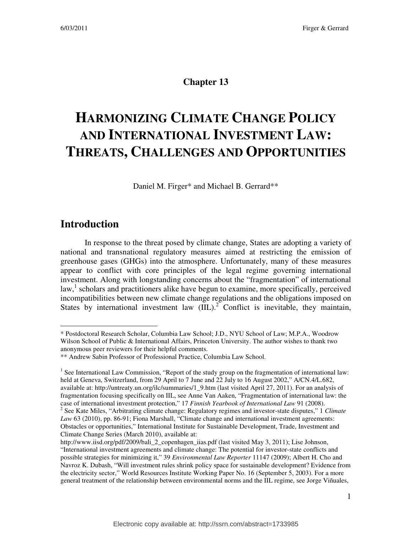## **Chapter 13**

# **HARMONIZING CLIMATE CHANGE POLICY AND INTERNATIONAL INVESTMENT LAW: THREATS, CHALLENGES AND OPPORTUNITIES**

Daniel M. Firger\* and Michael B. Gerrard\*\*

## **Introduction**

 $\overline{a}$ 

In response to the threat posed by climate change, States are adopting a variety of national and transnational regulatory measures aimed at restricting the emission of greenhouse gases (GHGs) into the atmosphere. Unfortunately, many of these measures appear to conflict with core principles of the legal regime governing international investment. Along with longstanding concerns about the "fragmentation" of international law,<sup>1</sup> scholars and practitioners alike have begun to examine, more specifically, perceived incompatibilities between new climate change regulations and the obligations imposed on States by international investment law  $(III)$ .<sup>2</sup> Conflict is inevitable, they maintain,

<sup>\*</sup> Postdoctoral Research Scholar, Columbia Law School; J.D., NYU School of Law; M.P.A., Woodrow Wilson School of Public & International Affairs, Princeton University. The author wishes to thank two anonymous peer reviewers for their helpful comments.

<sup>\*\*</sup> Andrew Sabin Professor of Professional Practice, Columbia Law School.

<sup>&</sup>lt;sup>1</sup> See International Law Commission, "Report of the study group on the fragmentation of international law: held at Geneva, Switzerland, from 29 April to 7 June and 22 July to 16 August 2002," A/CN.4/L.682, available at: http://untreaty.un.org/ilc/summaries/1\_9.htm (last visited April 27, 2011). For an analysis of fragmentation focusing specifically on IIL, see Anne Van Aaken, "Fragmentation of international law: the case of international investment protection," 17 *Finnish Yearbook of International Law* 91 (2008). 2 See Kate Miles, "Arbitrating climate change: Regulatory regimes and investor-state disputes," 1 *Climate Law* 63 (2010), pp. 86-91; Fiona Marshall, "Climate change and international investment agreements: Obstacles or opportunities," International Institute for Sustainable Development, Trade, Investment and Climate Change Series (March 2010), available at:

http://www.iisd.org/pdf/2009/bali\_2\_copenhagen\_iias.pdf (last visited May 3, 2011); Lise Johnson, "International investment agreements and climate change: The potential for investor-state conflicts and possible strategies for minimizing it," 39 *Environmental Law Reporter* 11147 (2009); Albert H. Cho and Navroz K. Dubash, "Will investment rules shrink policy space for sustainable development? Evidence from the electricity sector," World Resources Institute Working Paper No. 16 (September 5, 2003). For a more general treatment of the relationship between environmental norms and the IIL regime, see Jorge Viñuales,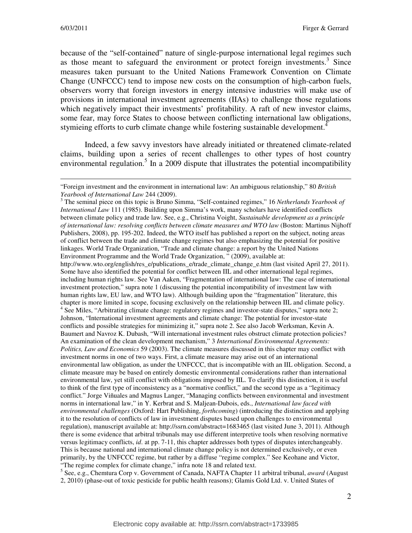because of the "self-contained" nature of single-purpose international legal regimes such as those meant to safeguard the environment or protect foreign investments.<sup>3</sup> Since measures taken pursuant to the United Nations Framework Convention on Climate Change (UNFCCC) tend to impose new costs on the consumption of high-carbon fuels, observers worry that foreign investors in energy intensive industries will make use of provisions in international investment agreements (IIAs) to challenge those regulations which negatively impact their investments' profitability. A raft of new investor claims, some fear, may force States to choose between conflicting international law obligations, stymieing efforts to curb climate change while fostering sustainable development.<sup>4</sup>

Indeed, a few savvy investors have already initiated or threatened climate-related claims, building upon a series of recent challenges to other types of host country environmental regulation.<sup>5</sup> In a 2009 dispute that illustrates the potential incompatibility

3 The seminal piece on this topic is Bruno Simma, "Self-contained regimes," 16 *Netherlands Yearbook of International Law* 111 (1985). Building upon Simma's work, many scholars have identified conflicts between climate policy and trade law. See, e.g., Christina Voight, *Sustainable development as a principle of international law: resolving conflicts between climate measures and WTO law* (Boston: Martinus Nijhoff Publishers, 2008), pp. 195-202. Indeed, the WTO itself has published a report on the subject, noting areas of conflict between the trade and climate change regimes but also emphasizing the potential for positive linkages. World Trade Organization, "Trade and climate change: a report by the United Nations Environment Programme and the World Trade Organization, " (2009), available at: http://www.wto.org/english/res e/publications e/trade climate change e.htm (last visited April 27, 2011). Some have also identified the potential for conflict between IIL and other international legal regimes, including human rights law. See Van Aaken, "Fragmentation of international law: The case of international investment protection," supra note 1 (discussing the potential incompatibility of investment law with human rights law, EU law, and WTO law). Although building upon the "fragmentation" literature, this chapter is more limited in scope, focusing exclusively on the relationship between IIL and climate policy. <sup>4</sup> See Miles, "Arbitrating climate change: regulatory regimes and investor-state disputes," supra note 2; Johnson, "International investment agreements and climate change: The potential for investor-state conflicts and possible strategies for minimizing it," supra note 2. See also Jacob Werksman, Kevin A. Baumert and Navroz K. Dubash, "Will international investment rules obstruct climate protection policies? An examination of the clean development mechanism," 3 *International Environmental Agreements: Politics, Law and Economics* 59 (2003). The climate measures discussed in this chapter may conflict with investment norms in one of two ways. First, a climate measure may arise out of an international environmental law obligation, as under the UNFCCC, that is incompatible with an IIL obligation. Second, a climate measure may be based on entirely domestic environmental considerations rather than international environmental law, yet still conflict with obligations imposed by IIL. To clarify this distinction, it is useful to think of the first type of inconsistency as a "normative conflict," and the second type as a "legitimacy conflict." Jorge Viñuales and Magnus Langer, "Managing conflicts between environmental and investment norms in international law," in Y. Kerbrat and S. Maljean-Dubois, eds., *International law faced with environmental challenges* (Oxford: Hart Publishing, *forthcoming*) (introducing the distinction and applying it to the resolution of conflicts of law in investment disputes based upon challenges to environmental regulation), manuscript available at: http://ssrn.com/abstract=1683465 (last visited June 3, 2011). Although there is some evidence that arbitral tribunals may use different interpretive tools when resolving normative versus legitimacy conflicts, *id*. at pp. 7-11, this chapter addresses both types of disputes interchangeably. This is because national and international climate change policy is not determined exclusively, or even primarily, by the UNFCCC regime, but rather by a diffuse "regime complex." See Keohane and Victor, "The regime complex for climate change," infra note 18 and related text.

5 See, e.g., Chemtura Corp v. Government of Canada, NAFTA Chapter 11 arbitral tribunal, *award* (August 2, 2010) (phase-out of toxic pesticide for public health reasons); Glamis Gold Ltd. v. United States of

<sup>&</sup>quot;Foreign investment and the environment in international law: An ambiguous relationship," 80 *British Yearbook of International Law* 244 (2009).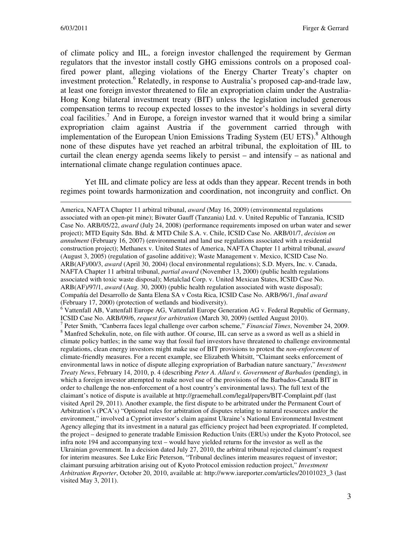of climate policy and IIL, a foreign investor challenged the requirement by German regulators that the investor install costly GHG emissions controls on a proposed coalfired power plant, alleging violations of the Energy Charter Treaty's chapter on investment protection.<sup>6</sup> Relatedly, in response to Australia's proposed cap-and-trade law, at least one foreign investor threatened to file an expropriation claim under the Australia-Hong Kong bilateral investment treaty (BIT) unless the legislation included generous compensation terms to recoup expected losses to the investor's holdings in several dirty coal facilities.<sup>7</sup> And in Europe, a foreign investor warned that it would bring a similar expropriation claim against Austria if the government carried through with implementation of the European Union Emissions Trading System (EU ETS).<sup>8</sup> Although none of these disputes have yet reached an arbitral tribunal, the exploitation of IIL to curtail the clean energy agenda seems likely to persist – and intensify – as national and international climate change regulation continues apace.

Yet IIL and climate policy are less at odds than they appear. Recent trends in both regimes point towards harmonization and coordination, not incongruity and conflict. On

America, NAFTA Chapter 11 arbitral tribunal, *award* (May 16, 2009) (environmental regulations associated with an open-pit mine); Biwater Gauff (Tanzania) Ltd. v. United Republic of Tanzania, ICSID Case No. ARB/05/22, *award* (July 24, 2008) (performance requirements imposed on urban water and sewer project); MTD Equity Sdn. Bhd. & MTD Chile S.A. v. Chile, ICSID Case No. ARB/01/7, *decision on annulment* (February 16, 2007) (environmental and land use regulations associated with a residential construction project); Methanex v. United States of America, NAFTA Chapter 11 arbitral tribunal, *award* (August 3, 2005) (regulation of gasoline additive); Waste Management v. Mexico, ICSID Case No. ARB(AF)/00/3, *award* (April 30, 2004) (local environmental regulations); S.D. Myers, Inc. v. Canada, NAFTA Chapter 11 arbitral tribunal, *partial award* (November 13, 2000) (public health regulations associated with toxic waste disposal); Metalclad Corp. v. United Mexican States, ICSID Case No. ARB(AF)/97/1, *award* (Aug. 30, 2000) (public health regulation associated with waste disposal); Compañía del Desarrollo de Santa Elena SA v Costa Rica, ICSID Case No. ARB/96/1, *final award* (February 17, 2000) (protection of wetlands and biodiversity). <sup>6</sup> Vattenfall AB, Vattenfall Europe AG, Vattenfall Europe Generation AG v. Federal Republic of Germany, ICSID Case No. ARB/09/6, *request for arbitration* (March 30, 2009) (settled August 2010). 7 Peter Smith, "Canberra faces legal challenge over carbon scheme," *Financial Times*, November 24, 2009. <sup>8</sup> Manfred Schekulin, note, on file with author. Of course, IIL can serve as a sword as well as a shield in climate policy battles; in the same way that fossil fuel investors have threatened to challenge environmental regulations, clean energy investors might make use of BIT provisions to protest the *non-enforcement* of climate-friendly measures. For a recent example, see Elizabeth Whitsitt, "Claimant seeks enforcement of environmental laws in notice of dispute alleging expropriation of Barbadian nature sanctuary," *Investment Treaty News*, February 14, 2010, p. 4 (describing *Peter A. Allard v. Government of Barbados* (pending), in which a foreign investor attempted to make novel use of the provisions of the Barbados-Canada BIT in order to challenge the non-enforcement of a host country's environmental laws). The full text of the claimant's notice of dispute is available at http://graemehall.com/legal/papers/BIT-Complaint.pdf (last visited April 29, 2011). Another example, the first dispute to be arbitrated under the Permanent Court of Arbitration's (PCA's) "Optional rules for arbitration of disputes relating to natural resources and/or the environment," involved a Cypriot investor's claim against Ukraine's National Environmental Investment Agency alleging that its investment in a natural gas efficiency project had been expropriated. If completed, the project – designed to generate tradable Emission Reduction Units (ERUs) under the Kyoto Protocol, see infra note 194 and accompanying text – would have yielded returns for the investor as well as the Ukrainian government. In a decision dated July 27, 2010, the arbitral tribunal rejected claimant's request for interim measures. See Luke Eric Peterson, "Tribunal declines interim measures request of investor; claimant pursuing arbitration arising out of Kyoto Protocol emission reduction project," *Investment Arbitration Reporter*, October 20, 2010, available at: http://www.iareporter.com/articles/20101023\_3 (last visited May 3, 2011).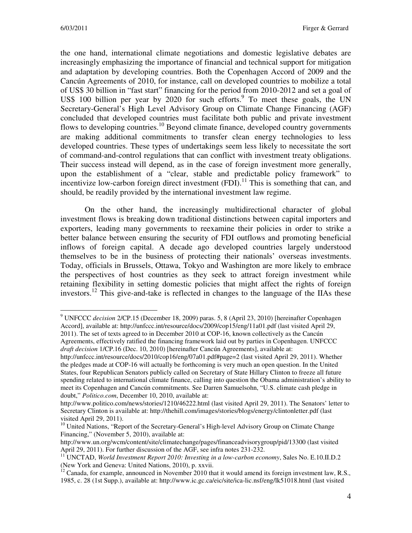the one hand, international climate negotiations and domestic legislative debates are increasingly emphasizing the importance of financial and technical support for mitigation and adaptation by developing countries. Both the Copenhagen Accord of 2009 and the Cancún Agreements of 2010, for instance, call on developed countries to mobilize a total of US\$ 30 billion in "fast start" financing for the period from 2010-2012 and set a goal of US\$ 100 billion per year by 2020 for such efforts.<sup>9</sup> To meet these goals, the UN Secretary-General's High Level Advisory Group on Climate Change Financing (AGF) concluded that developed countries must facilitate both public and private investment flows to developing countries.<sup>10</sup> Beyond climate finance, developed country governments are making additional commitments to transfer clean energy technologies to less developed countries. These types of undertakings seem less likely to necessitate the sort of command-and-control regulations that can conflict with investment treaty obligations. Their success instead will depend, as in the case of foreign investment more generally, upon the establishment of a "clear, stable and predictable policy framework" to incentivize low-carbon foreign direct investment  $(FDI)$ .<sup>11</sup> This is something that can, and should, be readily provided by the international investment law regime.

On the other hand, the increasingly multidirectional character of global investment flows is breaking down traditional distinctions between capital importers and exporters, leading many governments to reexamine their policies in order to strike a better balance between ensuring the security of FDI outflows and promoting beneficial inflows of foreign capital. A decade ago developed countries largely understood themselves to be in the business of protecting their nationals' overseas investments. Today, officials in Brussels, Ottawa, Tokyo and Washington are more likely to embrace the perspectives of host countries as they seek to attract foreign investment while retaining flexibility in setting domestic policies that might affect the rights of foreign investors.<sup>12</sup> This give-and-take is reflected in changes to the language of the IIAs these

<sup>9</sup> UNFCCC *decision* 2/CP.15 (December 18, 2009) paras. 5, 8 (April 23, 2010) [hereinafter Copenhagen Accord], available at: http://unfccc.int/resource/docs/2009/cop15/eng/11a01.pdf (last visited April 29, 2011). The set of texts agreed to in December 2010 at COP-16, known collectively as the Cancún

Agreements, effectively ratified the financing framework laid out by parties in Copenhagen. UNFCCC *draft decision* 1/CP.16 (Dec. 10, 2010) [hereinafter Cancún Agreements], available at:

http://unfccc.int/resource/docs/2010/cop16/eng/07a01.pdf#page=2 (last visited April 29, 2011). Whether the pledges made at COP-16 will actually be forthcoming is very much an open question. In the United States, four Republican Senators publicly called on Secretary of State Hillary Clinton to freeze all future spending related to international climate finance, calling into question the Obama administration's ability to meet its Copenhagen and Cancún commitments. See Darren Samuelsohn, "U.S. climate cash pledge in doubt," *Politico.com*, December 10, 2010, available at:

http://www.politico.com/news/stories/1210/46222.html (last visited April 29, 2011). The Senators' letter to Secretary Clinton is available at: http://thehill.com/images/stories/blogs/energy/clintonletter.pdf (last visited April 29, 2011).

<sup>&</sup>lt;sup>10</sup> United Nations, "Report of the Secretary-General's High-level Advisory Group on Climate Change Financing," (November 5, 2010), available at:

http://www.un.org/wcm/content/site/climatechange/pages/financeadvisorygroup/pid/13300 (last visited April 29, 2011). For further discussion of the AGF, see infra notes 231-232.

<sup>11</sup> UNCTAD, *World Investment Report 2010: Investing in a low-carbon economy*, Sales No. E.10.II.D.2 (New York and Geneva: United Nations, 2010), p. xxvii.

 $12$  Canada, for example, announced in November 2010 that it would amend its foreign investment law, R.S., 1985, c. 28 (1st Supp.), available at: http://www.ic.gc.ca/eic/site/ica-lic.nsf/eng/lk51018.html (last visited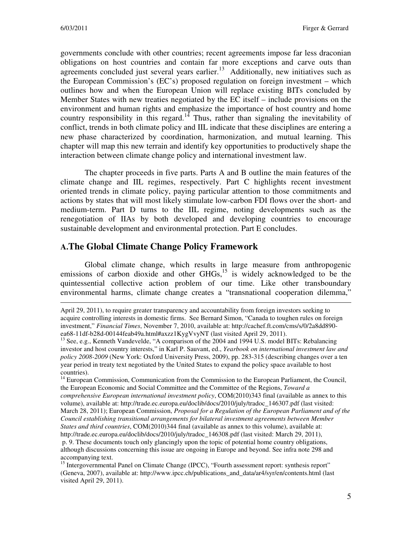governments conclude with other countries; recent agreements impose far less draconian obligations on host countries and contain far more exceptions and carve outs than agreements concluded just several years earlier.<sup>13</sup> Additionally, new initiatives such as the European Commission's (EC's) proposed regulation on foreign investment – which outlines how and when the European Union will replace existing BITs concluded by Member States with new treaties negotiated by the EC itself – include provisions on the environment and human rights and emphasize the importance of host country and home country responsibility in this regard.<sup>14</sup> Thus, rather than signaling the inevitability of conflict, trends in both climate policy and IIL indicate that these disciplines are entering a new phase characterized by coordination, harmonization, and mutual learning. This chapter will map this new terrain and identify key opportunities to productively shape the interaction between climate change policy and international investment law.

The chapter proceeds in five parts. Parts A and B outline the main features of the climate change and IIL regimes, respectively. Part C highlights recent investment oriented trends in climate policy, paying particular attention to those commitments and actions by states that will most likely stimulate low-carbon FDI flows over the short- and medium-term. Part D turns to the IIL regime, noting developments such as the renegotiation of IIAs by both developed and developing countries to encourage sustainable development and environmental protection. Part E concludes.

#### **A.The Global Climate Change Policy Framework**

Global climate change, which results in large measure from anthropogenic emissions of carbon dioxide and other  $GHGs$ ,<sup>15</sup> is widely acknowledged to be the quintessential collective action problem of our time. Like other transboundary environmental harms, climate change creates a "transnational cooperation dilemma,"

April 29, 2011), to require greater transparency and accountability from foreign investors seeking to acquire controlling interests in domestic firms. See Bernard Simon, "Canada to toughen rules on foreign investment," *Financial Times*, November 7, 2010, available at: http://cachef.ft.com/cms/s/0/2a8dd890 ea68-11df-b28d-00144feab49a.html#axzz1KygVvyNT (last visited April 29, 2011).

<sup>&</sup>lt;sup>13</sup> See, e.g., Kenneth Vandevelde, "A comparison of the 2004 and 1994 U.S. model BITs: Rebalancing investor and host country interests," in Karl P. Sauvant, ed., *Yearbook on international investment law and policy 2008-2009* (New York: Oxford University Press, 2009), pp. 283-315 (describing changes over a ten year period in treaty text negotiated by the United States to expand the policy space available to host countries).

<sup>&</sup>lt;sup>14</sup> European Commission, Communication from the Commission to the European Parliament, the Council, the European Economic and Social Committee and the Committee of the Regions, *Toward a comprehensive European international investment policy*, COM(2010)343 final (available as annex to this volume), available at: http://trade.ec.europa.eu/doclib/docs/2010/july/tradoc\_146307.pdf (last visited: March 28, 2011); European Commission, *Proposal for a Regulation of the European Parliament and of the Council establishing transitional arrangements for bilateral investment agreements between Member States and third countries*, COM(2010)344 final (available as annex to this volume), available at: http://trade.ec.europa.eu/doclib/docs/2010/july/tradoc\_146308.pdf (last visited: March 29, 2011), p. 9. These documents touch only glancingly upon the topic of potential home country obligations, although discussions concerning this issue are ongoing in Europe and beyond. See infra note 298 and accompanying text.

<sup>&</sup>lt;sup>15</sup> Intergovernmental Panel on Climate Change (IPCC), "Fourth assessment report: synthesis report" (Geneva, 2007), available at: http://www.ipcc.ch/publications\_and\_data/ar4/syr/en/contents.html (last visited April 29, 2011).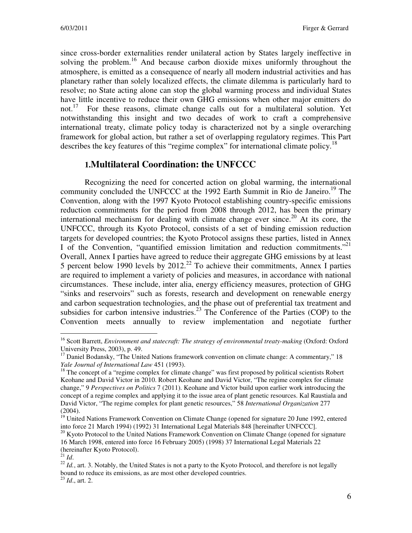since cross-border externalities render unilateral action by States largely ineffective in solving the problem.<sup>16</sup> And because carbon dioxide mixes uniformly throughout the atmosphere, is emitted as a consequence of nearly all modern industrial activities and has planetary rather than solely localized effects, the climate dilemma is particularly hard to resolve; no State acting alone can stop the global warming process and individual States have little incentive to reduce their own GHG emissions when other major emitters do not.<sup>17</sup> For these reasons, climate change calls out for a multilateral solution. Yet notwithstanding this insight and two decades of work to craft a comprehensive international treaty, climate policy today is characterized not by a single overarching framework for global action, but rather a set of overlapping regulatory regimes. This Part describes the key features of this "regime complex" for international climate policy.<sup>18</sup>

## **1.Multilateral Coordination: the UNFCCC**

Recognizing the need for concerted action on global warming, the international community concluded the UNFCCC at the 1992 Earth Summit in Rio de Janeiro.<sup>19</sup> The Convention, along with the 1997 Kyoto Protocol establishing country-specific emissions reduction commitments for the period from 2008 through 2012, has been the primary international mechanism for dealing with climate change ever since.<sup>20</sup> At its core, the UNFCCC, through its Kyoto Protocol, consists of a set of binding emission reduction targets for developed countries; the Kyoto Protocol assigns these parties, listed in Annex I of the Convention, "quantified emission limitation and reduction commitments."<sup>21</sup> Overall, Annex I parties have agreed to reduce their aggregate GHG emissions by at least 5 percent below 1990 levels by  $2012<sup>22</sup>$  To achieve their commitments, Annex I parties are required to implement a variety of policies and measures, in accordance with national circumstances. These include, inter alia, energy efficiency measures, protection of GHG "sinks and reservoirs" such as forests, research and development on renewable energy and carbon sequestration technologies, and the phase out of preferential tax treatment and subsidies for carbon intensive industries.<sup>23</sup> The Conference of the Parties (COP) to the Convention meets annually to review implementation and negotiate further

<sup>16</sup> Scott Barrett, *Environment and statecraft: The strategy of environmental treaty-making* (Oxford: Oxford University Press, 2003), p. 49.

 $17$  Daniel Bodansky, "The United Nations framework convention on climate change: A commentary," 18 *Yale Journal of International Law* 451 (1993).

<sup>&</sup>lt;sup>18</sup> The concept of a "regime complex for climate change" was first proposed by political scientists Robert Keohane and David Victor in 2010. Robert Keohane and David Victor, "The regime complex for climate change," 9 *Perspectives on Politics* 7 (2011). Keohane and Victor build upon earlier work introducing the concept of a regime complex and applying it to the issue area of plant genetic resources. Kal Raustiala and David Victor, "The regime complex for plant genetic resources," 58 *International Organization* 277 (2004).

<sup>&</sup>lt;sup>19</sup> United Nations Framework Convention on Climate Change (opened for signature 20 June 1992, entered into force 21 March 1994) (1992) 31 International Legal Materials 848 [hereinafter UNFCCC].

<sup>&</sup>lt;sup>20</sup> Kyoto Protocol to the United Nations Framework Convention on Climate Change (opened for signature 16 March 1998, entered into force 16 February 2005) (1998) 37 International Legal Materials 22 (hereinafter Kyoto Protocol).

 $^{21}$  *Id.* 

<sup>&</sup>lt;sup>22</sup> *Id.*, art. 3. Notably, the United States is not a party to the Kyoto Protocol, and therefore is not legally bound to reduce its emissions, as are most other developed countries. <sup>23</sup> *Id*., art. 2.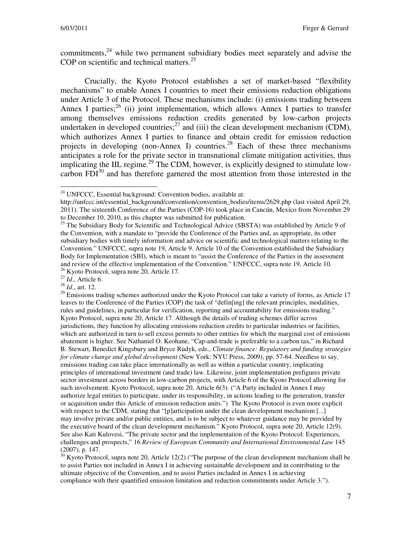commitments, $24$  while two permanent subsidiary bodies meet separately and advise the COP on scientific and technical matters. $25$ 

Crucially, the Kyoto Protocol establishes a set of market-based "flexibility mechanisms" to enable Annex I countries to meet their emissions reduction obligations under Article 3 of the Protocol. These mechanisms include: (i) emissions trading between Annex I parties;  $^{26}$  (ii) joint implementation, which allows Annex I parties to transfer among themselves emissions reduction credits generated by low-carbon projects undertaken in developed countries; $^{27}$  and (iii) the clean development mechanism (CDM), which authorizes Annex I parties to finance and obtain credit for emission reduction projects in developing (non-Annex I) countries.<sup>28</sup> Each of these three mechanisms anticipates a role for the private sector in transnational climate mitigation activities, thus implicating the IIL regime.<sup>29</sup> The CDM, however, is explicitly designed to stimulate lowcarbon  $FDI^{30}$  and has therefore garnered the most attention from those interested in the

<sup>27</sup> *Id*., Article 6.

<sup>28</sup> *Id*., art. 12.

 $29$  Emissions trading schemes authorized under the Kyoto Protocol can take a variety of forms, as Article 17 leaves to the Conference of the Parties (COP) the task of "defin[ing] the relevant principles, modalities, rules and guidelines, in particular for verification, reporting and accountability for emissions trading." Kyoto Protocol, supra note 20, Article 17. Although the details of trading schemes differ across jurisdictions, they function by allocating emissions reduction credits to particular industries or facilities, which are authorized in turn to sell excess permits to other entities for which the marginal cost of emissions abatement is higher. See Nathaniel O. Keohane, "Cap-and-trade is preferable to a carbon tax," in Richard B. Stewart, Benedict Kingsbury and Bryce Rudyk, eds., *Climate finance: Regulatory and funding strategies for climate change and global development* (New York: NYU Press, 2009), pp. 57-64. Needless to say, emissions trading can take place internationally as well as within a particular country, implicating principles of international investment (and trade) law. Likewise, joint implementation prefigures private sector investment across borders in low-carbon projects, with Article 6 of the Kyoto Protocol allowing for such involvement. Kyoto Protocol, supra note 20, Article 6(3). ("A Party included in Annex I may authorize legal entities to participate, under its responsibility, in actions leading to the generation, transfer or acquisition under this Article of emission reduction units.") The Kyoto Protocol is even more explicit with respect to the CDM, stating that "[p]articipation under the clean development mechanism [...] may involve private and/or public entities, and is to be subject to whatever guidance may be provided by the executive board of the clean development mechanism." Kyoto Protocol, supra note 20, Article 12(9). See also Kati Kulovesi, "The private sector and the implementation of the Kyoto Protocol: Experiences, challenges and prospects," 16 *Review of European Community and International Environmental Law* 145 (2007), p. 147.

 $30$  Kyoto Protocol, supra note 20, Article 12(2) ("The purpose of the clean development mechanism shall be to assist Parties not included in Annex I in achieving sustainable development and in contributing to the ultimate objective of the Convention, and to assist Parties included in Annex I in achieving compliance with their quantified emission limitation and reduction commitments under Article 3.").

 $\overline{a}$ <sup>24</sup> UNFCCC, Essential background: Convention bodies, available at:

http://unfccc.int/essential\_background/convention/convention\_bodies/items/2629.php (last visited April 29, 2011). The sixteenth Conference of the Parties (COP-16) took place in Cancún, Mexico from November 29 to December 10, 2010, as this chapter was submitted for publication.

<sup>&</sup>lt;sup>25</sup> The Subsidiary Body for Scientific and Technological Advice (SBSTA) was established by Article 9 of the Convention, with a mandate to "provide the Conference of the Parties and, as appropriate, its other subsidiary bodies with timely information and advice on scientific and technological matters relating to the Convention." UNFCCC, supra note 19, Article 9. Article 10 of the Convention established the Subsidiary Body for Implementation (SBI), which is meant to "assist the Conference of the Parties in the assessment and review of the effective implementation of the Convention." UNFCCC, supra note 19, Article 10. <sup>26</sup> Kyoto Protocol, supra note 20, Article 17.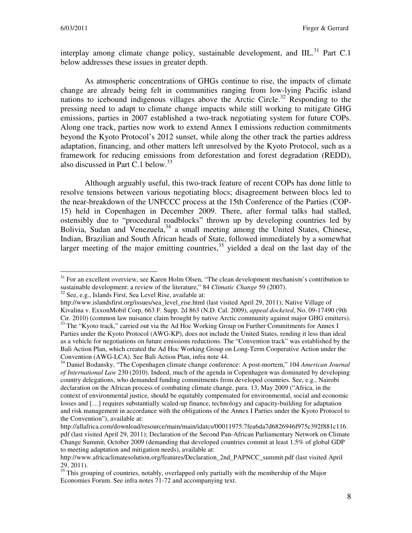interplay among climate change policy, sustainable development, and  $IIL.<sup>31</sup>$  Part C.1 below addresses these issues in greater depth.

As atmospheric concentrations of GHGs continue to rise, the impacts of climate change are already being felt in communities ranging from low-lying Pacific island nations to icebound indigenous villages above the Arctic Circle.<sup>32</sup> Responding to the pressing need to adapt to climate change impacts while still working to mitigate GHG emissions, parties in 2007 established a two-track negotiating system for future COPs. Along one track, parties now work to extend Annex I emissions reduction commitments beyond the Kyoto Protocol's 2012 sunset, while along the other track the parties address adaptation, financing, and other matters left unresolved by the Kyoto Protocol, such as a framework for reducing emissions from deforestation and forest degradation (REDD), also discussed in Part C.1 below.<sup>33</sup>

Although arguably useful, this two-track feature of recent COPs has done little to resolve tensions between various negotiating blocs; disagreement between blocs led to the near-breakdown of the UNFCCC process at the 15th Conference of the Parties (COP-15) held in Copenhagen in December 2009. There, after formal talks had stalled, ostensibly due to "procedural roadblocks" thrown up by developing countries led by Bolivia, Sudan and Venezuela,<sup>34</sup> a small meeting among the United States, Chinese, Indian, Brazilian and South African heads of State, followed immediately by a somewhat larger meeting of the major emitting countries,  $35$  yielded a deal on the last day of the

<sup>32</sup> See, e.g., Islands First, Sea Level Rise, available at:

<sup>&</sup>lt;sup>31</sup> For an excellent overview, see Karen Holm Olsen, "The clean development mechanism's contribution to sustainable development: a review of the literature," 84 *Climatic Change* 59 (2007).

http://www.islandsfirst.org/issues/sea\_level\_rise.html (last visited April 29, 2011); Native Village of Kivalina v. ExxonMobil Corp, 663 F. Supp. 2d 863 (N.D. Cal. 2009), *appeal docketed*, No. 09-17490 (9th Cir. 2010) (common law nuisance claim brought by native Arctic community against major GHG emitters). <sup>33</sup> The "Kyoto track," carried out via the Ad Hoc Working Group on Further Commitments for Annex I Parties under the Kyoto Protocol (AWG-KP), does not include the United States, rending it less than ideal

as a vehicle for negotiations on future emissions reductions. The "Convention track" was established by the Bali Action Plan, which created the Ad Hoc Working Group on Long-Term Cooperative Action under the Convention (AWG-LCA). See Bali Action Plan, infra note 44.

<sup>34</sup> Daniel Bodansky, "The Copenhagen climate change conference: A post-mortem," 104 *American Journal of International Law* 230 (2010). Indeed, much of the agenda in Copenhagen was dominated by developing country delegations, who demanded funding commitments from developed countries. See, e.g., Nairobi declaration on the African process of combating climate change, para. 13, May 2009 ("Africa, in the context of environmental justice, should be equitably compensated for environmental, social and economic losses and […] requires substantially scaled-up finance, technology and capacity-building for adaptation and risk management in accordance with the obligations of the Annex I Parties under the Kyoto Protocol to the Convention"), available at:

http://allafrica.com/download/resource/main/main/idatcs/00011975:7fea6da7d6826946f975c392f881c116. pdf (last visited April 29, 2011); Declaration of the Second Pan-African Parliamentary Network on Climate Change Summit, October 2009 (demanding that developed countries commit at least 1.5% of global GDP to meeting adaptation and mitigation needs), available at:

http://www.africaclimatesolution.org/features/Declaration\_2nd\_PAPNCC\_summit.pdf (last visited April 29, 2011).

 $35$  This grouping of countries, notably, overlapped only partially with the membership of the Major Economies Forum. See infra notes 71-72 and accompanying text.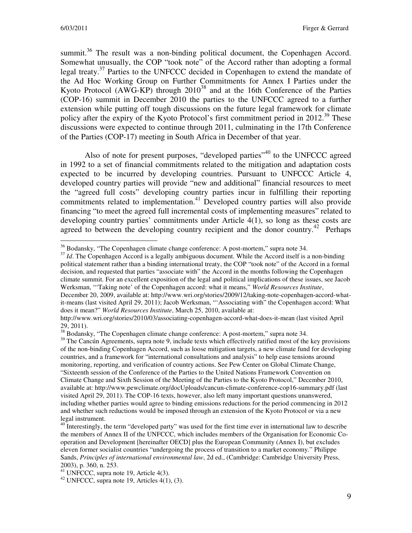summit.<sup>36</sup> The result was a non-binding political document, the Copenhagen Accord. Somewhat unusually, the COP "took note" of the Accord rather than adopting a formal legal treaty.<sup>37</sup> Parties to the UNFCCC decided in Copenhagen to extend the mandate of the Ad Hoc Working Group on Further Commitments for Annex I Parties under the Kyoto Protocol (AWG-KP) through  $2010^{38}$  and at the 16th Conference of the Parties (COP-16) summit in December 2010 the parties to the UNFCCC agreed to a further extension while putting off tough discussions on the future legal framework for climate policy after the expiry of the Kyoto Protocol's first commitment period in  $2012.^{39}$  These discussions were expected to continue through 2011, culminating in the 17th Conference of the Parties (COP-17) meeting in South Africa in December of that year.

Also of note for present purposes, "developed parties"<sup>40</sup> to the UNFCCC agreed in 1992 to a set of financial commitments related to the mitigation and adaptation costs expected to be incurred by developing countries. Pursuant to UNFCCC Article 4, developed country parties will provide "new and additional" financial resources to meet the "agreed full costs" developing country parties incur in fulfilling their reporting commitments related to implementation.<sup>41</sup> Developed country parties will also provide financing "to meet the agreed full incremental costs of implementing measures" related to developing country parties' commitments under Article 4(1), so long as these costs are agreed to between the developing country recipient and the donor country.<sup>42</sup> Perhaps

<sup>37</sup> *Id*. The Copenhagen Accord is a legally ambiguous document. While the Accord itself is a non-binding political statement rather than a binding international treaty, the COP "took note" of the Accord in a formal decision, and requested that parties "associate with" the Accord in the months following the Copenhagen climate summit. For an excellent exposition of the legal and political implications of these issues, see Jacob Werksman, "'Taking note' of the Copenhagen accord: what it means," *World Resources Institute*,

<sup>&</sup>lt;sup>36</sup> Bodansky, "The Copenhagen climate change conference: A post-mortem," supra note 34.

December 20, 2009, available at: http://www.wri.org/stories/2009/12/taking-note-copenhagen-accord-whatit-means (last visited April 29, 2011); Jacob Werksman, "'Associating with" the Copenhagen accord: What does it mean?" *World Resources Institute*, March 25, 2010, available at:

http://www.wri.org/stories/2010/03/associating-copenhagen-accord-what-does-it-mean (last visited April 29, 2011).

<sup>38</sup> Bodansky, "The Copenhagen climate change conference: A post-mortem," supra note 34.

<sup>&</sup>lt;sup>39</sup> The Cancún Agreements, supra note 9, include texts which effectively ratified most of the key provisions of the non-binding Copenhagen Accord, such as loose mitigation targets, a new climate fund for developing countries, and a framework for "international consultations and analysis" to help ease tensions around monitoring, reporting, and verification of country actions. See Pew Center on Global Climate Change, "Sixteenth session of the Conference of the Parties to the United Nations Framework Convention on Climate Change and Sixth Session of the Meeting of the Parties to the Kyoto Protocol," December 2010, available at: http://www.pewclimate.org/docUploads/cancun-climate-conference-cop16-summary.pdf (last visited April 29, 2011). The COP-16 texts, however, also left many important questions unanswered, including whether parties would agree to binding emissions reductions for the period commencing in 2012 and whether such reductions would be imposed through an extension of the Kyoto Protocol or via a new legal instrument.

 $^{40}$  Interestingly, the term "developed party" was used for the first time ever in international law to describe the members of Annex II of the UNFCCC, which includes members of the Organisation for Economic Cooperation and Development [hereinafter OECD] plus the European Community (Annex I), but excludes eleven former socialist countries "undergoing the process of transition to a market economy." Philippe Sands, *Principles of international environmental law*, 2d ed., (Cambridge: Cambridge University Press, 2003), p. 360, n. 253.

 $^{41}$  UNFCCC, supra note 19, Article 4(3).

 $42$  UNFCCC, supra note 19, Articles 4(1), (3).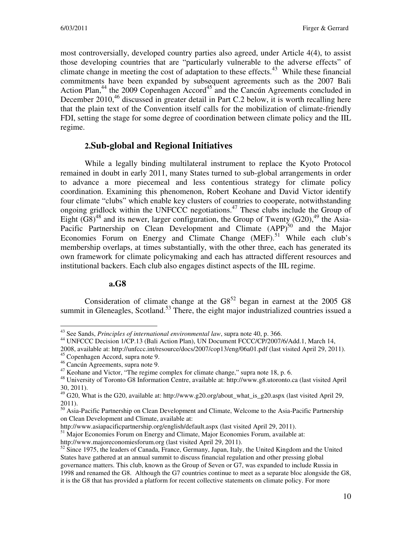most controversially, developed country parties also agreed, under Article 4(4), to assist those developing countries that are "particularly vulnerable to the adverse effects" of climate change in meeting the cost of adaptation to these effects.<sup>43</sup> While these financial commitments have been expanded by subsequent agreements such as the 2007 Bali Action Plan,<sup>44</sup> the 2009 Copenhagen Accord<sup>45</sup> and the Cancún Agreements concluded in December 2010,<sup>46</sup> discussed in greater detail in Part C.2 below, it is worth recalling here that the plain text of the Convention itself calls for the mobilization of climate-friendly FDI, setting the stage for some degree of coordination between climate policy and the IIL regime.

## **2.Sub-global and Regional Initiatives**

While a legally binding multilateral instrument to replace the Kyoto Protocol remained in doubt in early 2011, many States turned to sub-global arrangements in order to advance a more piecemeal and less contentious strategy for climate policy coordination. Examining this phenomenon, Robert Keohane and David Victor identify four climate "clubs" which enable key clusters of countries to cooperate, notwithstanding ongoing gridlock within the UNFCCC negotiations.<sup>47</sup> These clubs include the Group of Eight  $(G8)^{48}$  and its newer, larger configuration, the Group of Twenty  $(G20)$ ,<sup>49</sup> the Asia-Pacific Partnership on Clean Development and Climate  $(APP)^{50}$  and the Major Economies Forum on Energy and Climate Change  $(MEF)$ .<sup>51</sup> While each club's membership overlaps, at times substantially, with the other three, each has generated its own framework for climate policymaking and each has attracted different resources and institutional backers. Each club also engages distinct aspects of the IIL regime.

#### **a.G8**

Consideration of climate change at the  $G8<sup>52</sup>$  began in earnest at the 2005 G8 summit in Gleneagles, Scotland.<sup>53</sup> There, the eight major industrialized countries issued a

<sup>43</sup> See Sands, *Principles of international environmental law*, supra note 40, p. 366.

<sup>44</sup> UNFCCC Decision 1/CP.13 (Bali Action Plan), UN Document FCCC/CP/2007/6/Add.1, March 14,

<sup>2008,</sup> available at: http://unfccc.int/resource/docs/2007/cop13/eng/06a01.pdf (last visited April 29, 2011).

<sup>45</sup> Copenhagen Accord, supra note 9.

<sup>46</sup> Cancún Agreements, supra note 9.

<sup>&</sup>lt;sup>47</sup> Keohane and Victor, "The regime complex for climate change," supra note 18, p. 6.

<sup>48</sup> University of Toronto G8 Information Centre, available at: http://www.g8.utoronto.ca (last visited April 30, 2011).

<sup>&</sup>lt;sup>49</sup> G20, What is the G20, available at: http://www.g20.org/about\_what\_is\_g20.aspx (last visited April 29, 2011).

<sup>&</sup>lt;sup>50</sup> Asia-Pacific Partnership on Clean Development and Climate, Welcome to the Asia-Pacific Partnership on Clean Development and Climate, available at:

http://www.asiapacificpartnership.org/english/default.aspx (last visited April 29, 2011).

<sup>&</sup>lt;sup>51</sup> Major Economies Forum on Energy and Climate, Major Economies Forum, available at:

http://www.majoreconomiesforum.org (last visited April 29, 2011).

<sup>&</sup>lt;sup>52</sup> Since 1975, the leaders of Canada, France, Germany, Japan, Italy, the United Kingdom and the United States have gathered at an annual summit to discuss financial regulation and other pressing global governance matters. This club, known as the Group of Seven or G7, was expanded to include Russia in 1998 and renamed the G8. Although the G7 countries continue to meet as a separate bloc alongside the G8, it is the G8 that has provided a platform for recent collective statements on climate policy. For more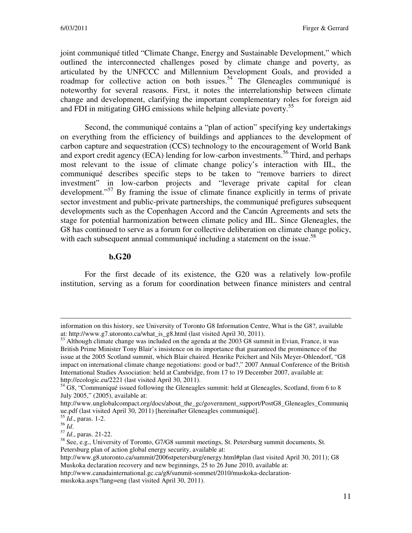joint communiqué titled "Climate Change, Energy and Sustainable Development," which outlined the interconnected challenges posed by climate change and poverty, as articulated by the UNFCCC and Millennium Development Goals, and provided a roadmap for collective action on both issues.<sup>54</sup> The Gleneagles communiqué is noteworthy for several reasons. First, it notes the interrelationship between climate change and development, clarifying the important complementary roles for foreign aid and FDI in mitigating GHG emissions while helping alleviate poverty.<sup>55</sup>

Second, the communiqué contains a "plan of action" specifying key undertakings on everything from the efficiency of buildings and appliances to the development of carbon capture and sequestration (CCS) technology to the encouragement of World Bank and export credit agency (ECA) lending for low-carbon investments.<sup>56</sup> Third, and perhaps most relevant to the issue of climate change policy's interaction with IIL, the communiqué describes specific steps to be taken to "remove barriers to direct investment" in low-carbon projects and "leverage private capital for clean development."<sup>57</sup> By framing the issue of climate finance explicitly in terms of private sector investment and public-private partnerships, the communiqué prefigures subsequent developments such as the Copenhagen Accord and the Cancún Agreements and sets the stage for potential harmonization between climate policy and IIL. Since Gleneagles, the G8 has continued to serve as a forum for collective deliberation on climate change policy, with each subsequent annual communiqué including a statement on the issue.<sup>58</sup>

#### **b.G20**

For the first decade of its existence, the G20 was a relatively low-profile institution, serving as a forum for coordination between finance ministers and central

 $\overline{a}$ information on this history, see University of Toronto G8 Information Centre, What is the G8?, available at: http://www.g7.utoronto.ca/what\_is\_g8.html (last visited April 30, 2011).

<sup>&</sup>lt;sup>53</sup> Although climate change was included on the agenda at the 2003 G8 summit in Evian, France, it was British Prime Minister Tony Blair's insistence on its importance that guaranteed the prominence of the issue at the 2005 Scotland summit, which Blair chaired. Henrike Peichert and Nils Meyer-Ohlendorf, "G8 impact on international climate change negotiations: good or bad?," 2007 Annual Conference of the British International Studies Association: held at Cambridge, from 17 to 19 December 2007, available at: http://ecologic.eu/2221 (last visited April 30, 2011).

<sup>&</sup>lt;sup>54</sup> G8, "Communiqué issued following the Gleneagles summit: held at Gleneagles, Scotland, from 6 to 8 July 2005," (2005), available at:

http://www.unglobalcompact.org/docs/about\_the\_gc/government\_support/PostG8\_Gleneagles\_Communiq ue.pdf (last visited April 30, 2011) [hereinafter Gleneagles communiqué].

<sup>55</sup> *Id*., paras. 1-2.

<sup>56</sup> *Id*.

<sup>57</sup> *Id*., paras. 21-22.

<sup>58</sup> See, e.g., University of Toronto, G7/G8 summit meetings, St. Petersburg summit documents, St. Petersburg plan of action global energy security, available at:

http://www.g8.utoronto.ca/summit/2006stpetersburg/energy.html#plan (last visited April 30, 2011); G8 Muskoka declaration recovery and new beginnings, 25 to 26 June 2010, available at:

http://www.canadainternational.gc.ca/g8/summit-sommet/2010/muskoka-declarationmuskoka.aspx?lang=eng (last visited April 30, 2011).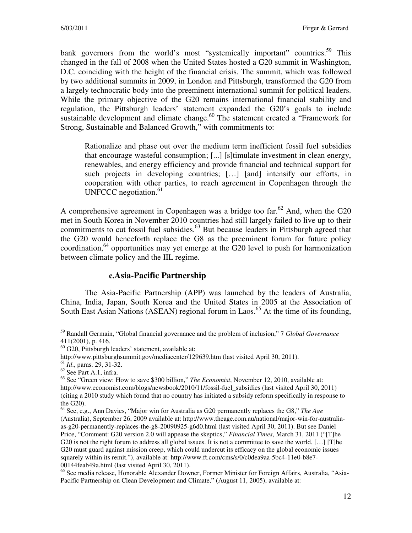bank governors from the world's most "systemically important" countries.<sup>59</sup> This changed in the fall of 2008 when the United States hosted a G20 summit in Washington, D.C. coinciding with the height of the financial crisis. The summit, which was followed by two additional summits in 2009, in London and Pittsburgh, transformed the G20 from a largely technocratic body into the preeminent international summit for political leaders. While the primary objective of the G20 remains international financial stability and regulation, the Pittsburgh leaders' statement expanded the G20's goals to include sustainable development and climate change.<sup>60</sup> The statement created a "Framework for Strong, Sustainable and Balanced Growth," with commitments to:

Rationalize and phase out over the medium term inefficient fossil fuel subsidies that encourage wasteful consumption; [...] [s]timulate investment in clean energy, renewables, and energy efficiency and provide financial and technical support for such projects in developing countries; […] [and] intensify our efforts, in cooperation with other parties, to reach agreement in Copenhagen through the UNFCCC negotiation. $61$ 

A comprehensive agreement in Copenhagen was a bridge too far.<sup>62</sup> And, when the G20 met in South Korea in November 2010 countries had still largely failed to live up to their commitments to cut fossil fuel subsidies.<sup>63</sup> But because leaders in Pittsburgh agreed that the G20 would henceforth replace the G8 as the preeminent forum for future policy coordination,  $64$  opportunities may yet emerge at the G20 level to push for harmonization between climate policy and the IIL regime.

#### **c.Asia-Pacific Partnership**

The Asia-Pacific Partnership (APP) was launched by the leaders of Australia, China, India, Japan, South Korea and the United States in 2005 at the Association of South East Asian Nations (ASEAN) regional forum in Laos.<sup>65</sup> At the time of its founding,

 $\overline{a}$ <sup>59</sup> Randall Germain, "Global financial governance and the problem of inclusion," 7 *Global Governance* 411(2001), p. 416.

<sup>60</sup> G20, Pittsburgh leaders' statement, available at:

http://www.pittsburghsummit.gov/mediacenter/129639.htm (last visited April 30, 2011).

<sup>61</sup> *Id*., paras. 29, 31-32.

<sup>62</sup> See Part A.1, infra.

<sup>63</sup> See "Green view: How to save \$300 billion," *The Economist*, November 12, 2010, available at: http://www.economist.com/blogs/newsbook/2010/11/fossil-fuel\_subsidies (last visited April 30, 2011) (citing a 2010 study which found that no country has initiated a subsidy reform specifically in response to the G20).

<sup>64</sup> See, e.g., Ann Davies, "Major win for Australia as G20 permanently replaces the G8," *The Age*  (Australia), September 26, 2009 available at: http://www.theage.com.au/national/major-win-for-australiaas-g20-permanently-replaces-the-g8-20090925-g6d0.html (last visited April 30, 2011). But see Daniel Price, "Comment: G20 version 2.0 will appease the skeptics," *Financial Times*, March 31, 2011 ("[T]he G20 is not the right forum to address all global issues. It is not a committee to save the world. […] [T]he G20 must guard against mission creep, which could undercut its efficacy on the global economic issues squarely within its remit."), available at: http://www.ft.com/cms/s/0/c0dea9aa-5bc4-11e0-b8e7- 00144feab49a.html (last visited April 30, 2011).

<sup>65</sup> See media release, Honorable Alexander Downer, Former Minister for Foreign Affairs, Australia, "Asia-Pacific Partnership on Clean Development and Climate," (August 11, 2005), available at: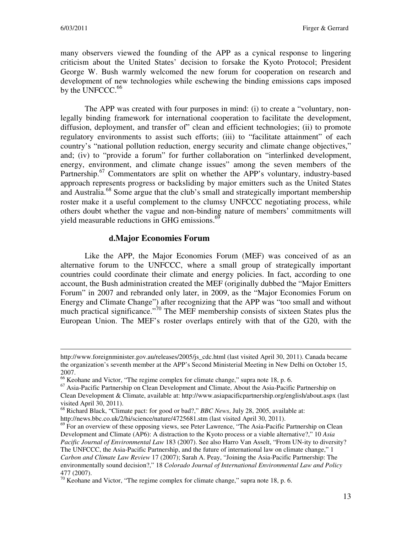many observers viewed the founding of the APP as a cynical response to lingering criticism about the United States' decision to forsake the Kyoto Protocol; President George W. Bush warmly welcomed the new forum for cooperation on research and development of new technologies while eschewing the binding emissions caps imposed by the UNFCCC. $66$ 

The APP was created with four purposes in mind: (i) to create a "voluntary, nonlegally binding framework for international cooperation to facilitate the development, diffusion, deployment, and transfer of" clean and efficient technologies; (ii) to promote regulatory environments to assist such efforts; (iii) to "facilitate attainment" of each country's "national pollution reduction, energy security and climate change objectives," and; (iv) to "provide a forum" for further collaboration on "interlinked development, energy, environment, and climate change issues" among the seven members of the Partnership.<sup>67</sup> Commentators are split on whether the APP's voluntary, industry-based approach represents progress or backsliding by major emitters such as the United States and Australia.<sup>68</sup> Some argue that the club's small and strategically important membership roster make it a useful complement to the clumsy UNFCCC negotiating process, while others doubt whether the vague and non-binding nature of members' commitments will yield measurable reductions in GHG emissions.<sup>69</sup>

#### **d.Major Economies Forum**

Like the APP, the Major Economies Forum (MEF) was conceived of as an alternative forum to the UNFCCC, where a small group of strategically important countries could coordinate their climate and energy policies. In fact, according to one account, the Bush administration created the MEF (originally dubbed the "Major Emitters Forum" in 2007 and rebranded only later, in 2009, as the "Major Economies Forum on Energy and Climate Change") after recognizing that the APP was "too small and without much practical significance."<sup>70</sup> The MEF membership consists of sixteen States plus the European Union. The MEF's roster overlaps entirely with that of the G20, with the

http://www.foreignminister.gov.au/releases/2005/js\_cdc.html (last visited April 30, 2011). Canada became the organization's seventh member at the APP's Second Ministerial Meeting in New Delhi on October 15, 2007.

<sup>66</sup> Keohane and Victor, "The regime complex for climate change," supra note 18, p. 6.

<sup>&</sup>lt;sup>67</sup> Asia-Pacific Partnership on Clean Development and Climate, About the Asia-Pacific Partnership on Clean Development & Climate, available at: http://www.asiapacificpartnership.org/english/about.aspx (last visited April 30, 2011).

<sup>68</sup> Richard Black, "Climate pact: for good or bad?," *BBC News*, July 28, 2005, available at: http://news.bbc.co.uk/2/hi/science/nature/4725681.stm (last visited April 30, 2011).

 $69$  For an overview of these opposing views, see Peter Lawrence, "The Asia-Pacific Partnership on Clean Development and Climate (AP6): A distraction to the Kyoto process or a viable alternative?," 10 *Asia Pacific Journal of Environmental Law* 183 (2007). See also Harro Van Asselt, "From UN-ity to diversity? The UNFCCC, the Asia-Pacific Partnership, and the future of international law on climate change," 1 *Carbon and Climate Law Review* 17 (2007); Sarah A. Peay, "Joining the Asia-Pacific Partnership: The environmentally sound decision?," 18 *Colorado Journal of International Environmental Law and Policy* 477 (2007).

 $70$  Keohane and Victor, "The regime complex for climate change," supra note 18, p. 6.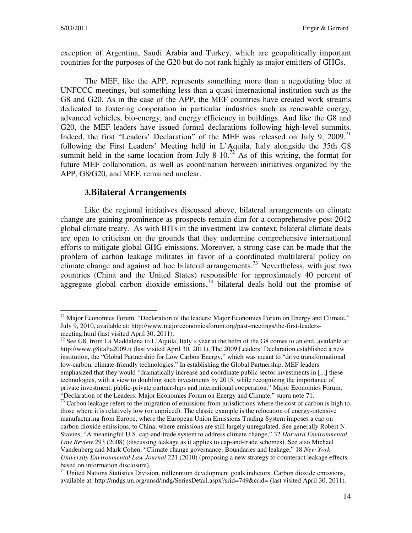exception of Argentina, Saudi Arabia and Turkey, which are geopolitically important countries for the purposes of the G20 but do not rank highly as major emitters of GHGs.

The MEF, like the APP, represents something more than a negotiating bloc at UNFCCC meetings, but something less than a quasi-international institution such as the G8 and G20. As in the case of the APP, the MEF countries have created work streams dedicated to fostering cooperation in particular industries such as renewable energy, advanced vehicles, bio-energy, and energy efficiency in buildings. And like the G8 and G20, the MEF leaders have issued formal declarations following high-level summits. Indeed, the first "Leaders' Declaration" of the MEF was released on July 9, 2009, $\frac{1}{1}$ following the First Leaders' Meeting held in L'Aquila, Italy alongside the 35th G8 summit held in the same location from July 8-10.<sup>72</sup> As of this writing, the format for future MEF collaboration, as well as coordination between initiatives organized by the APP, G8/G20, and MEF, remained unclear.

#### **3.Bilateral Arrangements**

Like the regional initiatives discussed above, bilateral arrangements on climate change are gaining prominence as prospects remain dim for a comprehensive post-2012 global climate treaty. As with BITs in the investment law context, bilateral climate deals are open to criticism on the grounds that they undermine comprehensive international efforts to mitigate global GHG emissions. Moreover, a strong case can be made that the problem of carbon leakage militates in favor of a coordinated multilateral policy on climate change and against ad hoc bilateral arrangements.<sup>73</sup> Nevertheless, with just two countries (China and the United States) responsible for approximately 40 percent of aggregate global carbon dioxide emissions,  $\overline{A}$  bilateral deals hold out the promise of

 $\overline{a}$ <sup>71</sup> Major Economies Forum, "Declaration of the leaders: Major Economies Forum on Energy and Climate," July 9, 2010, available at: http://www.majoreconomiesforum.org/past-meetings/the-first-leadersmeeting.html (last visited April 30, 2011).

 $^{72}$  See G8, from La Maddalena to L'Aquila, Italy's year at the helm of the G8 comes to an end, available at: http://www.g8italia2009.it (last visited April 30, 2011). The 2009 Leaders' Declaration established a new institution, the "Global Partnership for Low Carbon Energy," which was meant to "drive transformational low-carbon, climate-friendly technologies." In establishing the Global Partnership, MEF leaders emphasized that they would "dramatically increase and coordinate public sector investments in [...] these technologies, with a view to doubling such investments by 2015, while recognizing the importance of private investment, public-private partnerships and international cooperation." Major Economies Forum, "Declaration of the Leaders: Major Economies Forum on Energy and Climate," supra note 71.

<sup>&</sup>lt;sup>73</sup> Carbon leakage refers to the migration of emissions from jurisdictions where the cost of carbon is high to those where it is relatively low (or unpriced). The classic example is the relocation of energy-intensive manufacturing from Europe, where the European Union Emissions Trading System imposes a cap on carbon dioxide emissions, to China, where emissions are still largely unregulated. See generally Robert N. Stavins, "A meaningful U.S. cap-and-trade system to address climate change," 32 *Harvard Environmental Law Review* 293 (2008) (discussing leakage as it applies to cap-and-trade schemes). See also Michael Vandenberg and Mark Cohen, "Climate change governance: Boundaries and leakage," 18 *New York University Environmental Law Journal* 221 (2010) (proposing a new strategy to counteract leakage effects based on information disclosure).

<sup>74</sup> United Nations Statistics Division, millennium development goals indictors: Carbon dioxide emissions, available at: http://mdgs.un.org/unsd/mdg/SeriesDetail.aspx?srid=749&crid= (last visited April 30, 2011).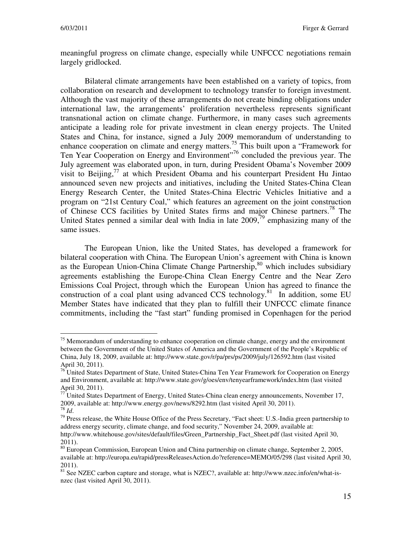meaningful progress on climate change, especially while UNFCCC negotiations remain largely gridlocked.

Bilateral climate arrangements have been established on a variety of topics, from collaboration on research and development to technology transfer to foreign investment. Although the vast majority of these arrangements do not create binding obligations under international law, the arrangements' proliferation nevertheless represents significant transnational action on climate change. Furthermore, in many cases such agreements anticipate a leading role for private investment in clean energy projects. The United States and China, for instance, signed a July 2009 memorandum of understanding to enhance cooperation on climate and energy matters.<sup>75</sup> This built upon a "Framework for Ten Year Cooperation on Energy and Environment"<sup>76</sup> concluded the previous year. The July agreement was elaborated upon, in turn, during President Obama's November 2009 visit to Beijing,<sup>77</sup> at which President Obama and his counterpart President Hu Jintao announced seven new projects and initiatives, including the United States-China Clean Energy Research Center, the United States-China Electric Vehicles Initiative and a program on "21st Century Coal," which features an agreement on the joint construction of Chinese CCS facilities by United States firms and major Chinese partners.<sup>78</sup> The United States penned a similar deal with India in late  $2009<sup>79</sup>$  emphasizing many of the same issues.

The European Union, like the United States, has developed a framework for bilateral cooperation with China. The European Union's agreement with China is known as the European Union-China Climate Change Partnership,<sup>80</sup> which includes subsidiary agreements establishing the Europe-China Clean Energy Centre and the Near Zero Emissions Coal Project, through which the European Union has agreed to finance the construction of a coal plant using advanced CCS technology.<sup>81</sup> In addition, some EU Member States have indicated that they plan to fulfill their UNFCCC climate finance commitments, including the "fast start" funding promised in Copenhagen for the period

 $75$  Memorandum of understanding to enhance cooperation on climate change, energy and the environment between the Government of the United States of America and the Government of the People's Republic of China, July 18, 2009, available at: http://www.state.gov/r/pa/prs/ps/2009/july/126592.htm (last visited April 30, 2011).

<sup>&</sup>lt;sup>76</sup> United States Department of State, United States-China Ten Year Framework for Cooperation on Energy and Environment, available at: http://www.state.gov/g/oes/env/tenyearframework/index.htm (last visited April 30, 2011).

 $77$  United States Department of Energy, United States-China clean energy announcements, November 17, 2009, available at: http://www.energy.gov/news/8292.htm (last visited April 30, 2011). <sup>78</sup> *Id*.

<sup>&</sup>lt;sup>79</sup> Press release, the White House Office of the Press Secretary, "Fact sheet: U.S.-India green partnership to address energy security, climate change, and food security," November 24, 2009, available at:

http://www.whitehouse.gov/sites/default/files/Green\_Partnership\_Fact\_Sheet.pdf (last visited April 30, 2011).

<sup>&</sup>lt;sup>80</sup> European Commission, European Union and China partnership on climate change, September 2, 2005, available at: http://europa.eu/rapid/pressReleasesAction.do?reference=MEMO/05/298 (last visited April 30, 2011).

<sup>&</sup>lt;sup>81</sup> See NZEC carbon capture and storage, what is NZEC?, available at: http://www.nzec.info/en/what-isnzec (last visited April 30, 2011).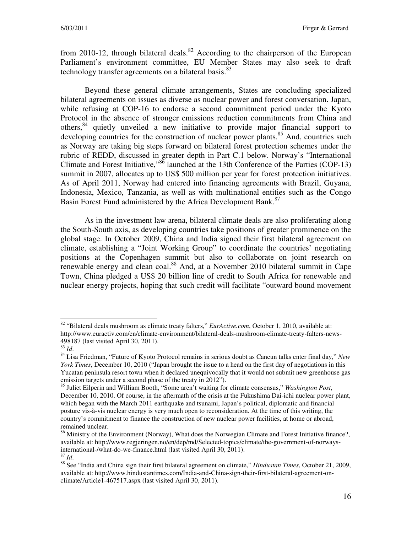from 2010-12, through bilateral deals. $82$  According to the chairperson of the European Parliament's environment committee, EU Member States may also seek to draft technology transfer agreements on a bilateral basis.<sup>83</sup>

Beyond these general climate arrangements, States are concluding specialized bilateral agreements on issues as diverse as nuclear power and forest conversation. Japan, while refusing at COP-16 to endorse a second commitment period under the Kyoto Protocol in the absence of stronger emissions reduction commitments from China and others,<sup>84</sup> quietly unveiled a new initiative to provide major financial support to developing countries for the construction of nuclear power plants.<sup>85</sup> And, countries such as Norway are taking big steps forward on bilateral forest protection schemes under the rubric of REDD, discussed in greater depth in Part C.1 below. Norway's "International Climate and Forest Initiative,"<sup>86</sup> launched at the 13th Conference of the Parties (COP-13) summit in 2007, allocates up to US\$ 500 million per year for forest protection initiatives. As of April 2011, Norway had entered into financing agreements with Brazil, Guyana, Indonesia, Mexico, Tanzania, as well as with multinational entities such as the Congo Basin Forest Fund administered by the Africa Development Bank.<sup>87</sup>

As in the investment law arena, bilateral climate deals are also proliferating along the South-South axis, as developing countries take positions of greater prominence on the global stage. In October 2009, China and India signed their first bilateral agreement on climate, establishing a "Joint Working Group" to coordinate the countries' negotiating positions at the Copenhagen summit but also to collaborate on joint research on renewable energy and clean coal.<sup>88</sup> And, at a November 2010 bilateral summit in Cape Town, China pledged a US\$ 20 billion line of credit to South Africa for renewable and nuclear energy projects, hoping that such credit will facilitate "outward bound movement

<sup>82</sup> "Bilateral deals mushroom as climate treaty falters," *EurActive.com*, October 1, 2010, available at: http://www.euractiv.com/en/climate-environment/bilateral-deals-mushroom-climate-treaty-falters-news-498187 (last visited April 30, 2011).

<sup>83</sup> *Id*.

<sup>84</sup> Lisa Friedman, "Future of Kyoto Protocol remains in serious doubt as Cancun talks enter final day," *New York Times*, December 10, 2010 ("Japan brought the issue to a head on the first day of negotiations in this Yucatan peninsula resort town when it declared unequivocally that it would not submit new greenhouse gas emission targets under a second phase of the treaty in 2012").

<sup>85</sup> Juliet Eilperin and William Booth, "Some aren't waiting for climate consensus," *Washington Post*, December 10, 2010. Of course, in the aftermath of the crisis at the Fukushima Dai-ichi nuclear power plant, which began with the March 2011 earthquake and tsunami, Japan's political, diplomatic and financial posture vis-à-vis nuclear energy is very much open to reconsideration. At the time of this writing, the country's commitment to finance the construction of new nuclear power facilities, at home or abroad, remained unclear.

<sup>&</sup>lt;sup>86</sup> Ministry of the Environment (Norway), What does the Norwegian Climate and Forest Initiative finance?, available at: http://www.regjeringen.no/en/dep/md/Selected-topics/climate/the-government-of-norwaysinternational-/what-do-we-finance.html (last visited April 30, 2011).  $^{87}$  *Id.* 

<sup>88</sup> See "India and China sign their first bilateral agreement on climate," *Hindustan Times*, October 21, 2009, available at: http://www.hindustantimes.com/India-and-China-sign-their-first-bilateral-agreement-onclimate/Article1-467517.aspx (last visited April 30, 2011).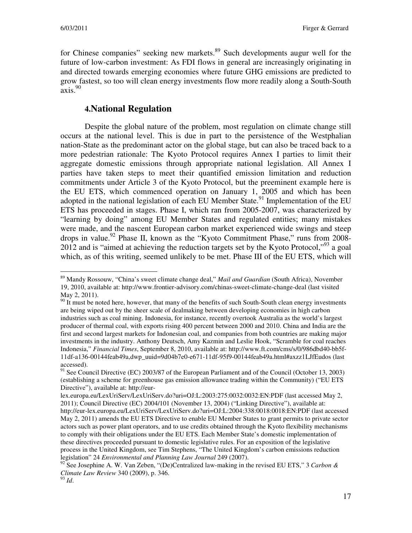for Chinese companies" seeking new markets.<sup>89</sup> Such developments augur well for the future of low-carbon investment: As FDI flows in general are increasingly originating in and directed towards emerging economies where future GHG emissions are predicted to grow fastest, so too will clean energy investments flow more readily along a South-South  $axis.<sup>90</sup>$ 

## **4.National Regulation**

Despite the global nature of the problem, most regulation on climate change still occurs at the national level. This is due in part to the persistence of the Westphalian nation-State as the predominant actor on the global stage, but can also be traced back to a more pedestrian rationale: The Kyoto Protocol requires Annex I parties to limit their aggregate domestic emissions through appropriate national legislation. All Annex I parties have taken steps to meet their quantified emission limitation and reduction commitments under Article 3 of the Kyoto Protocol, but the preeminent example here is the EU ETS, which commenced operation on January 1, 2005 and which has been adopted in the national legislation of each EU Member State.<sup>91</sup> Implementation of the EU ETS has proceeded in stages. Phase I, which ran from 2005-2007, was characterized by "learning by doing" among EU Member States and regulated entities; many mistakes were made, and the nascent European carbon market experienced wide swings and steep drops in value.<sup>92</sup> Phase II, known as the "Kyoto Commitment Phase," runs from 2008-2012 and is "aimed at achieving the reduction targets set by the Kyoto Protocol,"<sup>93</sup> a goal which, as of this writing, seemed unlikely to be met. Phase III of the EU ETS, which will

 $\overline{a}$ <sup>89</sup> Mandy Rossouw, "China's sweet climate change deal," *Mail and Guardian* (South Africa), November 19, 2010, available at: http://www.frontier-advisory.com/chinas-sweet-climate-change-deal (last visited May 2, 2011).

 $90$  It must be noted here, however, that many of the benefits of such South-South clean energy investments are being wiped out by the sheer scale of dealmaking between developing economies in high carbon industries such as coal mining. Indonesia, for instance, recently overtook Australia as the world's largest producer of thermal coal, with exports rising 400 percent between 2000 and 2010. China and India are the first and second largest markets for Indonesian coal, and companies from both countries are making major investments in the industry. Anthony Deutsch, Amy Kazmin and Leslie Hook, "Scramble for coal reaches Indonesia," *Financial Times*, September 8, 2010, available at: http://www.ft.com/cms/s/0/986dbd40-bb5f-11df-a136-00144feab49a,dwp\_uuid=9d04b7e0-e671-11df-95f9-00144feab49a.html#axzz1LJfEudos (last accessed).

 $91$  See Council Directive (EC) 2003/87 of the European Parliament and of the Council (October 13, 2003) (establishing a scheme for greenhouse gas emission allowance trading within the Community) ("EU ETS Directive"), available at: http://eur-

lex.europa.eu/LexUriServ/LexUriServ.do?uri=OJ:L:2003:275:0032:0032:EN:PDF (last accessed May 2, 2011); Council Directive (EC) 2004/101 (November 13, 2004) ("Linking Directive"), available at: http://eur-lex.europa.eu/LexUriServ/LexUriServ.do?uri=OJ:L:2004:338:0018:0018:EN:PDF (last accessed May 2, 2011) amends the EU ETS Directive to enable EU Member States to grant permits to private sector actors such as power plant operators, and to use credits obtained through the Kyoto flexibility mechanisms to comply with their obligations under the EU ETS. Each Member State's domestic implementation of these directives proceeded pursuant to domestic legislative rules. For an exposition of the legislative process in the United Kingdom, see Tim Stephens, "The United Kingdom's carbon emissions reduction legislation" 24 *Environmental and Planning Law Journal* 249 (2007).

<sup>92</sup> See Josephine A. W. Van Zeben, "(De)Centralized law-making in the revised EU ETS," 3 *Carbon & Climate Law Review* 340 (2009), p. 346.

<sup>93</sup> *Id*.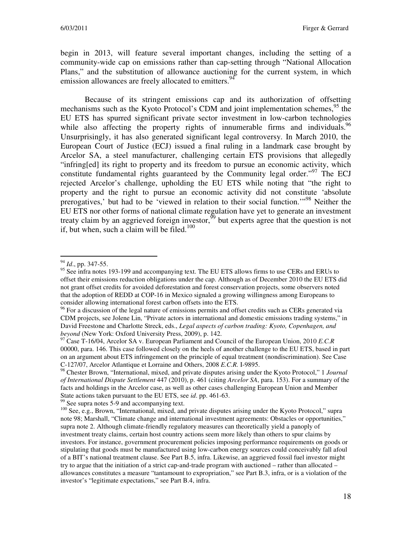begin in 2013, will feature several important changes, including the setting of a community-wide cap on emissions rather than cap-setting through "National Allocation Plans," and the substitution of allowance auctioning for the current system, in which emission allowances are freely allocated to emitters.<sup>94</sup>

Because of its stringent emissions cap and its authorization of offsetting mechanisms such as the Kyoto Protocol's CDM and joint implementation schemes,  $95$  the EU ETS has spurred significant private sector investment in low-carbon technologies while also affecting the property rights of innumerable firms and individuals.<sup>96</sup> Unsurprisingly, it has also generated significant legal controversy. In March 2010, the European Court of Justice (ECJ) issued a final ruling in a landmark case brought by Arcelor SA, a steel manufacturer, challenging certain ETS provisions that allegedly "infring[ed] its right to property and its freedom to pursue an economic activity, which constitute fundamental rights guaranteed by the Community legal order."<sup>97</sup> The ECJ rejected Arcelor's challenge, upholding the EU ETS while noting that "the right to property and the right to pursue an economic activity did not constitute 'absolute prerogatives,' but had to be 'viewed in relation to their social function.<sup>",98</sup> Neither the EU ETS nor other forms of national climate regulation have yet to generate an investment treaty claim by an aggrieved foreign investor,  $\frac{99}{9}$  but experts agree that the question is not if, but when, such a claim will be filed.<sup>100</sup>

 $\overline{a}$ 

 $99$  See supra notes 5-9 and accompanying text.

<sup>94</sup> *Id*., pp. 347-55.

<sup>&</sup>lt;sup>95</sup> See infra notes 193-199 and accompanying text. The EU ETS allows firms to use CERs and ERUs to offset their emissions reduction obligations under the cap. Although as of December 2010 the EU ETS did not grant offset credits for avoided deforestation and forest conservation projects, some observers noted that the adoption of REDD at COP-16 in Mexico signaled a growing willingness among Europeans to consider allowing international forest carbon offsets into the ETS.

<sup>&</sup>lt;sup>96</sup> For a discussion of the legal nature of emissions permits and offset credits such as CERs generated via CDM projects, see Jolene Lin, "Private actors in international and domestic emissions trading systems," in David Freestone and Charlotte Streck, eds., *Legal aspects of carbon trading: Kyoto, Copenhagen, and beyond* (New York: Oxford University Press, 2009), p. 142.

<sup>97</sup> Case T-16/04, Arcelor SA v. European Parliament and Council of the European Union, 2010 *E.C.R* 00000, para. 146. This case followed closely on the heels of another challenge to the EU ETS, based in part on an argument about ETS infringement on the principle of equal treatment (nondiscrimination). See Case C-127/07, Arcelor Atlantique et Lorraine and Others, 2008 *E.C.R.* I-9895.

<sup>98</sup> Chester Brown, "International, mixed, and private disputes arising under the Kyoto Protocol," 1 *Journal of International Dispute Settlement* 447 (2010), p. 461 (citing *Arcelor SA*, para. 153). For a summary of the facts and holdings in the Arcelor case, as well as other cases challenging European Union and Member State actions taken pursuant to the EU ETS, see *id*. pp. 461-63.

<sup>&</sup>lt;sup>100</sup> See, e.g., Brown, "International, mixed, and private disputes arising under the Kyoto Protocol," supra note 98; Marshall, "Climate change and international investment agreements: Obstacles or opportunities," supra note 2. Although climate-friendly regulatory measures can theoretically yield a panoply of investment treaty claims, certain host country actions seem more likely than others to spur claims by investors. For instance, government procurement policies imposing performance requirements on goods or stipulating that goods must be manufactured using low-carbon energy sources could conceivably fall afoul of a BIT's national treatment clause. See Part B.5, infra. Likewise, an aggrieved fossil fuel investor might try to argue that the initiation of a strict cap-and-trade program with auctioned – rather than allocated – allowances constitutes a measure "tantamount to expropriation," see Part B.3, infra, or is a violation of the investor's "legitimate expectations," see Part B.4, infra.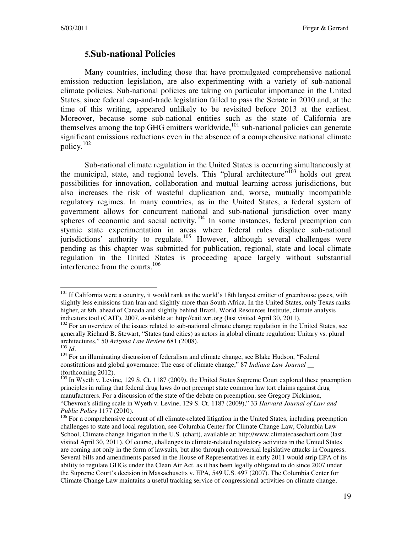#### **5.Sub-national Policies**

Many countries, including those that have promulgated comprehensive national emission reduction legislation, are also experimenting with a variety of sub-national climate policies. Sub-national policies are taking on particular importance in the United States, since federal cap-and-trade legislation failed to pass the Senate in 2010 and, at the time of this writing, appeared unlikely to be revisited before 2013 at the earliest. Moreover, because some sub-national entities such as the state of California are themselves among the top GHG emitters worldwide, $^{101}$  sub-national policies can generate significant emissions reductions even in the absence of a comprehensive national climate policy. $102$ 

Sub-national climate regulation in the United States is occurring simultaneously at the municipal, state, and regional levels. This "plural architecture"<sup>103</sup> holds out great possibilities for innovation, collaboration and mutual learning across jurisdictions, but also increases the risk of wasteful duplication and, worse, mutually incompatible regulatory regimes. In many countries, as in the United States, a federal system of government allows for concurrent national and sub-national jurisdiction over many spheres of economic and social activity.<sup>104</sup> In some instances, federal preemption can stymie state experimentation in areas where federal rules displace sub-national jurisdictions' authority to regulate.<sup>105</sup> However, although several challenges were pending as this chapter was submitted for publication, regional, state and local climate regulation in the United States is proceeding apace largely without substantial interference from the courts.<sup>106</sup>

<sup>&</sup>lt;sup>101</sup> If California were a country, it would rank as the world's 18th largest emitter of greenhouse gases, with slightly less emissions than Iran and slightly more than South Africa. In the United States, only Texas ranks higher, at 8th, ahead of Canada and slightly behind Brazil. World Resources Institute, climate analysis indicators tool (CAIT), 2007, available at: http://cait.wri.org (last visited April 30, 2011).

 $102$  For an overview of the issues related to sub-national climate change regulation in the United States, see generally Richard B. Stewart, "States (and cities) as actors in global climate regulation: Unitary vs. plural architectures," 50 *Arizona Law Review* 681 (2008). <sup>103</sup> *Id*.

<sup>&</sup>lt;sup>104</sup> For an illuminating discussion of federalism and climate change, see Blake Hudson, "Federal constitutions and global governance: The case of climate change," 87 *Indiana Law Journal \_\_* (forthcoming 2012).

<sup>&</sup>lt;sup>105</sup> In Wyeth v. Levine, 129 S. Ct. 1187 (2009), the United States Supreme Court explored these preemption principles in ruling that federal drug laws do not preempt state common law tort claims against drug manufacturers. For a discussion of the state of the debate on preemption, see Gregory Dickinson, "Chevron's sliding scale in Wyeth v. Levine, 129 S. Ct. 1187 (2009)," 33 *Harvard Journal of Law and Public Policy* 1177 (2010).

<sup>&</sup>lt;sup>106</sup> For a comprehensive account of all climate-related litigation in the United States, including preemption challenges to state and local regulation, see Columbia Center for Climate Change Law, Columbia Law School, Climate change litigation in the U.S. (chart), available at: http://www.climatecasechart.com (last visited April 30, 2011). Of course, challenges to climate-related regulatory activities in the United States are coming not only in the form of lawsuits, but also through controversial legislative attacks in Congress. Several bills and amendments passed in the House of Representatives in early 2011 would strip EPA of its ability to regulate GHGs under the Clean Air Act, as it has been legally obligated to do since 2007 under the Supreme Court's decision in Massachusetts v. EPA, 549 U.S. 497 (2007). The Columbia Center for Climate Change Law maintains a useful tracking service of congressional activities on climate change,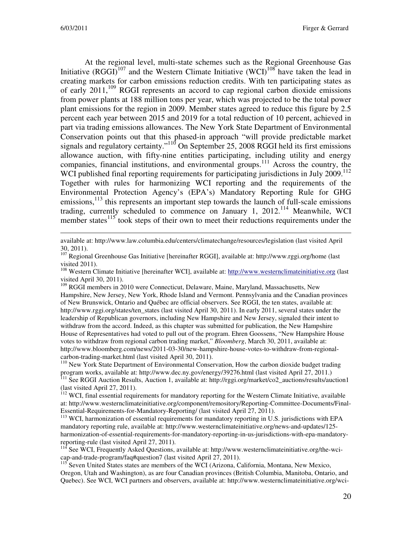At the regional level, multi-state schemes such as the Regional Greenhouse Gas Initiative (RGGI)<sup>107</sup> and the Western Climate Initiative (WCI)<sup>108</sup> have taken the lead in creating markets for carbon emissions reduction credits. With ten participating states as of early  $2011$ ,  $^{109}$  RGGI represents an accord to cap regional carbon dioxide emissions from power plants at 188 million tons per year, which was projected to be the total power plant emissions for the region in 2009. Member states agreed to reduce this figure by 2.5 percent each year between 2015 and 2019 for a total reduction of 10 percent, achieved in part via trading emissions allowances. The New York State Department of Environmental Conservation points out that this phased-in approach "will provide predictable market signals and regulatory certainty."<sup>110</sup> On September 25, 2008 RGGI held its first emissions allowance auction, with fifty-nine entities participating, including utility and energy companies, financial institutions, and environmental groups.<sup>111</sup> Across the country, the WCI published final reporting requirements for participating jurisdictions in July 2009.<sup>112</sup> Together with rules for harmonizing WCI reporting and the requirements of the Environmental Protection Agency's (EPA's) Mandatory Reporting Rule for GHG emissions,  $^{113}$  this represents an important step towards the launch of full-scale emissions trading, currently scheduled to commence on January 1, 2012.<sup>114</sup> Meanwhile, WCI member states $115$  took steps of their own to meet their reductions requirements under the

available at: http://www.law.columbia.edu/centers/climatechange/resources/legislation (last visited April 30, 2011).

<sup>107</sup> Regional Greenhouse Gas Initiative [hereinafter RGGI], available at: http://www.rggi.org/home (last visited 2011).

<sup>108</sup> Western Climate Initiative [hereinafter WCI], available at: http://www.westernclimateinitiative.org (last visited April 30, 2011).

<sup>109</sup> RGGI members in 2010 were Connecticut, Delaware, Maine, Maryland, Massachusetts, New Hampshire, New Jersey, New York, Rhode Island and Vermont. Pennsylvania and the Canadian provinces of New Brunswick, Ontario and Québec are official observers. See RGGI, the ten states, available at: http://www.rggi.org/states/ten\_states (last visited April 30, 2011). In early 2011, several states under the leadership of Republican governors, including New Hampshire and New Jersey, signaled their intent to withdraw from the accord. Indeed, as this chapter was submitted for publication, the New Hampshire House of Representatives had voted to pull out of the program. Ehren Goossens, "New Hampshire House votes to withdraw from regional carbon trading market," *Bloomberg*, March 30, 2011, available at: http://www.bloomberg.com/news/2011-03-30/new-hampshire-house-votes-to-withdraw-from-regionalcarbon-trading-market.html (last visited April 30, 2011).

<sup>110</sup> New York State Department of Environmental Conservation, How the carbon dioxide budget trading program works, available at: http://www.dec.ny.gov/energy/39276.html (last visited April 27, 2011.)

<sup>111</sup> See RGGI Auction Results, Auction 1, available at: http://rggi.org/market/co2\_auctions/results/auction1 (last visited April 27, 2011).

<sup>112</sup> WCI, final essential requirements for mandatory reporting for the Western Climate Initiative, available at: http://www.westernclimateinitiative.org/component/remository/Reporting-Committee-Documents/Final-Essential-Requirements-for-Mandatory-Reporting/ (last visited April 27, 2011).

<sup>113</sup> WCI, harmonization of essential requirements for mandatory reporting in U.S. jurisdictions with EPA mandatory reporting rule, available at: http://www.westernclimateinitiative.org/news-and-updates/125 harmonization-of-essential-requirements-for-mandatory-reporting-in-us-jurisdictions-with-epa-mandatoryreporting-rule (last visited April 27, 2011).

<sup>114</sup> See WCI, Frequently Asked Questions, available at: http://www.westernclimateinitiative.org/the-wcicap-and-trade-program/faq#question7 (last visited April 27, 2011).

<sup>115</sup> Seven United States states are members of the WCI (Arizona, California, Montana, New Mexico, Oregon, Utah and Washington), as are four Canadian provinces (British Columbia, Manitoba, Ontario, and Quebec). See WCI, WCI partners and observers, available at: http://www.westernclimateinitiative.org/wci-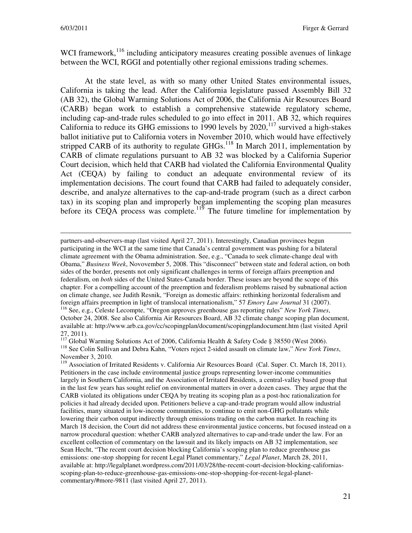WCI framework,<sup>116</sup> including anticipatory measures creating possible avenues of linkage between the WCI, RGGI and potentially other regional emissions trading schemes.

At the state level, as with so many other United States environmental issues, California is taking the lead. After the California legislature passed Assembly Bill 32 (AB 32), the Global Warming Solutions Act of 2006, the California Air Resources Board (CARB) began work to establish a comprehensive statewide regulatory scheme, including cap-and-trade rules scheduled to go into effect in 2011. AB 32, which requires California to reduce its GHG emissions to 1990 levels by 2020,<sup>117</sup> survived a high-stakes ballot initiative put to California voters in November 2010, which would have effectively stripped CARB of its authority to regulate  $GHGs$ <sup>118</sup> In March 2011, implementation by CARB of climate regulations pursuant to AB 32 was blocked by a California Superior Court decision, which held that CARB had violated the California Environmental Quality Act (CEQA) by failing to conduct an adequate environmental review of its implementation decisions. The court found that CARB had failed to adequately consider, describe, and analyze alternatives to the cap-and-trade program (such as a direct carbon tax) in its scoping plan and improperly began implementing the scoping plan measures before its CEQA process was complete. $119$  The future timeline for implementation by

partners-and-observers-map (last visited April 27, 2011). Interestingly, Canadian provinces begun participating in the WCI at the same time that Canada's central government was pushing for a bilateral climate agreement with the Obama administration. See, e.g., "Canada to seek climate-change deal with Obama," *Business Week*, Novovember 5, 2008. This "disconnect" between state and federal action, on both sides of the border, presents not only significant challenges in terms of foreign affairs preemption and federalism, on *both* sides of the United States-Canada border. These issues are beyond the scope of this chapter. For a compelling account of the preemption and federalism problems raised by subnational action on climate change, see Judith Resnik, "Foreign as domestic affairs: rethinking horizontal federalism and foreign affairs preemption in light of translocal internationalism," 57 *Emory Law Journal* 31 (2007).

<sup>116</sup> See, e.g., Celeste Lecompte, "Oregon approves greenhouse gas reporting rules" *New York Times*, October 24, 2008. See also California Air Resources Board, AB 32 climate change scoping plan document, available at: http://www.arb.ca.gov/cc/scopingplan/document/scopingplandocument.htm (last visited April 27, 2011).

<sup>117</sup> Global Warming Solutions Act of 2006, California Health & Safety Code § 38550 (West 2006). <sup>118</sup> See Colin Sullivan and Debra Kahn, "Voters reject 2-sided assault on climate law," *New York Times*, November 3, 2010.

<sup>119</sup> Association of Irritated Residents v. California Air Resources Board (Cal. Super. Ct. March 18, 2011). Petitioners in the case include environmental justice groups representing lower-income communities largely in Southern California, and the Association of Irritated Residents, a central-valley based group that in the last few years has sought relief on environmental matters in over a dozen cases. They argue that the CARB violated its obligations under CEQA by treating its scoping plan as a post-hoc rationalization for policies it had already decided upon. Petitioners believe a cap-and-trade program would allow industrial facilities, many situated in low-income communities, to continue to emit non-GHG pollutants while lowering their carbon output indirectly through emissions trading on the carbon market. In reaching its March 18 decision, the Court did not address these environmental justice concerns, but focused instead on a narrow procedural question: whether CARB analyzed alternatives to cap-and-trade under the law. For an excellent collection of commentary on the lawsuit and its likely impacts on AB 32 implementation, see Sean Hecht, "The recent court decision blocking California's scoping plan to reduce greenhouse gas emissions: one-stop shopping for recent Legal Planet commentary," *Legal Planet*, March 28, 2011, available at: http://legalplanet.wordpress.com/2011/03/28/the-recent-court-decision-blocking-californiasscoping-plan-to-reduce-greenhouse-gas-emissions-one-stop-shopping-for-recent-legal-planetcommentary/#more-9811 (last visited April 27, 2011).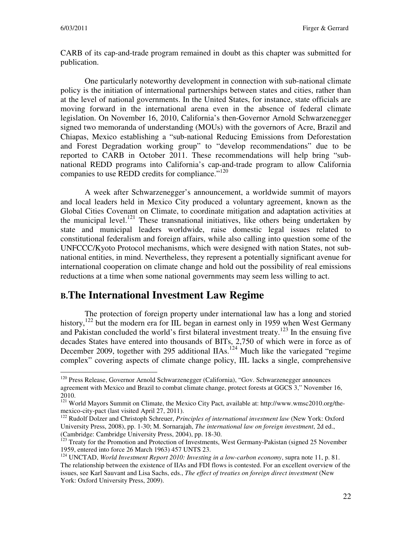CARB of its cap-and-trade program remained in doubt as this chapter was submitted for publication.

One particularly noteworthy development in connection with sub-national climate policy is the initiation of international partnerships between states and cities, rather than at the level of national governments. In the United States, for instance, state officials are moving forward in the international arena even in the absence of federal climate legislation. On November 16, 2010, California's then-Governor Arnold Schwarzenegger signed two memoranda of understanding (MOUs) with the governors of Acre, Brazil and Chiapas, Mexico establishing a "sub-national Reducing Emissions from Deforestation and Forest Degradation working group" to "develop recommendations" due to be reported to CARB in October 2011. These recommendations will help bring "subnational REDD programs into California's cap-and-trade program to allow California companies to use REDD credits for compliance."<sup>120</sup>

A week after Schwarzenegger's announcement, a worldwide summit of mayors and local leaders held in Mexico City produced a voluntary agreement, known as the Global Cities Covenant on Climate, to coordinate mitigation and adaptation activities at the municipal level.<sup>121</sup> These transnational initiatives, like others being undertaken by state and municipal leaders worldwide, raise domestic legal issues related to constitutional federalism and foreign affairs, while also calling into question some of the UNFCCC/Kyoto Protocol mechanisms, which were designed with nation States, not subnational entities, in mind. Nevertheless, they represent a potentially significant avenue for international cooperation on climate change and hold out the possibility of real emissions reductions at a time when some national governments may seem less willing to act.

## **B.The International Investment Law Regime**

The protection of foreign property under international law has a long and storied history,  $122$  but the modern era for IIL began in earnest only in 1959 when West Germany and Pakistan concluded the world's first bilateral investment treaty.<sup>123</sup> In the ensuing five decades States have entered into thousands of BITs, 2,750 of which were in force as of December 2009, together with 295 additional IIAs.<sup>124</sup> Much like the variegated "regime" complex" covering aspects of climate change policy, IIL lacks a single, comprehensive

<sup>&</sup>lt;sup>120</sup> Press Release, Governor Arnold Schwarzenegger (California), "Gov. Schwarzenegger announces agreement with Mexico and Brazil to combat climate change, protect forests at GGCS 3," November 16, 2010.

<sup>&</sup>lt;sup>121</sup> World Mayors Summit on Climate, the Mexico City Pact, available at: http://www.wmsc2010.org/themexico-city-pact (last visited April 27, 2011).

<sup>122</sup> Rudolf Dolzer and Christoph Schreuer, *Principles of international investment law* (New York: Oxford University Press, 2008), pp. 1-30; M. Sornarajah, *The international law on foreign investment*, 2d ed., (Cambridge: Cambridge University Press, 2004), pp. 18-30.

<sup>&</sup>lt;sup>123</sup> Treaty for the Promotion and Protection of Investments, West Germany-Pakistan (signed 25 November 1959, entered into force 26 March 1963) 457 UNTS 23.

<sup>124</sup> UNCTAD, *World Investment Report 2010: Investing in a low-carbon economy*, supra note 11, p. 81. The relationship between the existence of IIAs and FDI flows is contested. For an excellent overview of the issues, see Karl Sauvant and Lisa Sachs, eds., *The effect of treaties on foreign direct investment* (New York: Oxford University Press, 2009).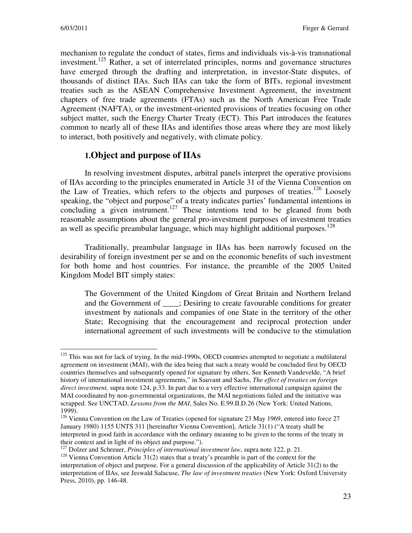mechanism to regulate the conduct of states, firms and individuals vis-à-vis transnational investment.<sup>125</sup> Rather, a set of interrelated principles, norms and governance structures have emerged through the drafting and interpretation, in investor-State disputes, of thousands of distinct IIAs. Such IIAs can take the form of BITs, regional investment treaties such as the ASEAN Comprehensive Investment Agreement, the investment chapters of free trade agreements (FTAs) such as the North American Free Trade Agreement (NAFTA), or the investment-oriented provisions of treaties focusing on other subject matter, such the Energy Charter Treaty (ECT). This Part introduces the features common to nearly all of these IIAs and identifies those areas where they are most likely to interact, both positively and negatively, with climate policy.

## **1.Object and purpose of IIAs**

In resolving investment disputes, arbitral panels interpret the operative provisions of IIAs according to the principles enumerated in Article 31 of the Vienna Convention on the Law of Treaties, which refers to the objects and purposes of treaties.<sup>126</sup> Loosely speaking, the "object and purpose" of a treaty indicates parties' fundamental intentions in concluding a given instrument.<sup>127</sup> These intentions tend to be gleaned from both reasonable assumptions about the general pro-investment purposes of investment treaties as well as specific preambular language, which may highlight additional purposes.<sup>128</sup>

Traditionally, preambular language in IIAs has been narrowly focused on the desirability of foreign investment per se and on the economic benefits of such investment for both home and host countries. For instance, the preamble of the 2005 United Kingdom Model BIT simply states:

The Government of the United Kingdom of Great Britain and Northern Ireland and the Government of \_\_\_\_; Desiring to create favourable conditions for greater investment by nationals and companies of one State in the territory of the other State; Recognising that the encouragement and reciprocal protection under international agreement of such investments will be conducive to the stimulation

 $125$  This was not for lack of trying. In the mid-1990s, OECD countries attempted to negotiate a multilateral agreement on investment (MAI), with the idea being that such a treaty would be concluded first by OECD countries themselves and subsequently opened for signature by others. See Kenneth Vandevelde, "A brief history of international investment agreements," in Sauvant and Sachs, *The effect of treaties on foreign direct investment,* supra note 124, p.33. In part due to a very effective international campaign against the MAI coordinated by non-governmental organizations, the MAI negotiations failed and the initiative was scrapped. See UNCTAD, *Lessons from the MAI*, Sales No. E.99.II.D.26 (New York: United Nations, 1999).

<sup>&</sup>lt;sup>126</sup> Vienna Convention on the Law of Treaties (opened for signature 23 May 1969, entered into force 27 January 1980) 1155 UNTS 311 [hereinafter Vienna Convention], Article 31(1) ("A treaty shall be interpreted in good faith in accordance with the ordinary meaning to be given to the terms of the treaty in their context and in light of its object and purpose.").

<sup>&</sup>lt;sup>127</sup> Dolzer and Schreuer, *Principles of international investment law*, supra note 122, p. 21.

 $128$  Vienna Convention Article  $31(2)$  states that a treaty's preamble is part of the context for the interpretation of object and purpose. For a general discussion of the applicability of Article 31(2) to the interpretation of IIAs, see Jeswald Salacuse, *The law of investment treaties* (New York: Oxford University Press, 2010), pp. 146-48.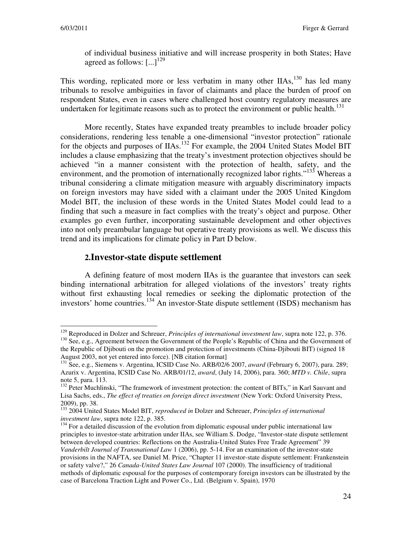of individual business initiative and will increase prosperity in both States; Have agreed as follows:  $\left[ \ldots \right]^{129}$ 

This wording, replicated more or less verbatim in many other  $IIAs$ ,  $130$  has led many tribunals to resolve ambiguities in favor of claimants and place the burden of proof on respondent States, even in cases where challenged host country regulatory measures are undertaken for legitimate reasons such as to protect the environment or public health.<sup>131</sup>

More recently, States have expanded treaty preambles to include broader policy considerations, rendering less tenable a one-dimensional "investor protection" rationale for the objects and purposes of IIAs.<sup>132</sup> For example, the 2004 United States Model BIT includes a clause emphasizing that the treaty's investment protection objectives should be achieved "in a manner consistent with the protection of health, safety, and the environment, and the promotion of internationally recognized labor rights."<sup>133</sup> Whereas a tribunal considering a climate mitigation measure with arguably discriminatory impacts on foreign investors may have sided with a claimant under the 2005 United Kingdom Model BIT, the inclusion of these words in the United States Model could lead to a finding that such a measure in fact complies with the treaty's object and purpose. Other examples go even further, incorporating sustainable development and other objectives into not only preambular language but operative treaty provisions as well. We discuss this trend and its implications for climate policy in Part D below.

#### **2.Investor-state dispute settlement**

A defining feature of most modern IIAs is the guarantee that investors can seek binding international arbitration for alleged violations of the investors' treaty rights without first exhausting local remedies or seeking the diplomatic protection of the investors' home countries.<sup>134</sup> An investor-State dispute settlement (ISDS) mechanism has

<sup>&</sup>lt;sup>129</sup> Reproduced in Dolzer and Schreuer, *Principles of international investment law*, supra note 122, p. 376. <sup>130</sup> See, e.g., Agreement between the Government of the People's Republic of China and the Government of the Republic of Djibouti on the promotion and protection of investments (China-Djibouti BIT) (signed 18 August 2003, not yet entered into force). [NB citation format]

<sup>131</sup> See, e.g., Siemens v. Argentina, ICSID Case No. ARB/02/6 2007, *award* (February 6, 2007), para. 289; Azurix v. Argentina, ICSID Case No. ARB/01/12, *award*, (July 14, 2006), para. 360; *MTD v. Chile*, supra note 5, para. 113.

<sup>&</sup>lt;sup>132</sup> Peter Muchlinski, "The framework of investment protection: the content of BITs," in Karl Sauvant and Lisa Sachs, eds., *The effect of treaties on foreign direct investment* (New York: Oxford University Press, 2009), pp. 38.

<sup>133</sup> 2004 United States Model BIT, *reproduced in* Dolzer and Schreuer, *Principles of international investment law*, supra note 122, p. 385.

<sup>&</sup>lt;sup>134</sup> For a detailed discussion of the evolution from diplomatic espousal under public international law principles to investor-state arbitration under IIAs, see William S. Dodge, "Investor-state dispute settlement between developed countries: Reflections on the Australia-United States Free Trade Agreement" 39 *Vanderbilt Journal of Transnational Law* 1 (2006), pp. 5-14. For an examination of the investor-state provisions in the NAFTA, see Daniel M. Price, "Chapter 11 investor-state dispute settlement: Frankenstein or safety valve?," 26 *Canada-United States Law Journal* 107 (2000). The insufficiency of traditional methods of diplomatic espousal for the purposes of contemporary foreign investors can be illustrated by the case of Barcelona Traction Light and Power Co., Ltd. (Belgium v. Spain), 1970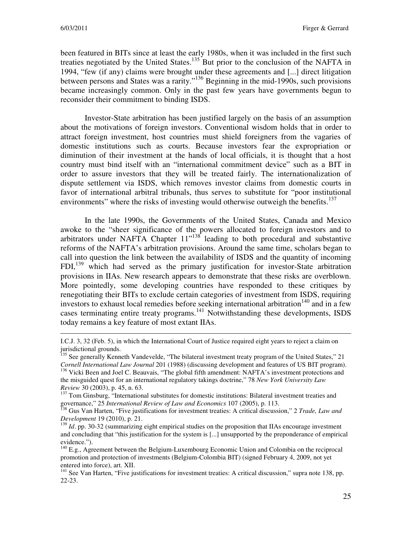been featured in BITs since at least the early 1980s, when it was included in the first such treaties negotiated by the United States.<sup>135</sup> But prior to the conclusion of the NAFTA in 1994, "few (if any) claims were brought under these agreements and [...] direct litigation between persons and States was a rarity."<sup>136</sup> Beginning in the mid-1990s, such provisions became increasingly common. Only in the past few years have governments begun to reconsider their commitment to binding ISDS.

Investor-State arbitration has been justified largely on the basis of an assumption about the motivations of foreign investors. Conventional wisdom holds that in order to attract foreign investment, host countries must shield foreigners from the vagaries of domestic institutions such as courts. Because investors fear the expropriation or diminution of their investment at the hands of local officials, it is thought that a host country must bind itself with an "international commitment device" such as a BIT in order to assure investors that they will be treated fairly. The internationalization of dispute settlement via ISDS, which removes investor claims from domestic courts in favor of international arbitral tribunals, thus serves to substitute for "poor institutional environments" where the risks of investing would otherwise outweigh the benefits.<sup>137</sup>

In the late 1990s, the Governments of the United States, Canada and Mexico awoke to the "sheer significance of the powers allocated to foreign investors and to arbitrators under NAFTA Chapter  $11^{138}$  leading to both procedural and substantive reforms of the NAFTA's arbitration provisions. Around the same time, scholars began to call into question the link between the availability of ISDS and the quantity of incoming FDI,<sup>139</sup> which had served as the primary justification for investor-State arbitration provisions in IIAs. New research appears to demonstrate that these risks are overblown. More pointedly, some developing countries have responded to these critiques by renegotiating their BITs to exclude certain categories of investment from ISDS, requiring investors to exhaust local remedies before seeking international arbitration<sup>140</sup> and in a few cases terminating entire treaty programs.<sup>141</sup> Notwithstanding these developments, ISDS today remains a key feature of most extant IIAs.

I.C.J. 3, 32 (Feb. 5), in which the International Court of Justice required eight years to reject a claim on jurisdictional grounds.

<sup>&</sup>lt;sup>135</sup> See generally Kenneth Vandevelde, "The bilateral investment treaty program of the United States," 21 *Cornell International Law Journal* 201 (1988) (discussing development and features of US BIT program).

<sup>&</sup>lt;sup>136</sup> Vicki Been and Joel C. Beauvais, "The global fifth amendment: NAFTA's investment protections and the misguided quest for an international regulatory takings doctrine," 78 *New York University Law Review* 30 (2003), p. 45, n. 63.

<sup>&</sup>lt;sup>137</sup> Tom Ginsburg, "International substitutes for domestic institutions: Bilateral investment treaties and governance," 25 *International Review of Law and Economics* 107 (2005), p. 113.

<sup>138</sup> Gus Van Harten, "Five justifications for investment treaties: A critical discussion," 2 *Trade, Law and Development* 19 (2010), p. 21.

<sup>&</sup>lt;sup>139</sup> *Id.* pp. 30-32 (summarizing eight empirical studies on the proposition that IIAs encourage investment and concluding that "this justification for the system is [...] unsupported by the preponderance of empirical evidence.").

<sup>&</sup>lt;sup>140</sup> E.g., Agreement between the Belgium-Luxembourg Economic Union and Colombia on the reciprocal promotion and protection of investments (Belgium-Colombia BIT) (signed February 4, 2009, not yet entered into force), art. XII.

<sup>&</sup>lt;sup>141</sup> See Van Harten, "Five justifications for investment treaties: A critical discussion," supra note 138, pp. 22-23.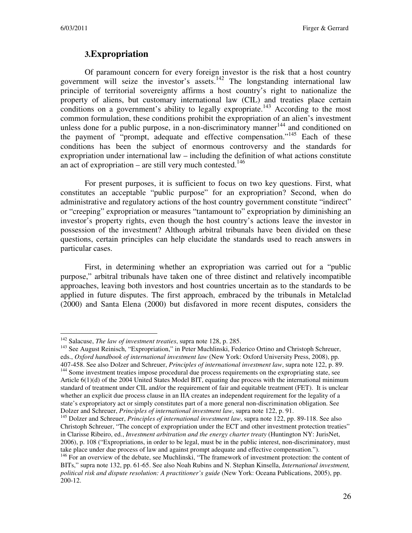## **3.Expropriation**

Of paramount concern for every foreign investor is the risk that a host country government will seize the investor's assets.<sup>142</sup> The longstanding international law principle of territorial sovereignty affirms a host country's right to nationalize the property of aliens, but customary international law (CIL) and treaties place certain conditions on a government's ability to legally expropriate.<sup>143</sup> According to the most common formulation, these conditions prohibit the expropriation of an alien's investment unless done for a public purpose, in a non-discriminatory manner $144$  and conditioned on the payment of "prompt, adequate and effective compensation."<sup>145</sup> Each of these conditions has been the subject of enormous controversy and the standards for expropriation under international law – including the definition of what actions constitute an act of expropriation – are still very much contested.<sup>146</sup>

For present purposes, it is sufficient to focus on two key questions. First, what constitutes an acceptable "public purpose" for an expropriation? Second, when do administrative and regulatory actions of the host country government constitute "indirect" or "creeping" expropriation or measures "tantamount to" expropriation by diminishing an investor's property rights, even though the host country's actions leave the investor in possession of the investment? Although arbitral tribunals have been divided on these questions, certain principles can help elucidate the standards used to reach answers in particular cases.

First, in determining whether an expropriation was carried out for a "public purpose," arbitral tribunals have taken one of three distinct and relatively incompatible approaches, leaving both investors and host countries uncertain as to the standards to be applied in future disputes. The first approach, embraced by the tribunals in Metalclad (2000) and Santa Elena (2000) but disfavored in more recent disputes, considers the

 $\overline{a}$ <sup>142</sup> Salacuse, *The law of investment treaties*, supra note 128, p. 285.

<sup>&</sup>lt;sup>143</sup> See August Reinisch, "Expropriation," in Peter Muchlinski, Federico Ortino and Christoph Schreuer, eds., *Oxford handbook of international investment law* (New York: Oxford University Press, 2008), pp.

<sup>407-458.</sup> See also Dolzer and Schreuer, *Principles of international investment law*, supra note 122, p. 89. <sup>144</sup> Some investment treaties impose procedural due process requirements on the expropriating state, see Article 6(1)(d) of the 2004 United States Model BIT, equating due process with the international minimum standard of treatment under CIL and/or the requirement of fair and equitable treatment (FET). It is unclear whether an explicit due process clause in an IIA creates an independent requirement for the legality of a state's expropriatory act or simply constitutes part of a more general non-discrimination obligation. See Dolzer and Schreuer, *Principles of international investment law*, supra note 122, p. 91.

<sup>145</sup> Dolzer and Schreuer, *Principles of international investment law*, supra note 122, pp. 89-118. See also Christoph Schreuer, "The concept of expropriation under the ECT and other investment protection treaties" in Clarisse Ribeiro, ed., *Investment arbitration and the energy charter treaty* (Huntington NY: JurisNet, 2006), p. 108 ("Expropriations, in order to be legal, must be in the public interest, non-discriminatory, must take place under due process of law and against prompt adequate and effective compensation.").

<sup>&</sup>lt;sup>146</sup> For an overview of the debate, see Muchlinski, "The framework of investment protection: the content of BITs," supra note 132, pp. 61-65. See also Noah Rubins and N. Stephan Kinsella, *International investment, political risk and dispute resolution: A practitioner's guide* (New York: Oceana Publications, 2005), pp. 200-12.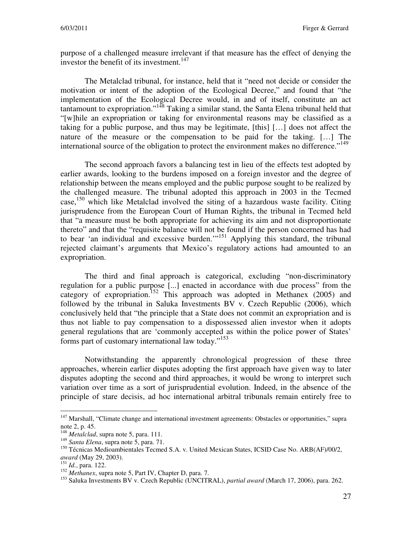purpose of a challenged measure irrelevant if that measure has the effect of denying the investor the benefit of its investment.<sup>147</sup>

The Metalclad tribunal, for instance, held that it "need not decide or consider the motivation or intent of the adoption of the Ecological Decree," and found that "the implementation of the Ecological Decree would, in and of itself, constitute an act tantamount to expropriation."<sup>148</sup> Taking a similar stand, the Santa Elena tribunal held that "[w]hile an expropriation or taking for environmental reasons may be classified as a taking for a public purpose, and thus may be legitimate, [this] […] does not affect the nature of the measure or the compensation to be paid for the taking. […] The international source of the obligation to protect the environment makes no difference."<sup>149</sup>

The second approach favors a balancing test in lieu of the effects test adopted by earlier awards, looking to the burdens imposed on a foreign investor and the degree of relationship between the means employed and the public purpose sought to be realized by the challenged measure. The tribunal adopted this approach in 2003 in the Tecmed case,<sup>150</sup> which like Metalclad involved the siting of a hazardous waste facility. Citing jurisprudence from the European Court of Human Rights, the tribunal in Tecmed held that "a measure must be both appropriate for achieving its aim and not disproportionate thereto" and that the "requisite balance will not be found if the person concerned has had to bear 'an individual and excessive burden.'<sup>151</sup> Applying this standard, the tribunal rejected claimant's arguments that Mexico's regulatory actions had amounted to an expropriation.

The third and final approach is categorical, excluding "non-discriminatory regulation for a public purpose [...] enacted in accordance with due process" from the category of expropriation.<sup>152</sup> This approach was adopted in Methanex (2005) and followed by the tribunal in Saluka Investments BV v. Czech Republic (2006), which conclusively held that "the principle that a State does not commit an expropriation and is thus not liable to pay compensation to a dispossessed alien investor when it adopts general regulations that are 'commonly accepted as within the police power of States' forms part of customary international law today."<sup>153</sup>

Notwithstanding the apparently chronological progression of these three approaches, wherein earlier disputes adopting the first approach have given way to later disputes adopting the second and third approaches, it would be wrong to interpret such variation over time as a sort of jurisprudential evolution. Indeed, in the absence of the principle of stare decisis, ad hoc international arbitral tribunals remain entirely free to

<sup>&</sup>lt;sup>147</sup> Marshall, "Climate change and international investment agreements: Obstacles or opportunities," supra note 2, p. 45.

<sup>148</sup> *Metalclad*, supra note 5, para. 111.

<sup>149</sup> *Santa Elena*, supra note 5, para. 71.

<sup>&</sup>lt;sup>150</sup> Técnicas Medioambientales Tecmed S.A. v. United Mexican States, ICSID Case No. ARB(AF)/00/2, *award* (May 29, 2003).

<sup>151</sup> *Id.*, para. 122.

<sup>152</sup> *Methanex*, supra note 5, Part IV, Chapter D, para. 7.

<sup>153</sup> Saluka Investments BV v. Czech Republic (UNCITRAL), *partial award* (March 17, 2006), para. 262.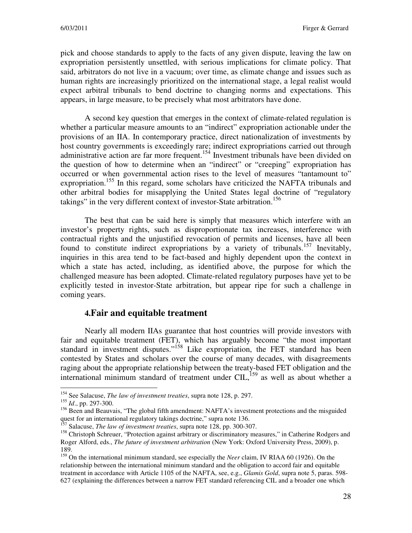pick and choose standards to apply to the facts of any given dispute, leaving the law on expropriation persistently unsettled, with serious implications for climate policy. That said, arbitrators do not live in a vacuum; over time, as climate change and issues such as human rights are increasingly prioritized on the international stage, a legal realist would expect arbitral tribunals to bend doctrine to changing norms and expectations. This appears, in large measure, to be precisely what most arbitrators have done.

A second key question that emerges in the context of climate-related regulation is whether a particular measure amounts to an "indirect" expropriation actionable under the provisions of an IIA. In contemporary practice, direct nationalization of investments by host country governments is exceedingly rare; indirect expropriations carried out through administrative action are far more frequent.<sup>154</sup> Investment tribunals have been divided on the question of how to determine when an "indirect" or "creeping" expropriation has occurred or when governmental action rises to the level of measures "tantamount to" expropriation.<sup>155</sup> In this regard, some scholars have criticized the NAFTA tribunals and other arbitral bodies for misapplying the United States legal doctrine of "regulatory takings" in the very different context of investor-State arbitration.<sup>156</sup>

The best that can be said here is simply that measures which interfere with an investor's property rights, such as disproportionate tax increases, interference with contractual rights and the unjustified revocation of permits and licenses, have all been found to constitute indirect expropriations by a variety of tribunals.<sup>157</sup> Inevitably, inquiries in this area tend to be fact-based and highly dependent upon the context in which a state has acted, including, as identified above, the purpose for which the challenged measure has been adopted. Climate-related regulatory purposes have yet to be explicitly tested in investor-State arbitration, but appear ripe for such a challenge in coming years.

#### **4.Fair and equitable treatment**

Nearly all modern IIAs guarantee that host countries will provide investors with fair and equitable treatment (FET), which has arguably become "the most important standard in investment disputes."<sup>158</sup> Like expropriation, the FET standard has been contested by States and scholars over the course of many decades, with disagreements raging about the appropriate relationship between the treaty-based FET obligation and the international minimum standard of treatment under CIL, $^{159}$  as well as about whether a

<sup>154</sup> See Salacuse, *The law of investment treaties*, supra note 128, p. 297.

<sup>155</sup> *Id*., pp. 297-300.

<sup>&</sup>lt;sup>156</sup> Been and Beauvais, "The global fifth amendment: NAFTA's investment protections and the misguided quest for an international regulatory takings doctrine," supra note 136.

<sup>157</sup> Salacuse, *The law of investment treaties*, supra note 128, pp. 300-307.

<sup>&</sup>lt;sup>158</sup> Christoph Schreuer, "Protection against arbitrary or discriminatory measures," in Catherine Rodgers and Roger Alford, eds., *The future of investment arbitration* (New York: Oxford University Press, 2009), p. 189.

<sup>159</sup> On the international minimum standard, see especially the *Neer* claim, IV RIAA 60 (1926). On the relationship between the international minimum standard and the obligation to accord fair and equitable treatment in accordance with Article 1105 of the NAFTA, see, e.g., *Glamis Gold*, supra note 5, paras. 598- 627 (explaining the differences between a narrow FET standard referencing CIL and a broader one which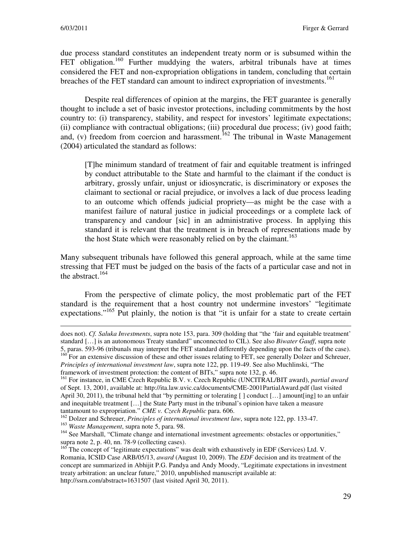due process standard constitutes an independent treaty norm or is subsumed within the FET obligation.<sup>160</sup> Further muddying the waters, arbitral tribunals have at times considered the FET and non-expropriation obligations in tandem, concluding that certain breaches of the FET standard can amount to indirect expropriation of investments.<sup>161</sup>

Despite real differences of opinion at the margins, the FET guarantee is generally thought to include a set of basic investor protections, including commitments by the host country to: (i) transparency, stability, and respect for investors' legitimate expectations; (ii) compliance with contractual obligations; (iii) procedural due process; (iv) good faith; and, (v) freedom from coercion and harassment.<sup>162</sup> The tribunal in Waste Management (2004) articulated the standard as follows:

[T]he minimum standard of treatment of fair and equitable treatment is infringed by conduct attributable to the State and harmful to the claimant if the conduct is arbitrary, grossly unfair, unjust or idiosyncratic, is discriminatory or exposes the claimant to sectional or racial prejudice, or involves a lack of due process leading to an outcome which offends judicial propriety—as might be the case with a manifest failure of natural justice in judicial proceedings or a complete lack of transparency and candour [sic] in an administrative process. In applying this standard it is relevant that the treatment is in breach of representations made by the host State which were reasonably relied on by the claimant.<sup>163</sup>

Many subsequent tribunals have followed this general approach, while at the same time stressing that FET must be judged on the basis of the facts of a particular case and not in the abstract.<sup>164</sup>

From the perspective of climate policy, the most problematic part of the FET standard is the requirement that a host country not undermine investors' "legitimate expectations."<sup>165</sup> Put plainly, the notion is that "it is unfair for a state to create certain

does not). *Cf. Saluka Investments*, supra note 153, para. 309 (holding that "the 'fair and equitable treatment' standard […] is an autonomous Treaty standard" unconnected to CIL). See also *Biwater Gauff*, supra note 5, paras. 593-96 (tribunals may interpret the FET standard differently depending upon the facts of the case).

<sup>&</sup>lt;sup>160</sup> For an extensive discussion of these and other issues relating to FET, see generally Dolzer and Schreuer, *Principles of international investment law*, supra note 122, pp. 119-49. See also Muchlinski, "The

framework of investment protection: the content of BITs," supra note 132, p. 46. <sup>161</sup> For instance, in CME Czech Republic B.V. v. Czech Republic (UNCITRAL/BIT award), *partial award* of Sept. 13, 2001, available at: http://ita.law.uvic.ca/documents/CME-2001PartialAward.pdf (last visited

April 30, 2011), the tribunal held that "by permitting or tolerating [] conduct [...] amount[ing] to an unfair and inequitable treatment […] the State Party must in the tribunal's opinion have taken a measure tantamount to expropriation." *CME v. Czech Republic* para. 606.

<sup>162</sup> Dolzer and Schreuer, *Principles of international investment law*, supra note 122, pp. 133-47. <sup>163</sup> *Waste Management*, supra note 5, para. 98.

<sup>&</sup>lt;sup>164</sup> See Marshall, "Climate change and international investment agreements: obstacles or opportunities," supra note 2, p. 40, nn. 78-9 (collecting cases).

<sup>&</sup>lt;sup>165</sup> The concept of "legitimate expectations" was dealt with exhaustively in EDF (Services) Ltd. V. Romania, ICSID Case ARB/05/13, *award* (August 10, 2009). The *EDF* decision and its treatment of the concept are summarized in Abhijit P.G. Pandya and Andy Moody, "Legitimate expectations in investment treaty arbitration: an unclear future," 2010, unpublished manuscript available at: http://ssrn.com/abstract=1631507 (last visited April 30, 2011).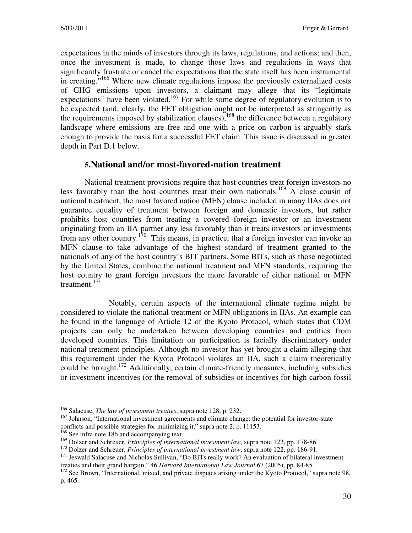expectations in the minds of investors through its laws, regulations, and actions; and then, once the investment is made, to change those laws and regulations in ways that significantly frustrate or cancel the expectations that the state itself has been instrumental in creating."<sup>166</sup> Where new climate regulations impose the previously externalized costs of GHG emissions upon investors, a claimant may allege that its "legitimate expectations" have been violated.<sup>167</sup> For while some degree of regulatory evolution is to be expected (and, clearly, the FET obligation ought not be interpreted as stringently as the requirements imposed by stabilization clauses),  $^{168}$  the difference between a regulatory landscape where emissions are free and one with a price on carbon is arguably stark enough to provide the basis for a successful FET claim. This issue is discussed in greater depth in Part D.1 below.

## **5.National and/or most-favored-nation treatment**

National treatment provisions require that host countries treat foreign investors no less favorably than the host countries treat their own nationals.<sup>169</sup> A close cousin of national treatment, the most favored nation (MFN) clause included in many IIAs does not guarantee equality of treatment between foreign and domestic investors, but rather prohibits host countries from treating a covered foreign investor or an investment originating from an IIA partner any less favorably than it treats investors or investments from any other country.<sup>170</sup> This means, in practice, that a foreign investor can invoke an MFN clause to take advantage of the highest standard of treatment granted to the nationals of any of the host country's BIT partners. Some BITs, such as those negotiated by the United States, combine the national treatment and MFN standards, requiring the host country to grant foreign investors the more favorable of either national or MFN treatment.<sup>171</sup>

 Notably, certain aspects of the international climate regime might be considered to violate the national treatment or MFN obligations in IIAs. An example can be found in the language of Article 12 of the Kyoto Protocol, which states that CDM projects can only be undertaken between developing countries and entities from developed countries. This limitation on participation is facially discriminatory under national treatment principles. Although no investor has yet brought a claim alleging that this requirement under the Kyoto Protocol violates an IIA, such a claim theoretically could be brought.<sup>172</sup> Additionally, certain climate-friendly measures, including subsidies or investment incentives (or the removal of subsidies or incentives for high carbon fossil

<sup>166</sup> Salacuse, *The law of investment treaties*, supra note 128, p. 232.

<sup>&</sup>lt;sup>167</sup> Johnson, "International investment agreements and climate change: the potential for investor-state conflicts and possible strategies for minimizing it," supra note 2, p. 11153.

<sup>&</sup>lt;sup>168</sup> See infra note 186 and accompanying text.

<sup>169</sup> Dolzer and Schreuer, *Principles of international investment law*, supra note 122, pp. 178-86.

<sup>170</sup> Dolzer and Schreuer, *Principles of international investment law*, supra note 122, pp. 186-91.

<sup>&</sup>lt;sup>171</sup> Jeswald Salacuse and Nicholas Sullivan, "Do BITs really work? An evaluation of bilateral investment treaties and their grand bargain," 46 *Harvard International Law Journal* 67 (2005), pp. 84-85.

<sup>&</sup>lt;sup>172</sup> See Brown, "International, mixed, and private disputes arising under the Kyoto Protocol," supra note 98, p. 465.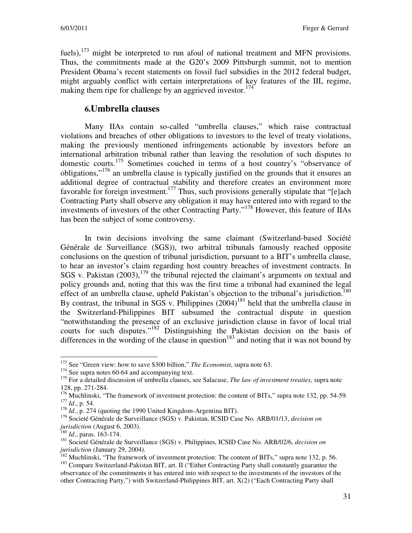fuels),  $173$  might be interpreted to run afoul of national treatment and MFN provisions. Thus, the commitments made at the G20's 2009 Pittsburgh summit, not to mention President Obama's recent statements on fossil fuel subsidies in the 2012 federal budget, might arguably conflict with certain interpretations of key features of the IIL regime, making them ripe for challenge by an aggrieved investor.<sup>174</sup>

## **6.Umbrella clauses**

Many IIAs contain so-called "umbrella clauses," which raise contractual violations and breaches of other obligations to investors to the level of treaty violations, making the previously mentioned infringements actionable by investors before an international arbitration tribunal rather than leaving the resolution of such disputes to domestic courts.<sup>175</sup> Sometimes couched in terms of a host country's "observance of obligations,"<sup>176</sup> an umbrella clause is typically justified on the grounds that it ensures an additional degree of contractual stability and therefore creates an environment more favorable for foreign investment.<sup>177</sup> Thus, such provisions generally stipulate that "[e]ach Contracting Party shall observe any obligation it may have entered into with regard to the investments of investors of the other Contracting Party."<sup>178</sup> However, this feature of IIAs has been the subject of some controversy.

In twin decisions involving the same claimant (Switzerland-based Société Générale de Surveillance (SGS)), two arbitral tribunals famously reached opposite conclusions on the question of tribunal jurisdiction, pursuant to a BIT's umbrella clause, to hear an investor's claim regarding host country breaches of investment contracts. In SGS v. Pakistan  $(2003)$ ,  $^{179}$  the tribunal rejected the claimant's arguments on textual and policy grounds and, noting that this was the first time a tribunal had examined the legal effect of an umbrella clause, upheld Pakistan's objection to the tribunal's jurisdiction.<sup>180</sup> By contrast, the tribunal in SGS v. Philippines  $(2004)^{181}$  held that the umbrella clause in the Switzerland-Philippines BIT subsumed the contractual dispute in question "notwithstanding the presence of an exclusive jurisdiction clause in favor of local trial courts for such disputes."<sup>182</sup> Distinguishing the Pakistan decision on the basis of differences in the wording of the clause in question<sup>183</sup> and noting that it was not bound by

<sup>&</sup>lt;sup>173</sup> See "Green view: how to save \$300 billion," *The Economist*, supra note 63.

<sup>&</sup>lt;sup>174</sup> See supra notes 60-64 and accompanying text.

<sup>&</sup>lt;sup>175</sup> For a detailed discussion of umbrella clauses, see Salacuse, *The law of investment treaties*, supra note 128, pp. 271-284.

<sup>&</sup>lt;sup>176</sup> Muchlinski, "The framework of investment protection: the content of BITs," supra note 132, pp. 54-59. <sup>177</sup> *Id*., p. 54.

<sup>&</sup>lt;sup>178</sup> *Id.*, p. 274 (quoting the 1990 United Kingdom-Argentina BIT).

<sup>179</sup> Societé Générale de Surveillance (SGS) v. Pakistan, ICSID Case No. ARB/01/13, *decision on jurisdiction* (August 6, 2003).

<sup>180</sup> *Id*., paras. 163-174.

<sup>181</sup> Societé Générale de Surveillance (SGS) v. Philippines, ICSID Case No. ARB/02/6, *decision on jurisdiction* (January 29, 2004).

 $182$  Muchlinski, "The framework of investment protection: The content of BITs," supra note 132, p. 56.

<sup>&</sup>lt;sup>183</sup> Compare Switzerland-Pakistan BIT, art. II ("Either Contracting Party shall constantly guarantee the observance of the commitments it has entered into with respect to the investments of the investors of the other Contracting Party,") with Switzerland-Philippines BIT, art. X(2) ("Each Contracting Party shall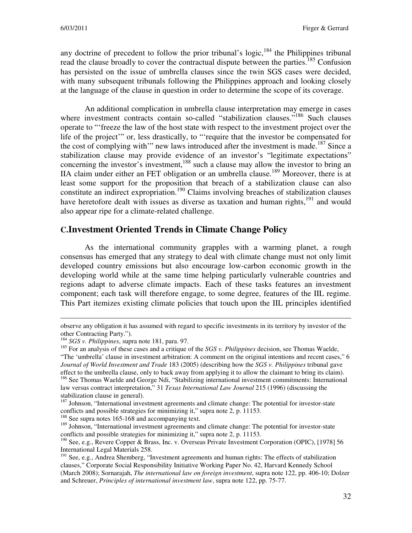any doctrine of precedent to follow the prior tribunal's logic, $184$  the Philippines tribunal read the clause broadly to cover the contractual dispute between the parties.<sup>185</sup> Confusion has persisted on the issue of umbrella clauses since the twin SGS cases were decided, with many subsequent tribunals following the Philippines approach and looking closely at the language of the clause in question in order to determine the scope of its coverage.

An additional complication in umbrella clause interpretation may emerge in cases where investment contracts contain so-called "stabilization clauses."<sup>186</sup> Such clauses operate to "'freeze the law of the host state with respect to the investment project over the life of the project'" or, less drastically, to "'require that the investor be compensated for the cost of complying with'" new laws introduced after the investment is made.<sup>187</sup> Since a stabilization clause may provide evidence of an investor's "legitimate expectations" concerning the investor's investment,<sup>188</sup> such a clause may allow the investor to bring an IIA claim under either an FET obligation or an umbrella clause.<sup>189</sup> Moreover, there is at least some support for the proposition that breach of a stabilization clause can also constitute an indirect expropriation.<sup>190</sup> Claims involving breaches of stabilization clauses have heretofore dealt with issues as diverse as taxation and human rights,<sup>191</sup> and would also appear ripe for a climate-related challenge.

#### **C.Investment Oriented Trends in Climate Change Policy**

As the international community grapples with a warming planet, a rough consensus has emerged that any strategy to deal with climate change must not only limit developed country emissions but also encourage low-carbon economic growth in the developing world while at the same time helping particularly vulnerable countries and regions adapt to adverse climate impacts. Each of these tasks features an investment component; each task will therefore engage, to some degree, features of the IIL regime. This Part itemizes existing climate policies that touch upon the IIL principles identified

 $\overline{a}$ 

<sup>188</sup> See supra notes 165-168 and accompanying text.

observe any obligation it has assumed with regard to specific investments in its territory by investor of the other Contracting Party.").

<sup>184</sup> *SGS v. Philippines*, supra note 181, para. 97.

<sup>&</sup>lt;sup>185</sup> For an analysis of these cases and a critique of the *SGS v. Philippines* decision, see Thomas Waelde, "The 'umbrella' clause in investment arbitration: A comment on the original intentions and recent cases," 6 *Journal of World Investment and Trade* 183 (2005) (describing how the *SGS v. Philippines* tribunal gave effect to the umbrella clause, only to back away from applying it to allow the claimant to bring its claim).

<sup>&</sup>lt;sup>186</sup> See Thomas Waelde and George Ndi, "Stabilizing international investment commitments: International law versus contract interpretation," 31 *Texas International Law Journal* 215 (1996) (discussing the stabilization clause in general).

 $187$  Johnson, "International investment agreements and climate change: The potential for investor-state conflicts and possible strategies for minimizing it," supra note 2, p. 11153.

<sup>&</sup>lt;sup>189</sup> Johnson, "International investment agreements and climate change: The potential for investor-state conflicts and possible strategies for minimizing it," supra note 2, p. 11153.

<sup>190</sup> See, e.g., Revere Copper & Brass, Inc. v. Overseas Private Investment Corporation (OPIC), [1978] 56 International Legal Materials 258.

<sup>&</sup>lt;sup>191</sup> See, e.g., Andrea Shemberg, "Investment agreements and human rights: The effects of stabilization clauses," Corporate Social Responsibility Initiative Working Paper No. 42, Harvard Kennedy School (March 2008); Sornarajah, *The international law on foreign investment*, supra note 122, pp. 406-10; Dolzer and Schreuer, *Principles of international investment law*, supra note 122, pp. 75-77.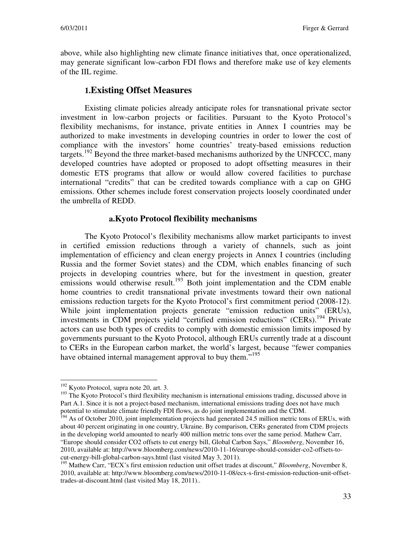above, while also highlighting new climate finance initiatives that, once operationalized, may generate significant low-carbon FDI flows and therefore make use of key elements of the IIL regime.

## **1.Existing Offset Measures**

Existing climate policies already anticipate roles for transnational private sector investment in low-carbon projects or facilities. Pursuant to the Kyoto Protocol's flexibility mechanisms, for instance, private entities in Annex I countries may be authorized to make investments in developing countries in order to lower the cost of compliance with the investors' home countries' treaty-based emissions reduction targets.<sup>192</sup> Beyond the three market-based mechanisms authorized by the UNFCCC, many developed countries have adopted or proposed to adopt offsetting measures in their domestic ETS programs that allow or would allow covered facilities to purchase international "credits" that can be credited towards compliance with a cap on GHG emissions. Other schemes include forest conservation projects loosely coordinated under the umbrella of REDD.

#### **a.Kyoto Protocol flexibility mechanisms**

The Kyoto Protocol's flexibility mechanisms allow market participants to invest in certified emission reductions through a variety of channels, such as joint implementation of efficiency and clean energy projects in Annex I countries (including Russia and the former Soviet states) and the CDM, which enables financing of such projects in developing countries where, but for the investment in question, greater emissions would otherwise result.<sup>193</sup> Both joint implementation and the CDM enable home countries to credit transnational private investments toward their own national emissions reduction targets for the Kyoto Protocol's first commitment period (2008-12). While joint implementation projects generate "emission reduction units" (ERUs), investments in CDM projects yield "certified emission reductions" (CERs).<sup>194</sup> Private actors can use both types of credits to comply with domestic emission limits imposed by governments pursuant to the Kyoto Protocol, although ERUs currently trade at a discount to CERs in the European carbon market, the world's largest, because "fewer companies have obtained internal management approval to buy them."<sup>195</sup>

<sup>&</sup>lt;sup>192</sup> Kyoto Protocol, supra note 20, art. 3.

<sup>&</sup>lt;sup>193</sup> The Kyoto Protocol's third flexibility mechanism is international emissions trading, discussed above in Part A.1. Since it is not a project-based mechanism, international emissions trading does not have much potential to stimulate climate friendly FDI flows, as do joint implementation and the CDM.

<sup>&</sup>lt;sup>194</sup> As of October 2010, joint implementation projects had generated 24.5 million metric tons of ERUs, with about 40 percent originating in one country, Ukraine. By comparison, CERs generated from CDM projects in the developing world amounted to nearly 400 million metric tons over the same period. Mathew Carr, "Europe should consider CO2 offsets to cut energy bill, Global Carbon Says," *Bloomberg*, November 16, 2010, available at: http://www.bloomberg.com/news/2010-11-16/europe-should-consider-co2-offsets-tocut-energy-bill-global-carbon-says.html (last visited May 3, 2011).

<sup>&</sup>lt;sup>195</sup> Mathew Carr, "ECX's first emission reduction unit offset trades at discount," *Bloomberg*, November 8, 2010, available at: http://www.bloomberg.com/news/2010-11-08/ecx-s-first-emission-reduction-unit-offsettrades-at-discount.html (last visited May 18, 2011)..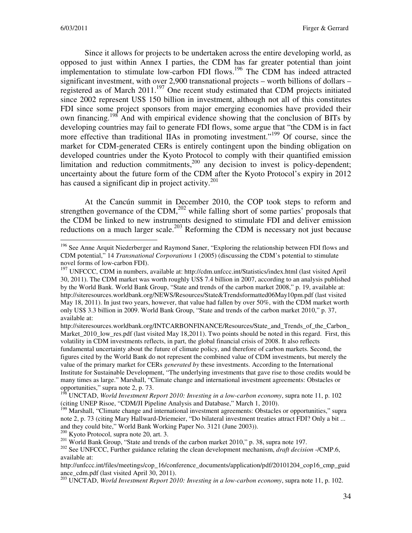Since it allows for projects to be undertaken across the entire developing world, as opposed to just within Annex I parties, the CDM has far greater potential than joint implementation to stimulate low-carbon FDI flows.<sup>196</sup> The CDM has indeed attracted significant investment, with over 2,900 transnational projects – worth billions of dollars – registered as of March  $2011$ <sup>197</sup> One recent study estimated that CDM projects initiated since 2002 represent US\$ 150 billion in investment, although not all of this constitutes FDI since some project sponsors from major emerging economies have provided their own financing.<sup>198</sup> And with empirical evidence showing that the conclusion of BITs by developing countries may fail to generate FDI flows, some argue that "the CDM is in fact more effective than traditional IIAs in promoting investment."<sup>199</sup> Of course, since the market for CDM-generated CERs is entirely contingent upon the binding obligation on developed countries under the Kyoto Protocol to comply with their quantified emission limitation and reduction commitments,  $200$  any decision to invest is policy-dependent; uncertainty about the future form of the CDM after the Kyoto Protocol's expiry in 2012 has caused a significant dip in project activity.<sup>201</sup>

At the Cancún summit in December 2010, the COP took steps to reform and strengthen governance of the CDM, $^{202}$  while falling short of some parties' proposals that the CDM be linked to new instruments designed to stimulate FDI and deliver emission reductions on a much larger scale.<sup>203</sup> Reforming the CDM is necessary not just because

 $200$  Kyoto Protocol, supra note 20, art. 3.

<sup>&</sup>lt;sup>196</sup> See Anne Arquit Niederberger and Raymond Saner, "Exploring the relationship between FDI flows and CDM potential," 14 *Transnational Corporations* 1 (2005) (discussing the CDM's potential to stimulate novel forms of low-carbon FDI).

<sup>&</sup>lt;sup>197</sup> UNFCCC, CDM in numbers, available at: http://cdm.unfccc.int/Statistics/index.html (last visited April) 30, 2011). The CDM market was worth roughly US\$ 7.4 billion in 2007, according to an analysis published by the World Bank. World Bank Group, "State and trends of the carbon market 2008," p. 19, available at: http://siteresources.worldbank.org/NEWS/Resources/State&Trendsformatted06May10pm.pdf (last visited May 18, 2011). In just two years, however, that value had fallen by over 50%, with the CDM market worth only US\$ 3.3 billion in 2009. World Bank Group, "State and trends of the carbon market 2010," p. 37, available at:

http://siteresources.worldbank.org/INTCARBONFINANCE/Resources/State\_and\_Trends\_of\_the\_Carbon\_ Market\_2010\_low\_res.pdf (last visited May 18,2011). Two points should be noted in this regard. First, this volatility in CDM investments reflects, in part, the global financial crisis of 2008. It also reflects fundamental uncertainty about the future of climate policy, and therefore of carbon markets. Second, the figures cited by the World Bank do not represent the combined value of CDM investments, but merely the value of the primary market for CERs *generated by* these investments. According to the International Institute for Sustainable Development, "The underlying investments that gave rise to those credits would be many times as large." Marshall, "Climate change and international investment agreements: Obstacles or opportunities," supra note 2, p. 73.

<sup>198</sup> UNCTAD, *World Investment Report 2010: Investing in a low-carbon economy*, supra note 11, p. 102 (citing UNEP Risoe, "CDM/JI Pipeline Analysis and Database," March 1, 2010).

<sup>&</sup>lt;sup>199</sup> Marshall, "Climate change and international investment agreements: Obstacles or opportunities," supra note 2, p. 73 (citing Mary Hallward-Driemeier, "Do bilateral investment treaties attract FDI? Only a bit ... and they could bite," World Bank Working Paper No. 3121 (June 2003)).

<sup>&</sup>lt;sup>201</sup> World Bank Group, "State and trends of the carbon market 2010," p. 38, supra note 197.

<sup>&</sup>lt;sup>202</sup> See UNFCCC, Further guidance relating the clean development mechanism, *draft decision* -/CMP.6, available at:

http://unfccc.int/files/meetings/cop\_16/conference\_documents/application/pdf/20101204\_cop16\_cmp\_guid ance\_cdm.pdf (last visited April 30, 2011).

<sup>203</sup> UNCTAD, *World Investment Report 2010: Investing in a low-carbon economy*, supra note 11, p. 102.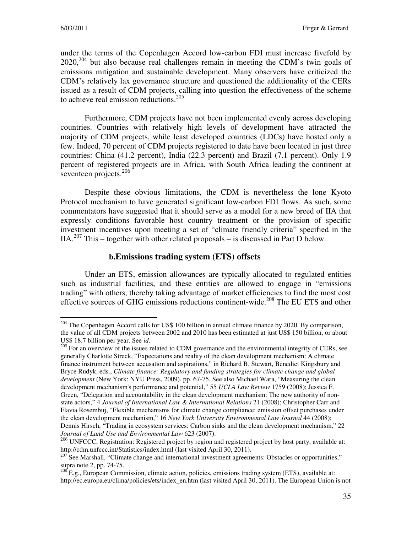under the terms of the Copenhagen Accord low-carbon FDI must increase fivefold by  $2020$ <sup>204</sup> but also because real challenges remain in meeting the CDM's twin goals of emissions mitigation and sustainable development. Many observers have criticized the CDM's relatively lax governance structure and questioned the additionality of the CERs issued as a result of CDM projects, calling into question the effectiveness of the scheme to achieve real emission reductions.<sup>205</sup>

Furthermore, CDM projects have not been implemented evenly across developing countries. Countries with relatively high levels of development have attracted the majority of CDM projects, while least developed countries (LDCs) have hosted only a few. Indeed, 70 percent of CDM projects registered to date have been located in just three countries: China (41.2 percent), India (22.3 percent) and Brazil (7.1 percent). Only 1.9 percent of registered projects are in Africa, with South Africa leading the continent at seventeen projects.<sup>206</sup>

Despite these obvious limitations, the CDM is nevertheless the lone Kyoto Protocol mechanism to have generated significant low-carbon FDI flows. As such, some commentators have suggested that it should serve as a model for a new breed of IIA that expressly conditions favorable host country treatment or the provision of specific investment incentives upon meeting a set of "climate friendly criteria" specified in the IIA.<sup>207</sup> This – together with other related proposals – is discussed in Part D below.

#### **b.Emissions trading system (ETS) offsets**

Under an ETS, emission allowances are typically allocated to regulated entities such as industrial facilities, and these entities are allowed to engage in "emissions trading" with others, thereby taking advantage of market efficiencies to find the most cost effective sources of GHG emissions reductions continent-wide.<sup>208</sup> The EU ETS and other

<sup>&</sup>lt;sup>204</sup> The Copenhagen Accord calls for US\$ 100 billion in annual climate finance by 2020. By comparison, the value of all CDM projects between 2002 and 2010 has been estimated at just US\$ 150 billion, or about US\$ 18.7 billion per year. See *id*.

<sup>&</sup>lt;sup>205</sup> For an overview of the issues related to CDM governance and the environmental integrity of CERs, see generally Charlotte Streck, "Expectations and reality of the clean development mechanism: A climate finance instrument between accusation and aspirations," in Richard B. Stewart, Benedict Kingsbury and Bryce Rudyk, eds., *Climate finance: Regulatory and funding strategies for climate change and global development* (New York: NYU Press, 2009), pp. 67-75. See also Michael Wara, "Measuring the clean development mechanism's performance and potential," 55 *UCLA Law Review* 1759 (2008); Jessica F. Green, "Delegation and accountability in the clean development mechanism: The new authority of nonstate actors," 4 *Journal of International Law & International Relations* 21 (2008); Christopher Carr and Flavia Rosembuj, "Flexible mechanisms for climate change compliance: emission offset purchases under the clean development mechanism," 16 *New York University Environmental Law Journal* 44 (2008); Dennis Hirsch, "Trading in ecosystem services: Carbon sinks and the clean development mechanism," 22 *Journal of Land Use and Environmental Law* 623 (2007).

<sup>206</sup> UNFCCC, Registration: Registered project by region and registered project by host party, available at: http://cdm.unfccc.int/Statistics/index.html (last visited April 30, 2011).

<sup>&</sup>lt;sup>207</sup> See Marshall, "Climate change and international investment agreements: Obstacles or opportunities," supra note 2, pp. 74-75.

 $^{208}$  E.g., European Commission, climate action, policies, emissions trading system (ETS), available at: http://ec.europa.eu/clima/policies/ets/index\_en.htm (last visited April 30, 2011). The European Union is not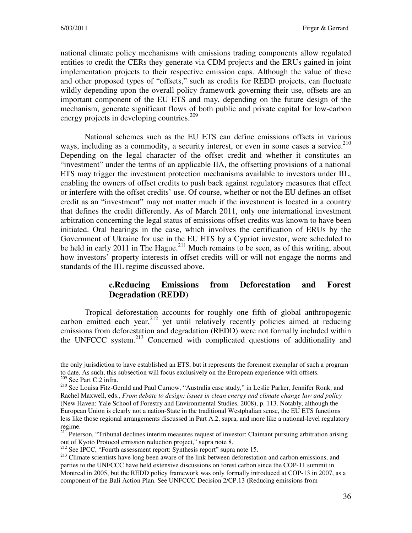national climate policy mechanisms with emissions trading components allow regulated entities to credit the CERs they generate via CDM projects and the ERUs gained in joint implementation projects to their respective emission caps. Although the value of these and other proposed types of "offsets," such as credits for REDD projects, can fluctuate wildly depending upon the overall policy framework governing their use, offsets are an important component of the EU ETS and may, depending on the future design of the mechanism, generate significant flows of both public and private capital for low-carbon energy projects in developing countries.<sup>209</sup>

National schemes such as the EU ETS can define emissions offsets in various ways, including as a commodity, a security interest, or even in some cases a service. $2^{10}$ Depending on the legal character of the offset credit and whether it constitutes an "investment" under the terms of an applicable IIA, the offsetting provisions of a national ETS may trigger the investment protection mechanisms available to investors under IIL, enabling the owners of offset credits to push back against regulatory measures that effect or interfere with the offset credits' use. Of course, whether or not the EU defines an offset credit as an "investment" may not matter much if the investment is located in a country that defines the credit differently. As of March 2011, only one international investment arbitration concerning the legal status of emissions offset credits was known to have been initiated. Oral hearings in the case, which involves the certification of ERUs by the Government of Ukraine for use in the EU ETS by a Cypriot investor, were scheduled to be held in early 2011 in The Hague.<sup>211</sup> Much remains to be seen, as of this writing, about how investors' property interests in offset credits will or will not engage the norms and standards of the IIL regime discussed above.

#### **c.Reducing Emissions from Deforestation and Forest Degradation (REDD)**

Tropical deforestation accounts for roughly one fifth of global anthropogenic carbon emitted each year,  $212$  yet until relatively recently policies aimed at reducing emissions from deforestation and degradation (REDD) were not formally included within the UNFCCC system.<sup>213</sup> Concerned with complicated questions of additionality and

the only jurisdiction to have established an ETS, but it represents the foremost exemplar of such a program to date. As such, this subsection will focus exclusively on the European experience with offsets. <sup>209</sup> See Part C.2 infra.

<sup>&</sup>lt;sup>210</sup> See Louisa Fitz-Gerald and Paul Curnow, "Australia case study," in Leslie Parker, Jennifer Ronk, and Rachel Maxwell, eds., *From debate to design: issues in clean energy and climate change law and policy* (New Haven: Yale School of Forestry and Environmental Studies, 2008), p. 113. Notably, although the European Union is clearly not a nation-State in the traditional Westphalian sense, the EU ETS functions less like those regional arrangements discussed in Part A.2, supra, and more like a national-level regulatory regime.

<sup>&</sup>lt;sup>211</sup> Peterson, "Tribunal declines interim measures request of investor: Claimant pursuing arbitration arising out of Kyoto Protocol emission reduction project," supra note 8.

<sup>&</sup>lt;sup>212</sup> See IPCC, "Fourth assessment report: Synthesis report" supra note 15.

<sup>&</sup>lt;sup>213</sup> Climate scientists have long been aware of the link between deforestation and carbon emissions, and parties to the UNFCCC have held extensive discussions on forest carbon since the COP-11 summit in Montreal in 2005, but the REDD policy framework was only formally introduced at COP-13 in 2007, as a component of the Bali Action Plan. See UNFCCC Decision 2/CP.13 (Reducing emissions from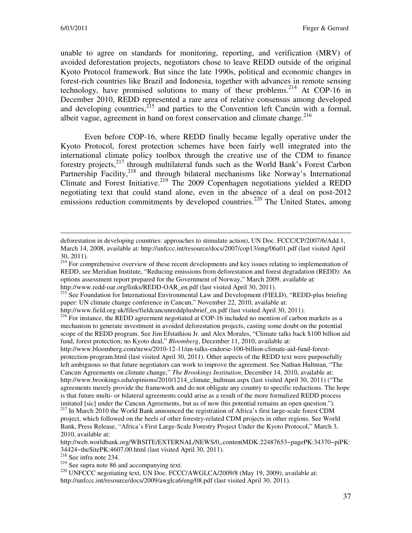unable to agree on standards for monitoring, reporting, and verification (MRV) of avoided deforestation projects, negotiators chose to leave REDD outside of the original Kyoto Protocol framework. But since the late 1990s, political and economic changes in forest-rich countries like Brazil and Indonesia, together with advances in remote sensing technology, have promised solutions to many of these problems.<sup>214</sup> At COP-16 in December 2010, REDD represented a rare area of relative consensus among developed and developing countries, $2^{15}$  and parties to the Convention left Cancún with a formal, albeit vague, agreement in hand on forest conservation and climate change.<sup>216</sup>

Even before COP-16, where REDD finally became legally operative under the Kyoto Protocol, forest protection schemes have been fairly well integrated into the international climate policy toolbox through the creative use of the CDM to finance forestry projects,<sup>217</sup> through multilateral funds such as the World Bank's Forest Carbon Partnership Facility,<sup>218</sup> and through bilateral mechanisms like Norway's International Climate and Forest Initiative.<sup>219</sup> The 2009 Copenhagen negotiations yielded a REDD negotiating text that could stand alone, even in the absence of a deal on post-2012 emissions reduction commitments by developed countries.<sup>220</sup> The United States, among

http://www.field.org.uk/files/fieldcancunreddplusbrief\_en.pdf (last visited April 30, 2011).

deforestation in developing countries: approaches to stimulate action), UN Doc. FCCC/CP/2007/6/Add.1, March 14, 2008, available at: http://unfccc.int/resource/docs/2007/cop13/eng/06a01.pdf (last visited April 30, 2011).

<sup>&</sup>lt;sup>214</sup> For comprehensive overview of these recent developments and key issues relating to implementation of REDD, see Meridian Institute, "Reducing emissions from deforestation and forest degradation (REDD): An options assessment report prepared for the Government of Norway," March 2009, available at: http://www.redd-oar.org/links/REDD-OAR\_en.pdf (last visited April 30, 2011).

<sup>&</sup>lt;sup>215</sup> See Foundation for International Environmental Law and Development (FIELD), "REDD-plus briefing paper: UN climate change conference in Cancun," November 22, 2010, available at:

<sup>&</sup>lt;sup>216</sup> For instance, the REDD agreement negotiated at COP-16 included no mention of carbon markets as a mechanism to generate investment in avoided deforestation projects, casting some doubt on the potential scope of the REDD program. See Jim Efstathiou Jr. and Alex Morales, "Climate talks back \$100 billion aid fund, forest protection; no Kyoto deal," *Bloomberg*, December 11, 2010, available at:

http://www.bloomberg.com/news/2010-12-11/un-talks-endorse-100-billion-climate-aid-fund-forestprotection-program.html (last visited April 30, 2011). Other aspects of the REDD text were purposefully left ambiguous so that future negotiators can work to improve the agreement. See Nathan Hultman, "The Cancun Agreements on climate change," *The Brookings Institution*, December 14, 2010, available at: http://www.brookings.edu/opinions/2010/1214 climate hultman.aspx (last visited April 30, 2011) ("The agreements merely provide the framework and do not obligate any country to specific reductions. The hope is that future multi- or bilateral agreements could arise as a result of the more formalized REDD process imitated [sic] under the Cancun Agreements, but as of now this potential remains an open question.").

<sup>&</sup>lt;sup>217</sup> In March 2010 the World Bank announced the registration of Africa's first large-scale forest CDM project, which followed on the heels of other forestry-related CDM projects in other regions. See World Bank, Press Release, "Africa's First Large-Scale Forestry Project Under the Kyoto Protocol," March 3, 2010, available at:

http://web.worldbank.org/WBSITE/EXTERNAL/NEWS/0,,contentMDK:22487653~pagePK:34370~piPK: 34424~theSitePK:4607,00.html (last visited April 30, 2011).

 $218$  See infra note 234.

<sup>&</sup>lt;sup>219</sup> See supra note 86 and accompanying text.

<sup>&</sup>lt;sup>220</sup> UNFCCC negotiating text, UN Doc. FCCC/AWGLCA/2009/8 (May 19, 2009), available at: http://unfccc.int/resource/docs/2009/awglca6/eng/08.pdf (last visited April 30, 2011).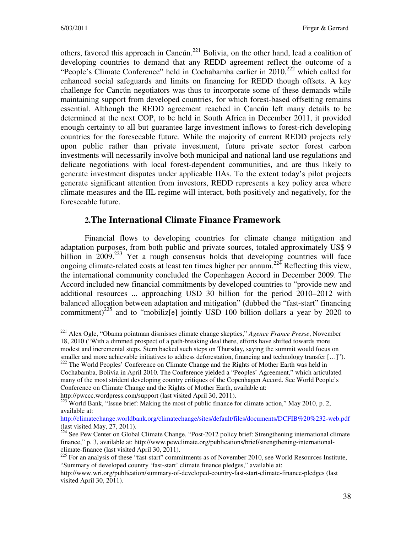others, favored this approach in Cancún.<sup>221</sup> Bolivia, on the other hand, lead a coalition of developing countries to demand that any REDD agreement reflect the outcome of a "People's Climate Conference" held in Cochabamba earlier in  $2010$ <sup>222</sup> which called for enhanced social safeguards and limits on financing for REDD though offsets. A key challenge for Cancún negotiators was thus to incorporate some of these demands while maintaining support from developed countries, for which forest-based offsetting remains essential. Although the REDD agreement reached in Cancún left many details to be determined at the next COP, to be held in South Africa in December 2011, it provided enough certainty to all but guarantee large investment inflows to forest-rich developing countries for the foreseeable future. While the majority of current REDD projects rely upon public rather than private investment, future private sector forest carbon investments will necessarily involve both municipal and national land use regulations and delicate negotiations with local forest-dependent communities, and are thus likely to generate investment disputes under applicable IIAs. To the extent today's pilot projects generate significant attention from investors, REDD represents a key policy area where climate measures and the IIL regime will interact, both positively and negatively, for the foreseeable future.

## **2.The International Climate Finance Framework**

Financial flows to developing countries for climate change mitigation and adaptation purposes, from both public and private sources, totaled approximately US\$ 9 billion in 2009.<sup>223</sup> Yet a rough consensus holds that developing countries will face ongoing climate-related costs at least ten times higher per annum.<sup>224</sup> Reflecting this view, the international community concluded the Copenhagen Accord in December 2009. The Accord included new financial commitments by developed countries to "provide new and additional resources ... approaching USD 30 billion for the period 2010–2012 with balanced allocation between adaptation and mitigation" (dubbed the "fast-start" financing commitment)<sup>225</sup> and to "mobiliz[e] jointly USD 100 billion dollars a year by 2020 to

 $\overline{a}$ <sup>221</sup> Alex Ogle, "Obama pointman dismisses climate change skeptics," *Agence France Presse*, November 18, 2010 ("With a dimmed prospect of a path-breaking deal there, efforts have shifted towards more modest and incremental steps. Stern backed such steps on Thursday, saying the summit would focus on smaller and more achievable initiatives to address deforestation, financing and technology transfer […]").

<sup>&</sup>lt;sup>222</sup> The World Peoples' Conference on Climate Change and the Rights of Mother Earth was held in Cochabamba, Bolivia in April 2010. The Conference yielded a "Peoples' Agreement," which articulated many of the most strident developing country critiques of the Copenhagen Accord. See World People's Conference on Climate Change and the Rights of Mother Earth, available at: http://pwccc.wordpress.com/support (last visited April 30, 2011).

 $^{223}$  World Bank, "Issue brief: Making the most of public finance for climate action," May 2010, p. 2, available at:

http://climatechange.worldbank.org/climatechange/sites/default/files/documents/DCFIB%20%232-web.pdf (last visited May, 27, 2011).

 $^{224}$  See Pew Center on Global Climate Change, "Post-2012 policy brief: Strengthening international climate finance," p. 3, available at: http://www.pewclimate.org/publications/brief/strengthening-internationalclimate-finance (last visited April 30, 2011).

<sup>&</sup>lt;sup>225</sup> For an analysis of these "fast-start" commitments as of November 2010, see World Resources Institute, "Summary of developed country 'fast-start' climate finance pledges," available at:

http://www.wri.org/publication/summary-of-developed-country-fast-start-climate-finance-pledges (last visited April 30, 2011).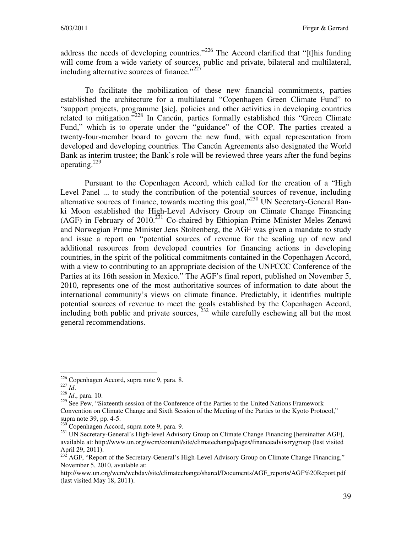address the needs of developing countries."<sup>226</sup> The Accord clarified that "[t]his funding will come from a wide variety of sources, public and private, bilateral and multilateral, including alternative sources of finance."<sup>227</sup>

To facilitate the mobilization of these new financial commitments, parties established the architecture for a multilateral "Copenhagen Green Climate Fund" to "support projects, programme [sic], policies and other activities in developing countries related to mitigation."<sup>228</sup> In Cancún, parties formally established this "Green Climate Fund," which is to operate under the "guidance" of the COP. The parties created a twenty-four-member board to govern the new fund, with equal representation from developed and developing countries. The Cancún Agreements also designated the World Bank as interim trustee; the Bank's role will be reviewed three years after the fund begins operating.<sup>229</sup>

Pursuant to the Copenhagen Accord, which called for the creation of a "High Level Panel ... to study the contribution of the potential sources of revenue, including alternative sources of finance, towards meeting this goal,"<sup>230</sup> UN Secretary-General Banki Moon established the High-Level Advisory Group on Climate Change Financing (AGF) in February of  $2010$ <sup>231</sup> Co-chaired by Ethiopian Prime Minister Meles Zenawi and Norwegian Prime Minister Jens Stoltenberg, the AGF was given a mandate to study and issue a report on "potential sources of revenue for the scaling up of new and additional resources from developed countries for financing actions in developing countries, in the spirit of the political commitments contained in the Copenhagen Accord, with a view to contributing to an appropriate decision of the UNFCCC Conference of the Parties at its 16th session in Mexico." The AGF's final report, published on November 5, 2010, represents one of the most authoritative sources of information to date about the international community's views on climate finance. Predictably, it identifies multiple potential sources of revenue to meet the goals established by the Copenhagen Accord, including both public and private sources,  $^{232}$  while carefully eschewing all but the most general recommendations.

<sup>&</sup>lt;sup>226</sup> Copenhagen Accord, supra note 9, para. 8.

<sup>227</sup> *Id*.

<sup>228</sup> *Id*., para. 10.

 $229$  See Pew, "Sixteenth session of the Conference of the Parties to the United Nations Framework Convention on Climate Change and Sixth Session of the Meeting of the Parties to the Kyoto Protocol," supra note 39, pp. 4-5.

 $^{230}$ Copenhagen Accord, supra note 9, para. 9.

<sup>&</sup>lt;sup>231</sup> UN Secretary-General's High-level Advisory Group on Climate Change Financing [hereinafter AGF], available at: http://www.un.org/wcm/content/site/climatechange/pages/financeadvisorygroup (last visited April 29, 2011).

<sup>&</sup>lt;sup>232</sup> AGF, "Report of the Secretary-General's High-Level Advisory Group on Climate Change Financing," November 5, 2010, available at:

http://www.un.org/wcm/webdav/site/climatechange/shared/Documents/AGF\_reports/AGF%20Report.pdf (last visited May 18, 2011).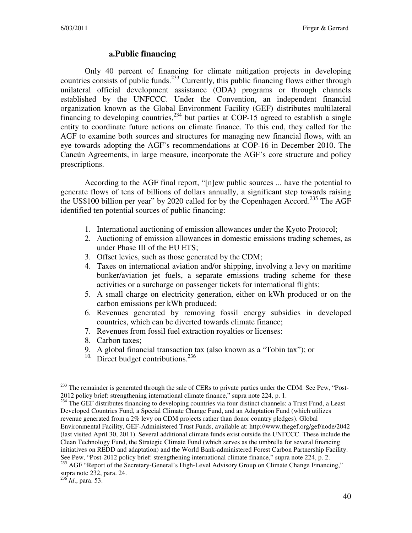#### **a.Public financing**

Only 40 percent of financing for climate mitigation projects in developing countries consists of public funds.<sup>233</sup> Currently, this public financing flows either through unilateral official development assistance (ODA) programs or through channels established by the UNFCCC. Under the Convention, an independent financial organization known as the Global Environment Facility (GEF) distributes multilateral financing to developing countries,<sup>234</sup> but parties at COP-15 agreed to establish a single entity to coordinate future actions on climate finance. To this end, they called for the AGF to examine both sources and structures for managing new financial flows, with an eye towards adopting the AGF's recommendations at COP-16 in December 2010. The Cancún Agreements, in large measure, incorporate the AGF's core structure and policy prescriptions.

According to the AGF final report, "[n]ew public sources ... have the potential to generate flows of tens of billions of dollars annually, a significant step towards raising the US\$100 billion per year" by 2020 called for by the Copenhagen Accord.<sup>235</sup> The AGF identified ten potential sources of public financing:

- 1. International auctioning of emission allowances under the Kyoto Protocol;
- 2. Auctioning of emission allowances in domestic emissions trading schemes, as under Phase III of the EU ETS;
- 3. Offset levies, such as those generated by the CDM;
- 4. Taxes on international aviation and/or shipping, involving a levy on maritime bunker/aviation jet fuels, a separate emissions trading scheme for these activities or a surcharge on passenger tickets for international flights;
- 5. A small charge on electricity generation, either on kWh produced or on the carbon emissions per kWh produced;
- 6. Revenues generated by removing fossil energy subsidies in developed countries, which can be diverted towards climate finance;
- 7. Revenues from fossil fuel extraction royalties or licenses:
- 8. Carbon taxes;
- 9. A global financial transaction tax (also known as a "Tobin tax"); or
- $10.$  Direct budget contributions.<sup>236</sup>

<sup>&</sup>lt;sup>233</sup> The remainder is generated through the sale of CERs to private parties under the CDM. See Pew, "Post-2012 policy brief: strengthening international climate finance," supra note 224, p. 1.

<sup>&</sup>lt;sup>234</sup> The GEF distributes financing to developing countries via four distinct channels: a Trust Fund, a Least Developed Countries Fund, a Special Climate Change Fund, and an Adaptation Fund (which utilizes revenue generated from a 2% levy on CDM projects rather than donor country pledges). Global Environmental Facility, GEF-Administered Trust Funds, available at: http://www.thegef.org/gef/node/2042 (last visited April 30, 2011). Several additional climate funds exist outside the UNFCCC. These include the Clean Technology Fund, the Strategic Climate Fund (which serves as the umbrella for several financing initiatives on REDD and adaptation) and the World Bank-administered Forest Carbon Partnership Facility. See Pew, "Post-2012 policy brief: strengthening international climate finance," supra note 224, p. 2.

<sup>&</sup>lt;sup>235</sup> AGF "Report of the Secretary-General's High-Level Advisory Group on Climate Change Financing," supra note 232, para. 24.

<sup>236</sup> *Id*., para. 53.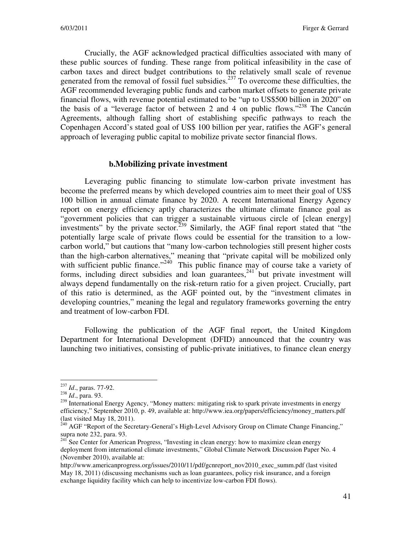Crucially, the AGF acknowledged practical difficulties associated with many of these public sources of funding. These range from political infeasibility in the case of carbon taxes and direct budget contributions to the relatively small scale of revenue generated from the removal of fossil fuel subsidies.<sup>237</sup> To overcome these difficulties, the AGF recommended leveraging public funds and carbon market offsets to generate private financial flows, with revenue potential estimated to be "up to US\$500 billion in 2020" on the basis of a "leverage factor of between 2 and 4 on public flows."<sup>238</sup> The Cancún Agreements, although falling short of establishing specific pathways to reach the Copenhagen Accord's stated goal of US\$ 100 billion per year, ratifies the AGF's general approach of leveraging public capital to mobilize private sector financial flows.

#### **b.Mobilizing private investment**

Leveraging public financing to stimulate low-carbon private investment has become the preferred means by which developed countries aim to meet their goal of US\$ 100 billion in annual climate finance by 2020. A recent International Energy Agency report on energy efficiency aptly characterizes the ultimate climate finance goal as "government policies that can trigger a sustainable virtuous circle of [clean energy] investments" by the private sector.<sup>239</sup> Similarly, the AGF final report stated that "the potentially large scale of private flows could be essential for the transition to a lowcarbon world," but cautions that "many low-carbon technologies still present higher costs than the high-carbon alternatives," meaning that "private capital will be mobilized only with sufficient public finance."<sup>240</sup> This public finance may of course take a variety of forms, including direct subsidies and loan guarantees,  $241$  but private investment will always depend fundamentally on the risk-return ratio for a given project. Crucially, part of this ratio is determined, as the AGF pointed out, by the "investment climates in developing countries," meaning the legal and regulatory frameworks governing the entry and treatment of low-carbon FDI.

Following the publication of the AGF final report, the United Kingdom Department for International Development (DFID) announced that the country was launching two initiatives, consisting of public-private initiatives, to finance clean energy

<sup>237</sup> *Id*., paras. 77-92.

<sup>238</sup> *Id*., para. 93.

<sup>&</sup>lt;sup>239</sup> International Energy Agency, "Money matters: mitigating risk to spark private investments in energy efficiency," September 2010, p. 49, available at: http://www.iea.org/papers/efficiency/money\_matters.pdf (last visited May 18, 2011).

<sup>&</sup>lt;sup>240</sup> AGF "Report of the Secretary-General's High-Level Advisory Group on Climate Change Financing," supra note 232, para. 93.

 $241$  See Center for American Progress, "Investing in clean energy: how to maximize clean energy deployment from international climate investments," Global Climate Network Discussion Paper No. 4 (November 2010), available at:

http://www.americanprogress.org/issues/2010/11/pdf/gcnreport\_nov2010\_exec\_summ.pdf (last visited May 18, 2011) (discussing mechanisms such as loan guarantees, policy risk insurance, and a foreign exchange liquidity facility which can help to incentivize low-carbon FDI flows).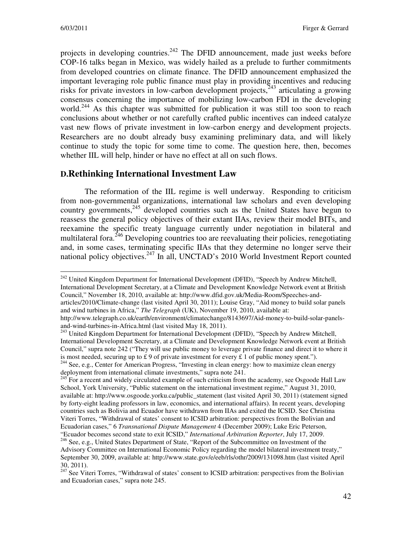projects in developing countries.<sup>242</sup> The DFID announcement, made just weeks before COP-16 talks began in Mexico, was widely hailed as a prelude to further commitments from developed countries on climate finance. The DFID announcement emphasized the important leveraging role public finance must play in providing incentives and reducing risks for private investors in low-carbon development projects, $243$  articulating a growing consensus concerning the importance of mobilizing low-carbon FDI in the developing world.<sup>244</sup> As this chapter was submitted for publication it was still too soon to reach conclusions about whether or not carefully crafted public incentives can indeed catalyze vast new flows of private investment in low-carbon energy and development projects. Researchers are no doubt already busy examining preliminary data, and will likely continue to study the topic for some time to come. The question here, then, becomes whether IIL will help, hinder or have no effect at all on such flows.

## **D.Rethinking International Investment Law**

The reformation of the IIL regime is well underway. Responding to criticism from non-governmental organizations, international law scholars and even developing country governments,<sup>245</sup> developed countries such as the United States have begun to reassess the general policy objectives of their extant IIAs, review their model BITs, and reexamine the specific treaty language currently under negotiation in bilateral and multilateral fora.  $^{246}$  Developing countries too are reevaluating their policies, renegotiating and, in some cases, terminating specific IIAs that they determine no longer serve their national policy objectives.<sup>247</sup> In all, UNCTAD's 2010 World Investment Report counted

 $\overline{a}$ <sup>242</sup> United Kingdom Department for International Development (DFID), "Speech by Andrew Mitchell, International Development Secretary, at a Climate and Development Knowledge Network event at British Council," November 18, 2010, available at: http://www.dfid.gov.uk/Media-Room/Speeches-andarticles/2010/Climate-change (last visited April 30, 2011); Louise Gray, "Aid money to build solar panels and wind turbines in Africa," *The Telegraph* (UK), November 19, 2010, available at:

http://www.telegraph.co.uk/earth/environment/climatechange/8143697/Aid-money-to-build-solar-panelsand-wind-turbines-in-Africa.html (last visited May 18, 2011).

<sup>&</sup>lt;sup>243</sup> United Kingdom Department for International Development (DFID), "Speech by Andrew Mitchell, International Development Secretary, at a Climate and Development Knowledge Network event at British Council," supra note 242 ("They will use public money to leverage private finance and direct it to where it is most needed, securing up to £9 of private investment for every £ 1 of public money spent."). <sup>244</sup> See, e.g., Center for American Progress, "Investing in clean energy: how to maximize clean energy deployment from international climate investments," supra note 241.

<sup>&</sup>lt;sup>245</sup> For a recent and widely circulated example of such criticism from the academy, see Osgoode Hall Law School, York University, "Public statement on the international investment regime," August 31, 2010, available at: http://www.osgoode.yorku.ca/public\_statement (last visited April 30, 2011) (statement signed by forty-eight leading professors in law, economics, and international affairs). In recent years, developing countries such as Bolivia and Ecuador have withdrawn from IIAs and exited the ICSID. See Christina Viteri Torres, "Withdrawal of states' consent to ICSID arbitration: perspectives from the Bolivian and Ecuadorian cases," 6 *Transnational Dispute Management* 4 (December 2009); Luke Eric Peterson, "Ecuador becomes second state to exit ICSID," *International Arbitration Reporter*, July 17, 2009.

<sup>&</sup>lt;sup>246</sup> See, e.g., United States Department of State, "Report of the Subcommittee on Investment of the Advisory Committee on International Economic Policy regarding the model bilateral investment treaty," September 30, 2009, available at: http://www.state.gov/e/eeb/rls/othr/2009/131098.htm (last visited April 30, 2011).

 $247$  See Viteri Torres, "Withdrawal of states' consent to ICSID arbitration: perspectives from the Bolivian and Ecuadorian cases," supra note 245.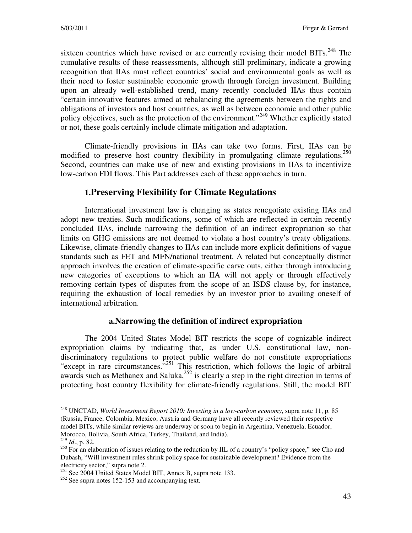sixteen countries which have revised or are currently revising their model BITs.<sup>248</sup> The cumulative results of these reassessments, although still preliminary, indicate a growing recognition that IIAs must reflect countries' social and environmental goals as well as their need to foster sustainable economic growth through foreign investment. Building upon an already well-established trend, many recently concluded IIAs thus contain "certain innovative features aimed at rebalancing the agreements between the rights and obligations of investors and host countries, as well as between economic and other public policy objectives, such as the protection of the environment."<sup>249</sup> Whether explicitly stated or not, these goals certainly include climate mitigation and adaptation.

Climate-friendly provisions in IIAs can take two forms. First, IIAs can be modified to preserve host country flexibility in promulgating climate regulations.<sup>250</sup> Second, countries can make use of new and existing provisions in IIAs to incentivize low-carbon FDI flows. This Part addresses each of these approaches in turn.

## **1.Preserving Flexibility for Climate Regulations**

International investment law is changing as states renegotiate existing IIAs and adopt new treaties. Such modifications, some of which are reflected in certain recently concluded IIAs, include narrowing the definition of an indirect expropriation so that limits on GHG emissions are not deemed to violate a host country's treaty obligations. Likewise, climate-friendly changes to IIAs can include more explicit definitions of vague standards such as FET and MFN/national treatment. A related but conceptually distinct approach involves the creation of climate-specific carve outs, either through introducing new categories of exceptions to which an IIA will not apply or through effectively removing certain types of disputes from the scope of an ISDS clause by, for instance, requiring the exhaustion of local remedies by an investor prior to availing oneself of international arbitration.

#### **a.Narrowing the definition of indirect expropriation**

The 2004 United States Model BIT restricts the scope of cognizable indirect expropriation claims by indicating that, as under U.S. constitutional law, nondiscriminatory regulations to protect public welfare do not constitute expropriations "except in rare circumstances."<sup>251</sup> This restriction, which follows the logic of arbitral awards such as Methanex and Saluka, $252$  is clearly a step in the right direction in terms of protecting host country flexibility for climate-friendly regulations. Still, the model BIT

<sup>248</sup> UNCTAD, *World Investment Report 2010: Investing in a low-carbon economy*, supra note 11, p. 85 (Russia, France, Colombia, Mexico, Austria and Germany have all recently reviewed their respective model BITs, while similar reviews are underway or soon to begin in Argentina, Venezuela, Ecuador, Morocco, Bolivia, South Africa, Turkey, Thailand, and India).

<sup>249</sup> *Id*., p. 82.

<sup>&</sup>lt;sup>250</sup> For an elaboration of issues relating to the reduction by IIL of a country's "policy space," see Cho and Dubash, "Will investment rules shrink policy space for sustainable development? Evidence from the electricity sector," supra note 2.

<sup>&</sup>lt;sup>251</sup> See 2004 United States Model BIT, Annex B, supra note 133.

<sup>&</sup>lt;sup>252</sup> See supra notes 152-153 and accompanying text.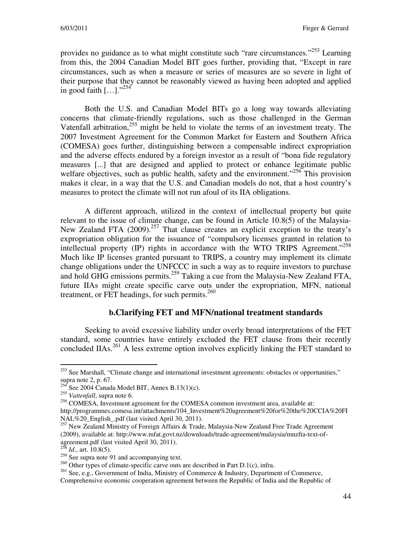provides no guidance as to what might constitute such "rare circumstances."<sup>253</sup> Learning from this, the 2004 Canadian Model BIT goes further, providing that, "Except in rare circumstances, such as when a measure or series of measures are so severe in light of their purpose that they cannot be reasonably viewed as having been adopted and applied in good faith  $[...]$ ."<sup>254</sup>

Both the U.S. and Canadian Model BITs go a long way towards alleviating concerns that climate-friendly regulations, such as those challenged in the German Vatenfall arbitration, $^{255}$  might be held to violate the terms of an investment treaty. The 2007 Investment Agreement for the Common Market for Eastern and Southern Africa (COMESA) goes further, distinguishing between a compensable indirect expropriation and the adverse effects endured by a foreign investor as a result of "bona fide regulatory measures [...] that are designed and applied to protect or enhance legitimate public welfare objectives, such as public health, safety and the environment."<sup>256</sup> This provision makes it clear, in a way that the U.S. and Canadian models do not, that a host country's measures to protect the climate will not run afoul of its IIA obligations.

A different approach, utilized in the context of intellectual property but quite relevant to the issue of climate change, can be found in Article 10.8(5) of the Malaysia-New Zealand FTA  $(2009)$ <sup>257</sup> That clause creates an explicit exception to the treaty's expropriation obligation for the issuance of "compulsory licenses granted in relation to intellectual property (IP) rights in accordance with the WTO TRIPS Agreement."<sup>258</sup> Much like IP licenses granted pursuant to TRIPS, a country may implement its climate change obligations under the UNFCCC in such a way as to require investors to purchase and hold GHG emissions permits.<sup>259</sup> Taking a cue from the Malaysia-New Zealand FTA, future IIAs might create specific carve outs under the expropriation, MFN, national treatment, or FET headings, for such permits. $260$ 

#### **b.Clarifying FET and MFN/national treatment standards**

Seeking to avoid excessive liability under overly broad interpretations of the FET standard, some countries have entirely excluded the FET clause from their recently concluded IIAs.<sup>261</sup> A less extreme option involves explicitly linking the FET standard to

 $\overline{a}$ <sup>253</sup> See Marshall, "Climate change and international investment agreements: obstacles or opportunities," supra note 2, p. 67.

 $^{254}$  See 2004 Canada Model BIT, Annex B.13(1)(c).

<sup>255</sup> *Vattenfall*, supra note 6.

<sup>&</sup>lt;sup>256</sup> COMESA, Investment agreement for the COMESA common investment area, available at: http://programmes.comesa.int/attachments/104\_Investment%20agreement%20for%20the%20CCIA%20FI NAL%20\_English\_.pdf (last visited April 30, 2011).

<sup>&</sup>lt;sup>257</sup> New Zealand Ministry of Foreign Affairs & Trade, Malaysia-New Zealand Free Trade Agreement (2009), available at: http://www.mfat.govt.nz/downloads/trade-agreement/malaysia/mnzfta-text-ofagreement.pdf (last visited April 30, 2011).

<sup>&</sup>lt;sup>8</sup> *Id.*, art. 10.8(5).

 $^{259}$  See supra note 91 and accompanying text.

 $^{260}$  Other types of climate-specific carve outs are described in Part D.1(c), infra.

<sup>&</sup>lt;sup>261</sup> See, e.g., Government of India, Ministry of Commerce & Industry, Department of Commerce,

Comprehensive economic cooperation agreement between the Republic of India and the Republic of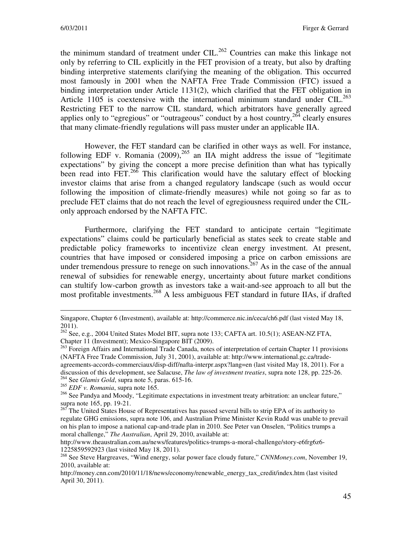the minimum standard of treatment under  $CIL$ <sup>262</sup> Countries can make this linkage not only by referring to CIL explicitly in the FET provision of a treaty, but also by drafting binding interpretive statements clarifying the meaning of the obligation. This occurred most famously in 2001 when the NAFTA Free Trade Commission (FTC) issued a binding interpretation under Article 1131(2), which clarified that the FET obligation in Article 1105 is coextensive with the international minimum standard under  $\text{CIL.}^{263}$ Restricting FET to the narrow CIL standard, which arbitrators have generally agreed applies only to "egregious" or "outrageous" conduct by a host country,  $2^{64}$  clearly ensures that many climate-friendly regulations will pass muster under an applicable IIA.

However, the FET standard can be clarified in other ways as well. For instance, following EDF v. Romania  $(2009)$ ,<sup>265</sup> an IIA might address the issue of "legitimate" expectations" by giving the concept a more precise definition than what has typically been read into FET. $^{266}$  This clarification would have the salutary effect of blocking investor claims that arise from a changed regulatory landscape (such as would occur following the imposition of climate-friendly measures) while not going so far as to preclude FET claims that do not reach the level of egregiousness required under the CILonly approach endorsed by the NAFTA FTC.

Furthermore, clarifying the FET standard to anticipate certain "legitimate expectations" claims could be particularly beneficial as states seek to create stable and predictable policy frameworks to incentivize clean energy investment. At present, countries that have imposed or considered imposing a price on carbon emissions are under tremendous pressure to renege on such innovations.<sup>267</sup> As in the case of the annual renewal of subsidies for renewable energy, uncertainty about future market conditions can stultify low-carbon growth as investors take a wait-and-see approach to all but the most profitable investments.<sup>268</sup> A less ambiguous FET standard in future IIAs, if drafted

<sup>265</sup> *EDF v. Romania*, supra note 165.

Singapore, Chapter 6 (Investment), available at: http://commerce.nic.in/ceca/ch6.pdf (last visted May 18, 2011).

<sup>&</sup>lt;sup>262</sup> See, e.g., 2004 United States Model BIT, supra note 133; CAFTA art. 10.5(1); ASEAN-NZ FTA, Chapter 11 (Investment); Mexico-Singapore BIT (2009).

<sup>&</sup>lt;sup>263</sup> Foreign Affairs and International Trade Canada, notes of interpretation of certain Chapter 11 provisions (NAFTA Free Trade Commission, July 31, 2001), available at: http://www.international.gc.ca/tradeagreements-accords-commerciaux/disp-diff/nafta-interpr.aspx?lang=en (last visited May 18, 2011). For a discussion of this development, see Salacuse, *The law of investment treaties*, supra note 128, pp. 225-26. <sup>264</sup> See *Glamis Gold*, supra note 5, paras. 615-16.

<sup>&</sup>lt;sup>266</sup> See Pandya and Moody, "Legitimate expectations in investment treaty arbitration: an unclear future," supra note 165, pp. 19-21.

 $267$  The United States House of Representatives has passed several bills to strip EPA of its authority to regulate GHG emissions, supra note 106, and Australian Prime Minister Kevin Rudd was unable to prevail on his plan to impose a national cap-and-trade plan in 2010. See Peter van Onselen, "Politics trumps a moral challenge," *The Australian*, April 29, 2010, available at:

http://www.theaustralian.com.au/news/features/politics-trumps-a-moral-challenge/story-e6frg6z6- 1225859592923 (last visited May 18, 2011).

<sup>268</sup> See Steve Hargreaves, "Wind energy, solar power face cloudy future," *CNNMoney.com*, November 19, 2010, available at:

http://money.cnn.com/2010/11/18/news/economy/renewable\_energy\_tax\_credit/index.htm (last visited April 30, 2011).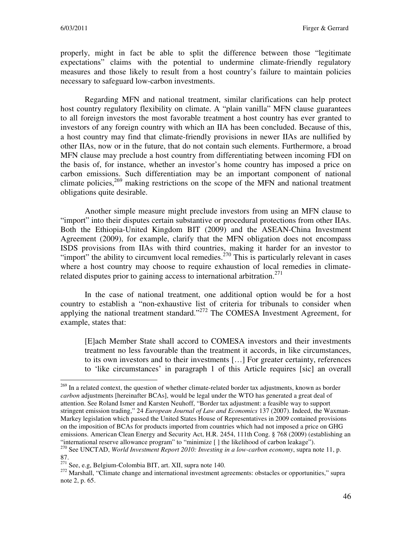properly, might in fact be able to split the difference between those "legitimate expectations" claims with the potential to undermine climate-friendly regulatory measures and those likely to result from a host country's failure to maintain policies necessary to safeguard low-carbon investments.

Regarding MFN and national treatment, similar clarifications can help protect host country regulatory flexibility on climate. A "plain vanilla" MFN clause guarantees to all foreign investors the most favorable treatment a host country has ever granted to investors of any foreign country with which an IIA has been concluded. Because of this, a host country may find that climate-friendly provisions in newer IIAs are nullified by other IIAs, now or in the future, that do not contain such elements. Furthermore, a broad MFN clause may preclude a host country from differentiating between incoming FDI on the basis of, for instance, whether an investor's home country has imposed a price on carbon emissions. Such differentiation may be an important component of national climate policies,  $269$  making restrictions on the scope of the MFN and national treatment obligations quite desirable.

Another simple measure might preclude investors from using an MFN clause to "import" into their disputes certain substantive or procedural protections from other IIAs. Both the Ethiopia-United Kingdom BIT (2009) and the ASEAN-China Investment Agreement (2009), for example, clarify that the MFN obligation does not encompass ISDS provisions from IIAs with third countries, making it harder for an investor to "import" the ability to circumvent local remedies.<sup>270</sup> This is particularly relevant in cases where a host country may choose to require exhaustion of local remedies in climaterelated disputes prior to gaining access to international arbitration.<sup>271</sup>

In the case of national treatment, one additional option would be for a host country to establish a "non-exhaustive list of criteria for tribunals to consider when applying the national treatment standard."<sup>272</sup> The COMESA Investment Agreement, for example, states that:

[E]ach Member State shall accord to COMESA investors and their investments treatment no less favourable than the treatment it accords, in like circumstances, to its own investors and to their investments […] For greater certainty, references to 'like circumstances' in paragraph 1 of this Article requires [sic] an overall

 $\overline{a}$ 

 $271$  See, e.g, Belgium-Colombia BIT, art. XII, supra note 140.

<sup>&</sup>lt;sup>269</sup> In a related context, the question of whether climate-related border tax adjustments, known as border *carbon* adjustments [hereinafter BCAs], would be legal under the WTO has generated a great deal of attention. See Roland Ismer and Karsten Neuhoff, "Border tax adjustment: a feasible way to support stringent emission trading," 24 *European Journal of Law and Economics* 137 (2007). Indeed, the Waxman-Markey legislation which passed the United States House of Representatives in 2009 contained provisions on the imposition of BCAs for products imported from countries which had not imposed a price on GHG emissions. American Clean Energy and Security Act, H.R. 2454, 111th Cong. § 768 (2009) (establishing an "international reserve allowance program" to "minimize [ ] the likelihood of carbon leakage"). <sup>270</sup> See UNCTAD, *World Investment Report 2010: Investing in a low-carbon economy*, supra note 11, p.

<sup>87.</sup> 

<sup>&</sup>lt;sup>272</sup> Marshall, "Climate change and international investment agreements: obstacles or opportunities," supra note 2, p. 65.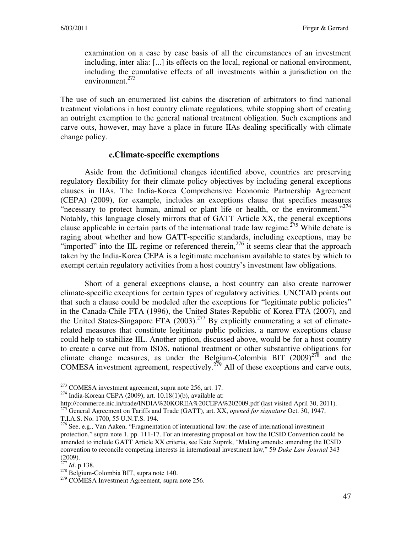examination on a case by case basis of all the circumstances of an investment including, inter alia: [...] its effects on the local, regional or national environment, including the cumulative effects of all investments within a jurisdiction on the environment. $273$ 

The use of such an enumerated list cabins the discretion of arbitrators to find national treatment violations in host country climate regulations, while stopping short of creating an outright exemption to the general national treatment obligation. Such exemptions and carve outs, however, may have a place in future IIAs dealing specifically with climate change policy.

#### **c.Climate-specific exemptions**

Aside from the definitional changes identified above, countries are preserving regulatory flexibility for their climate policy objectives by including general exceptions clauses in IIAs. The India-Korea Comprehensive Economic Partnership Agreement (CEPA) (2009), for example, includes an exceptions clause that specifies measures "necessary to protect human, animal or plant life or health, or the environment."<sup>274</sup> Notably, this language closely mirrors that of GATT Article XX, the general exceptions clause applicable in certain parts of the international trade law regime.<sup> $275$ </sup> While debate is raging about whether and how GATT-specific standards, including exceptions, may be "imported" into the IIL regime or referenced therein,<sup>276</sup> it seems clear that the approach taken by the India-Korea CEPA is a legitimate mechanism available to states by which to exempt certain regulatory activities from a host country's investment law obligations.

Short of a general exceptions clause, a host country can also create narrower climate-specific exceptions for certain types of regulatory activities. UNCTAD points out that such a clause could be modeled after the exceptions for "legitimate public policies" in the Canada-Chile FTA (1996), the United States-Republic of Korea FTA (2007), and the United States-Singapore FTA  $(2003)$ .<sup>277</sup> By explicitly enumerating a set of climaterelated measures that constitute legitimate public policies, a narrow exceptions clause could help to stabilize IIL. Another option, discussed above, would be for a host country to create a carve out from ISDS, national treatment or other substantive obligations for climate change measures, as under the Belgium-Colombia BIT  $(2009)^{278}$  and the COMESA investment agreement, respectively.<sup>279</sup> All of these exceptions and carve outs,

<sup>&</sup>lt;sup>273</sup> COMESA investment agreement, supra note 256, art. 17.

 $274$  India-Korean CEPA (2009), art. 10.18(1)(b), available at:

http://commerce.nic.in/trade/INDIA%20KOREA%20CEPA%202009.pdf (last visited April 30, 2011). <sup>275</sup> General Agreement on Tariffs and Trade (GATT), art. XX, *opened for signature* Oct. 30, 1947,

T.I.A.S. No. 1700, 55 U.N.T.S. 194.

<sup>&</sup>lt;sup>276</sup> See, e.g., Van Aaken, "Fragmentation of international law: the case of international investment protection," supra note 1, pp. 111-17. For an interesting proposal on how the ICSID Convention could be amended to include GATT Article XX criteria, see Kate Supnik, "Making amends: amending the ICSID convention to reconcile competing interests in international investment law," 59 *Duke Law Journal* 343 (2009).

<sup>277</sup> *Id*. p 138.

<sup>278</sup> Belgium-Colombia BIT, supra note 140.

<sup>&</sup>lt;sup>279</sup> COMESA Investment Agreement, supra note 256.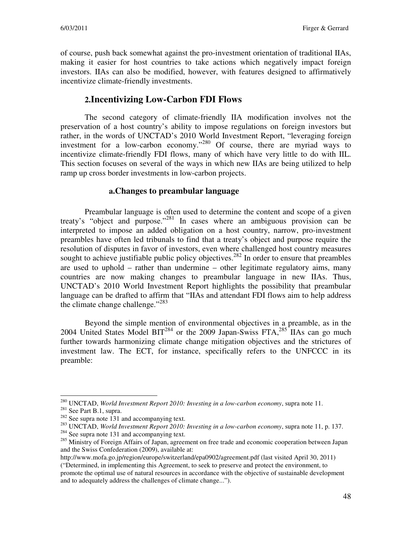of course, push back somewhat against the pro-investment orientation of traditional IIAs, making it easier for host countries to take actions which negatively impact foreign investors. IIAs can also be modified, however, with features designed to affirmatively incentivize climate-friendly investments.

## **2.Incentivizing Low-Carbon FDI Flows**

The second category of climate-friendly IIA modification involves not the preservation of a host country's ability to impose regulations on foreign investors but rather, in the words of UNCTAD's 2010 World Investment Report, "leveraging foreign investment for a low-carbon economy."<sup>280</sup> Of course, there are myriad ways to incentivize climate-friendly FDI flows, many of which have very little to do with IIL. This section focuses on several of the ways in which new IIAs are being utilized to help ramp up cross border investments in low-carbon projects.

#### **a.Changes to preambular language**

Preambular language is often used to determine the content and scope of a given treaty's "object and purpose."<sup>281</sup> In cases where an ambiguous provision can be interpreted to impose an added obligation on a host country, narrow, pro-investment preambles have often led tribunals to find that a treaty's object and purpose require the resolution of disputes in favor of investors, even where challenged host country measures sought to achieve justifiable public policy objectives.<sup>282</sup> In order to ensure that preambles are used to uphold – rather than undermine – other legitimate regulatory aims, many countries are now making changes to preambular language in new IIAs. Thus, UNCTAD's 2010 World Investment Report highlights the possibility that preambular language can be drafted to affirm that "IIAs and attendant FDI flows aim to help address the climate change challenge."<sup>283</sup>

Beyond the simple mention of environmental objectives in a preamble, as in the 2004 United States Model BIT<sup>284</sup> or the 2009 Japan-Swiss FTA,<sup>285</sup> IIAs can go much further towards harmonizing climate change mitigation objectives and the strictures of investment law. The ECT, for instance, specifically refers to the UNFCCC in its preamble:

 $\overline{a}$ <sup>280</sup> UNCTAD, *World Investment Report 2010: Investing in a low-carbon economy*, supra note 11. <sup>281</sup> See Part B.1, supra.

<sup>&</sup>lt;sup>282</sup> See supra note 131 and accompanying text.

<sup>283</sup> UNCTAD, *World Investment Report 2010: Investing in a low-carbon economy*, supra note 11, p. 137. <sup>284</sup> See supra note 131 and accompanying text.

<sup>&</sup>lt;sup>285</sup> Ministry of Foreign Affairs of Japan, agreement on free trade and economic cooperation between Japan and the Swiss Confederation (2009), available at:

http://www.mofa.go.jp/region/europe/switzerland/epa0902/agreement.pdf (last visited April 30, 2011) ("Determined, in implementing this Agreement, to seek to preserve and protect the environment, to promote the optimal use of natural resources in accordance with the objective of sustainable development and to adequately address the challenges of climate change...").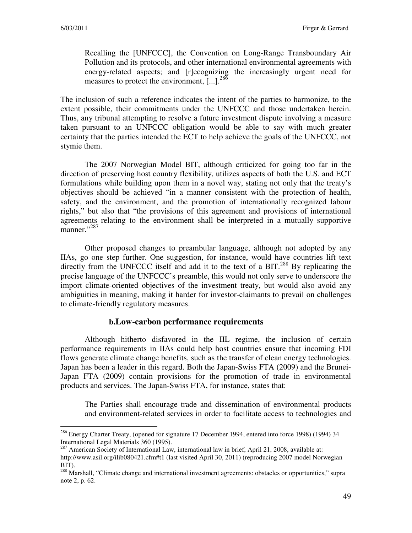Recalling the [UNFCCC], the Convention on Long-Range Transboundary Air Pollution and its protocols, and other international environmental agreements with energy-related aspects; and [r]ecognizing the increasingly urgent need for measures to protect the environment, [...].<sup>286</sup>

The inclusion of such a reference indicates the intent of the parties to harmonize, to the extent possible, their commitments under the UNFCCC and those undertaken herein. Thus, any tribunal attempting to resolve a future investment dispute involving a measure taken pursuant to an UNFCCC obligation would be able to say with much greater certainty that the parties intended the ECT to help achieve the goals of the UNFCCC, not stymie them.

The 2007 Norwegian Model BIT, although criticized for going too far in the direction of preserving host country flexibility, utilizes aspects of both the U.S. and ECT formulations while building upon them in a novel way, stating not only that the treaty's objectives should be achieved "in a manner consistent with the protection of health, safety, and the environment, and the promotion of internationally recognized labour rights," but also that "the provisions of this agreement and provisions of international agreements relating to the environment shall be interpreted in a mutually supportive manner."<sup>287</sup>

Other proposed changes to preambular language, although not adopted by any IIAs, go one step further. One suggestion, for instance, would have countries lift text directly from the UNFCCC itself and add it to the text of a BIT.<sup>288</sup> By replicating the precise language of the UNFCCC's preamble, this would not only serve to underscore the import climate-oriented objectives of the investment treaty, but would also avoid any ambiguities in meaning, making it harder for investor-claimants to prevail on challenges to climate-friendly regulatory measures.

#### **b.Low-carbon performance requirements**

Although hitherto disfavored in the IIL regime, the inclusion of certain performance requirements in IIAs could help host countries ensure that incoming FDI flows generate climate change benefits, such as the transfer of clean energy technologies. Japan has been a leader in this regard. Both the Japan-Swiss FTA (2009) and the Brunei-Japan FTA (2009) contain provisions for the promotion of trade in environmental products and services. The Japan-Swiss FTA, for instance, states that:

The Parties shall encourage trade and dissemination of environmental products and environment-related services in order to facilitate access to technologies and

<sup>&</sup>lt;sup>286</sup> Energy Charter Treaty, (opened for signature 17 December 1994, entered into force 1998) (1994) 34 International Legal Materials 360 (1995).

<sup>&</sup>lt;sup>287</sup> American Society of International Law, international law in brief, April 21, 2008, available at: http://www.asil.org/ilib080421.cfm#t1 (last visited April 30, 2011) (reproducing 2007 model Norwegian BIT).

<sup>&</sup>lt;sup>288</sup> Marshall, "Climate change and international investment agreements: obstacles or opportunities," supra note 2, p. 62.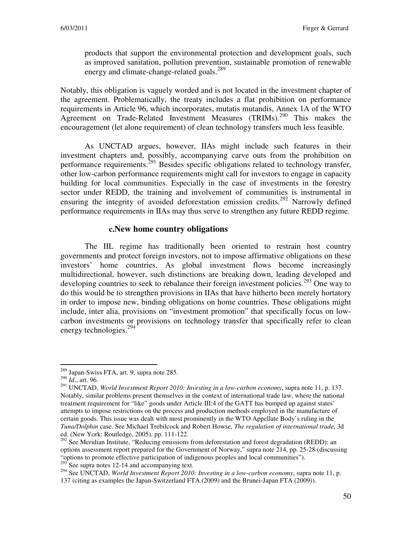products that support the environmental protection and development goals, such as improved sanitation, pollution prevention, sustainable promotion of renewable energy and climate-change-related goals.<sup>289</sup>

Notably, this obligation is vaguely worded and is not located in the investment chapter of the agreement. Problematically, the treaty includes a flat prohibition on performance requirements in Article 96, which incorporates, mutatis mutandis, Annex 1A of the WTO Agreement on Trade-Related Investment Measures (TRIMs).<sup>290</sup> This makes the encouragement (let alone requirement) of clean technology transfers much less feasible.

As UNCTAD argues, however, IIAs might include such features in their investment chapters and, possibly, accompanying carve outs from the prohibition on performance requirements.<sup>291</sup> Besides specific obligations related to technology transfer, other low-carbon performance requirements might call for investors to engage in capacity building for local communities. Especially in the case of investments in the forestry sector under REDD, the training and involvement of communities is instrumental in ensuring the integrity of avoided deforestation emission credits.<sup>292</sup> Narrowly defined performance requirements in IIAs may thus serve to strengthen any future REDD regime.

#### **c.New home country obligations**

The IIL regime has traditionally been oriented to restrain host country governments and protect foreign investors, not to impose affirmative obligations on these investors' home countries. As global investment flows become increasingly multidirectional, however, such distinctions are breaking down, leading developed and developing countries to seek to rebalance their foreign investment policies.<sup>293</sup> One way to do this would be to strengthen provisions in IIAs that have hitherto been merely hortatory in order to impose new, binding obligations on home countries. These obligations might include, inter alia, provisions on "investment promotion" that specifically focus on lowcarbon investments or provisions on technology transfer that specifically refer to clean energy technologies. $294$ 

 $\overline{a}$ <sup>289</sup> Japan-Swiss FTA, art. 9, supra note 285.

<sup>290</sup> *Id*., art. 96.

<sup>291</sup> UNCTAD, *World Investment Report 2010: Investing in a low-carbon economy*, supra note 11, p. 137. Notably, similar problems present themselves in the context of international trade law, where the national treatment requirement for "like" goods under Article III:4 of the GATT has bumped up against states' attempts to impose restrictions on the process and production methods employed in the manufacture of certain goods. This issue was dealt with most prominently in the WTO Appellate Body's ruling in the *Tuna/Dolphin* case. See Michael Trebilcock and Robert Howse, *The regulation of international trade,* 3d ed. (New York: Routledge, 2005), pp. 111-122.

<sup>&</sup>lt;sup>292</sup> See Meridian Institute, "Reducing emissions from deforestation and forest degradation (REDD): an options assessment report prepared for the Government of Norway," supra note 214, pp. 25-28 (discussing "options to promote effective participation of indigenous peoples and local communities").<br> $293$  See supra potes 12, 14 and accompanying text See supra notes 12-14 and accompanying text.

<sup>&</sup>lt;sup>294</sup> See UNCTAD, *World Investment Report 2010: Investing in a low-carbon economy*, supra note 11, p. 137 (citing as examples the Japan-Switzerland FTA (2009) and the Brunei-Japan FTA (2009)).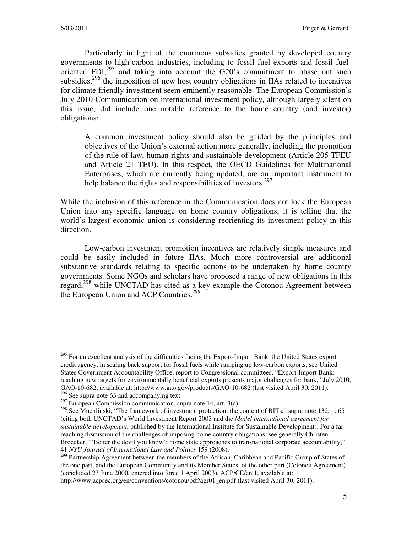Particularly in light of the enormous subsidies granted by developed country governments to high-carbon industries, including to fossil fuel exports and fossil fueloriented FDI, $^{295}$  and taking into account the G20's commitment to phase out such subsidies, $296$  the imposition of new host country obligations in IIAs related to incentives for climate friendly investment seem eminently reasonable. The European Commission's July 2010 Communication on international investment policy, although largely silent on this issue, did include one notable reference to the home country (and investor) obligations:

A common investment policy should also be guided by the principles and objectives of the Union's external action more generally, including the promotion of the rule of law, human rights and sustainable development (Article 205 TFEU and Article 21 TEU). In this respect, the OECD Guidelines for Multinational Enterprises, which are currently being updated, are an important instrument to help balance the rights and responsibilities of investors.<sup>297</sup>

While the inclusion of this reference in the Communication does not lock the European Union into any specific language on home country obligations, it is telling that the world's largest economic union is considering reorienting its investment policy in this direction.

Low-carbon investment promotion incentives are relatively simple measures and could be easily included in future IIAs. Much more controversial are additional substantive standards relating to specific actions to be undertaken by home country governments. Some NGOs and scholars have proposed a range of new obligations in this regard,<sup>298</sup> while UNCTAD has cited as a key example the Cotonou Agreement between the European Union and ACP Countries.<sup>299</sup>

<sup>&</sup>lt;sup>295</sup> For an excellent analysis of the difficulties facing the Export-Import Bank, the United States export credit agency, in scaling back support for fossil fuels while ramping up low-carbon exports, see United States Government Accountability Office, report to Congressional committees, "Export-Import Bank: reaching new targets for environmentally beneficial exports presents major challenges for bank," July 2010, GAO-10-682, available at: http://www.gao.gov/products/GAO-10-682 (last visited April 30, 2011).

<sup>&</sup>lt;sup>296</sup> See supra note 63 and accompanying text.

 $297$  European Commission communication, supra note 14, art. 3(c).

<sup>&</sup>lt;sup>298</sup> See Muchlinski, "The framework of investment protection: the content of BITs," supra note 132, p. 65 (citing both UNCTAD's World Investment Report 2003 and the *Model international agreement for sustainable development*, published by the International Institute for Sustainable Development). For a farreaching discussion of the challenges of imposing home country obligations, see generally Christen Broecker, "'Better the devil you know': home state approaches to transnational corporate accountability," 41 *NYU Journal of International Law and Politics* 159 (2008).

<sup>&</sup>lt;sup>299</sup> Partnership Agreement between the members of the African, Caribbean and Pacific Group of States of the one part, and the European Community and its Member States, of the other part (Cotonou Agreement) (concluded 23 June 2000, entered into force 1 April 2003), ACP/CE/en 1, available at: